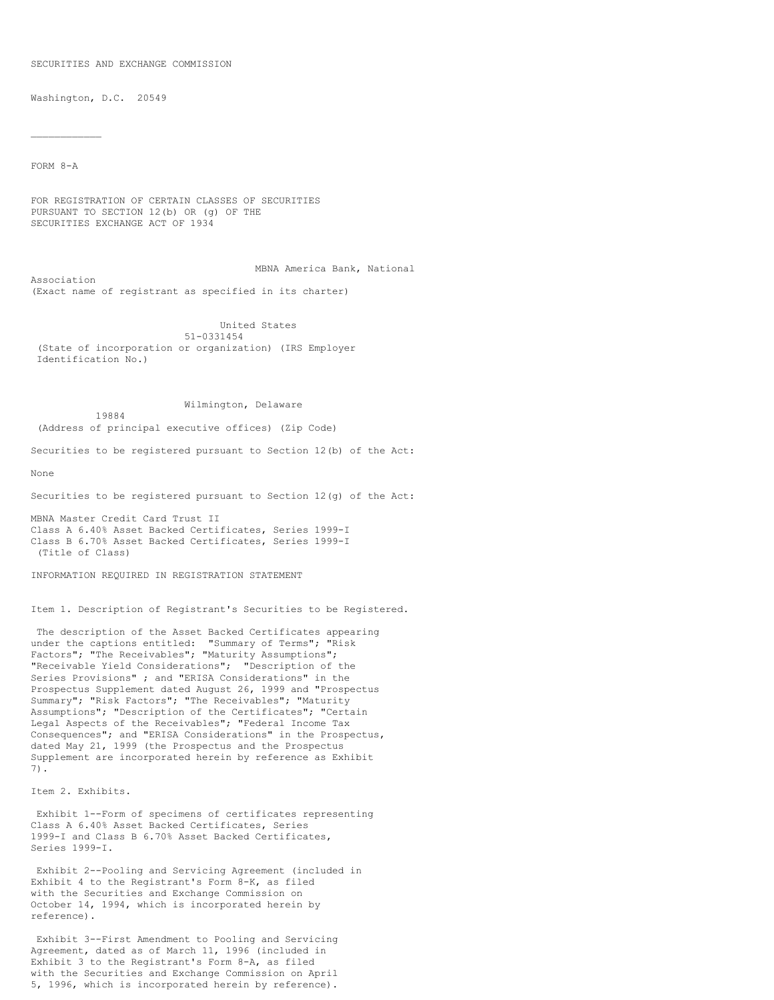#### SECURITIES AND EXCHANGE COMMISSION

Washington, D.C. 20549

19884

FORM 8-A

 $\mathcal{L}_\text{max}$ 

FOR REGISTRATION OF CERTAIN CLASSES OF SECURITIES PURSUANT TO SECTION 12(b) OR (g) OF THE SECURITIES EXCHANGE ACT OF 1934

MBNA America Bank, National Association (Exact name of registrant as specified in its charter)

United States 51-0331454 (State of incorporation or organization) (IRS Employer Identification No.)

# Wilmington, Delaware

(Address of principal executive offices) (Zip Code)

Securities to be registered pursuant to Section 12(b) of the Act:

None

Securities to be registered pursuant to Section 12(g) of the Act:

MBNA Master Credit Card Trust II Class A 6.40% Asset Backed Certificates, Series 1999-I Class B 6.70% Asset Backed Certificates, Series 1999-I (Title of Class)

INFORMATION REQUIRED IN REGISTRATION STATEMENT

Item 1. Description of Registrant's Securities to be Registered.

The description of the Asset Backed Certificates appearing under the captions entitled: "Summary of Terms"; "Risk Factors"; "The Receivables"; "Maturity Assumptions"; "Receivable Yield Considerations"; "Description of the Series Provisions" ; and "ERISA Considerations" in the Prospectus Supplement dated August 26, 1999 and "Prospectus Summary"; "Risk Factors"; "The Receivables"; "Maturity Assumptions"; "Description of the Certificates"; "Certain Legal Aspects of the Receivables"; "Federal Income Tax Consequences"; and "ERISA Considerations" in the Prospectus, dated May 21, 1999 (the Prospectus and the Prospectus Supplement are incorporated herein by reference as Exhibit 7).

Item 2. Exhibits.

Exhibit 1--Form of specimens of certificates representing Class A 6.40% Asset Backed Certificates, Series 1999-I and Class B 6.70% Asset Backed Certificates, Series 1999-I.

Exhibit 2--Pooling and Servicing Agreement (included in Exhibit 4 to the Registrant's Form 8-K, as filed with the Securities and Exchange Commission on October 14, 1994, which is incorporated herein by reference).

Exhibit 3--First Amendment to Pooling and Servicing Agreement, dated as of March 11, 1996 (included in Exhibit 3 to the Registrant's Form 8-A, as filed with the Securities and Exchange Commission on April 5, 1996, which is incorporated herein by reference).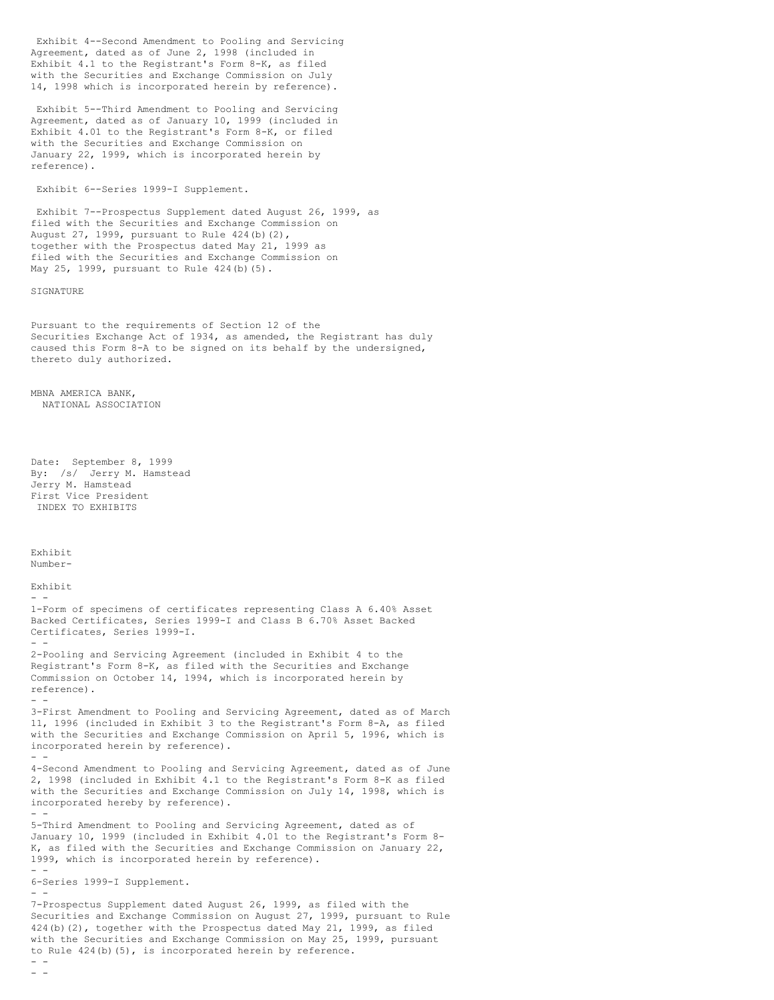Exhibit 4--Second Amendment to Pooling and Servicing Agreement, dated as of June 2, 1998 (included in Exhibit 4.1 to the Registrant's Form 8-K, as filed with the Securities and Exchange Commission on July 14, 1998 which is incorporated herein by reference).

Exhibit 5--Third Amendment to Pooling and Servicing Agreement, dated as of January 10, 1999 (included in Exhibit 4.01 to the Registrant's Form 8-K, or filed with the Securities and Exchange Commission on January 22, 1999, which is incorporated herein by reference).

Exhibit 6--Series 1999-I Supplement.

Exhibit 7--Prospectus Supplement dated August 26, 1999, as filed with the Securities and Exchange Commission on August 27, 1999, pursuant to Rule 424(b)(2), together with the Prospectus dated May 21, 1999 as filed with the Securities and Exchange Commission on May 25, 1999, pursuant to Rule 424(b)(5).

### SIGNATURE

Pursuant to the requirements of Section 12 of the Securities Exchange Act of 1934, as amended, the Registrant has duly caused this Form 8-A to be signed on its behalf by the undersigned, thereto duly authorized.

MBNA AMERICA BANK, NATIONAL ASSOCIATION

```
Date: September 8, 1999
By: /s/ Jerry M. Hamstead
Jerry M. Hamstead
First Vice President
INDEX TO EXHIBITS
```
Exhibit Number-Exhibit  $-$ 1-Form of specimens of certificates representing Class A 6.40% Asset Backed Certificates, Series 1999-I and Class B 6.70% Asset Backed Certificates, Series 1999-I. - - 2-Pooling and Servicing Agreement (included in Exhibit 4 to the Registrant's Form 8-K, as filed with the Securities and Exchange Commission on October 14, 1994, which is incorporated herein by reference). - - 3-First Amendment to Pooling and Servicing Agreement, dated as of March 11, 1996 (included in Exhibit 3 to the Registrant's Form 8-A, as filed with the Securities and Exchange Commission on April 5, 1996, which is incorporated herein by reference). - - 4-Second Amendment to Pooling and Servicing Agreement, dated as of June 2, 1998 (included in Exhibit 4.1 to the Registrant's Form 8-K as filed with the Securities and Exchange Commission on July 14, 1998, which is incorporated hereby by reference). - - 5-Third Amendment to Pooling and Servicing Agreement, dated as of January 10, 1999 (included in Exhibit 4.01 to the Registrant's Form 8- K, as filed with the Securities and Exchange Commission on January 22, 1999, which is incorporated herein by reference). - - 6-Series 1999-I Supplement. - - 7-Prospectus Supplement dated August 26, 1999, as filed with the Securities and Exchange Commission on August 27, 1999, pursuant to Rule 424(b)(2), together with the Prospectus dated May 21, 1999, as filed with the Securities and Exchange Commission on May 25, 1999, pursuant to Rule 424(b)(5), is incorporated herein by reference.  $-$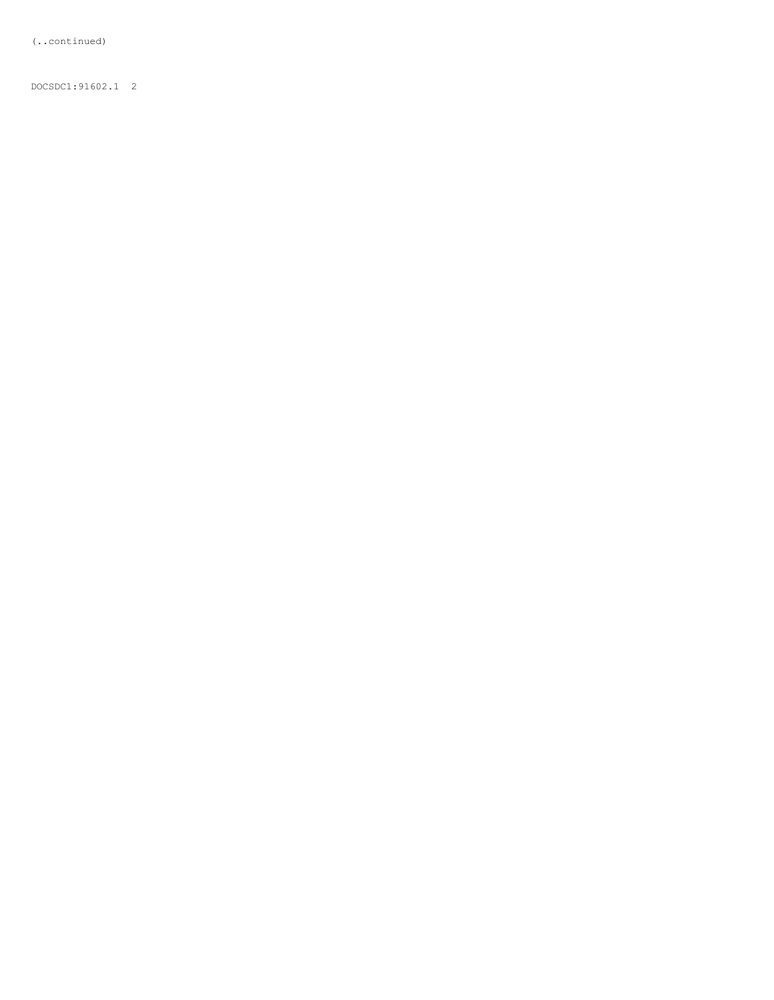(..continued)

DOCSDC1:91602.1 2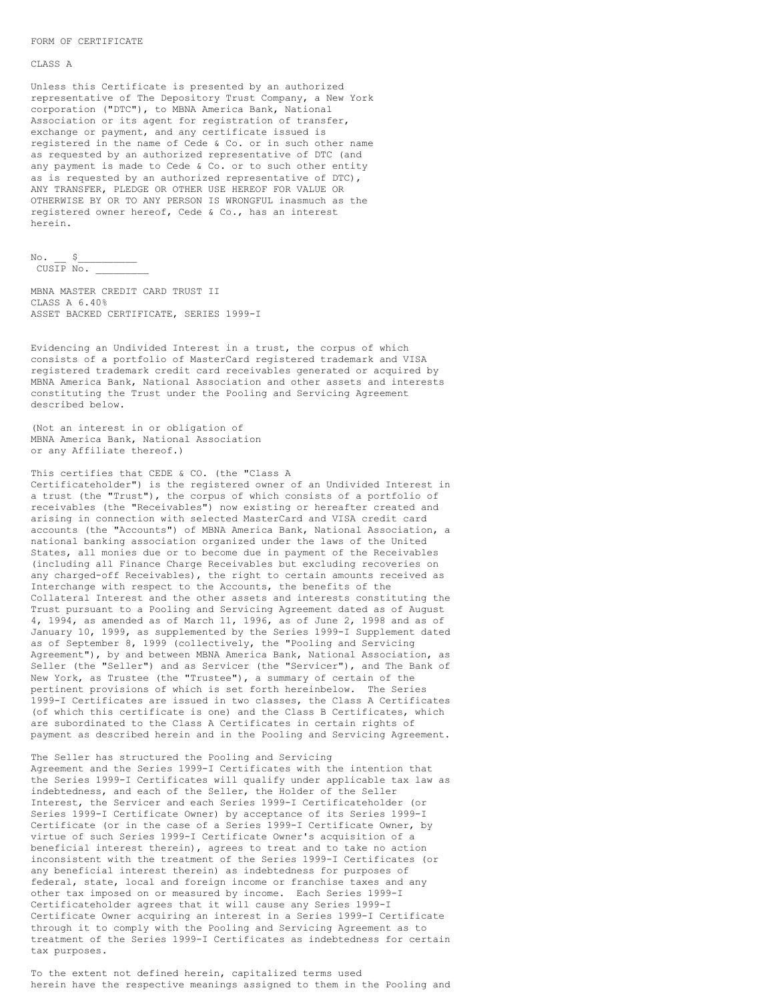#### FORM OF CERTIFICATE

### CLASS A

Unless this Certificate is presented by an authorized representative of The Depository Trust Company, a New York corporation ("DTC"), to MBNA America Bank, National Association or its agent for registration of transfer, exchange or payment, and any certificate issued is registered in the name of Cede & Co. or in such other name as requested by an authorized representative of DTC (and any payment is made to Cede & Co. or to such other entity as is requested by an authorized representative of DTC), ANY TRANSFER, PLEDGE OR OTHER USE HEREOF FOR VALUE OR OTHERWISE BY OR TO ANY PERSON IS WRONGFUL inasmuch as the registered owner hereof, Cede & Co., has an interest herein.

 $No.$   $S$  $CUSIP$  No.

MBNA MASTER CREDIT CARD TRUST II CLASS A 6.40% ASSET BACKED CERTIFICATE, SERIES 1999-I

Evidencing an Undivided Interest in a trust, the corpus of which consists of a portfolio of MasterCard registered trademark and VISA registered trademark credit card receivables generated or acquired by MBNA America Bank, National Association and other assets and interests constituting the Trust under the Pooling and Servicing Agreement described below.

(Not an interest in or obligation of MBNA America Bank, National Association or any Affiliate thereof.)

This certifies that CEDE & CO. (the "Class A Certificateholder") is the registered owner of an Undivided Interest in a trust (the "Trust"), the corpus of which consists of a portfolio of receivables (the "Receivables") now existing or hereafter created and arising in connection with selected MasterCard and VISA credit card accounts (the "Accounts") of MBNA America Bank, National Association, a national banking association organized under the laws of the United States, all monies due or to become due in payment of the Receivables (including all Finance Charge Receivables but excluding recoveries on any charged-off Receivables), the right to certain amounts received as Interchange with respect to the Accounts, the benefits of the Collateral Interest and the other assets and interests constituting the Trust pursuant to a Pooling and Servicing Agreement dated as of August 4, 1994, as amended as of March 11, 1996, as of June 2, 1998 and as of January 10, 1999, as supplemented by the Series 1999-I Supplement dated as of September 8, 1999 (collectively, the "Pooling and Servicing Agreement"), by and between MBNA America Bank, National Association, as Seller (the "Seller") and as Servicer (the "Servicer"), and The Bank of New York, as Trustee (the "Trustee"), a summary of certain of the pertinent provisions of which is set forth hereinbelow. The Series 1999-I Certificates are issued in two classes, the Class A Certificates (of which this certificate is one) and the Class B Certificates, which are subordinated to the Class A Certificates in certain rights of payment as described herein and in the Pooling and Servicing Agreement.

The Seller has structured the Pooling and Servicing Agreement and the Series 1999-I Certificates with the intention that the Series 1999-I Certificates will qualify under applicable tax law as indebtedness, and each of the Seller, the Holder of the Seller Interest, the Servicer and each Series 1999-I Certificateholder (or Series 1999-I Certificate Owner) by acceptance of its Series 1999-I Certificate (or in the case of a Series 1999-I Certificate Owner, by virtue of such Series 1999-I Certificate Owner's acquisition of a beneficial interest therein), agrees to treat and to take no action inconsistent with the treatment of the Series 1999-I Certificates (or any beneficial interest therein) as indebtedness for purposes of federal, state, local and foreign income or franchise taxes and any other tax imposed on or measured by income. Each Series 1999-I Certificateholder agrees that it will cause any Series 1999-I Certificate Owner acquiring an interest in a Series 1999-I Certificate through it to comply with the Pooling and Servicing Agreement as to treatment of the Series 1999-I Certificates as indebtedness for certain tax purposes.

To the extent not defined herein, capitalized terms used herein have the respective meanings assigned to them in the Pooling and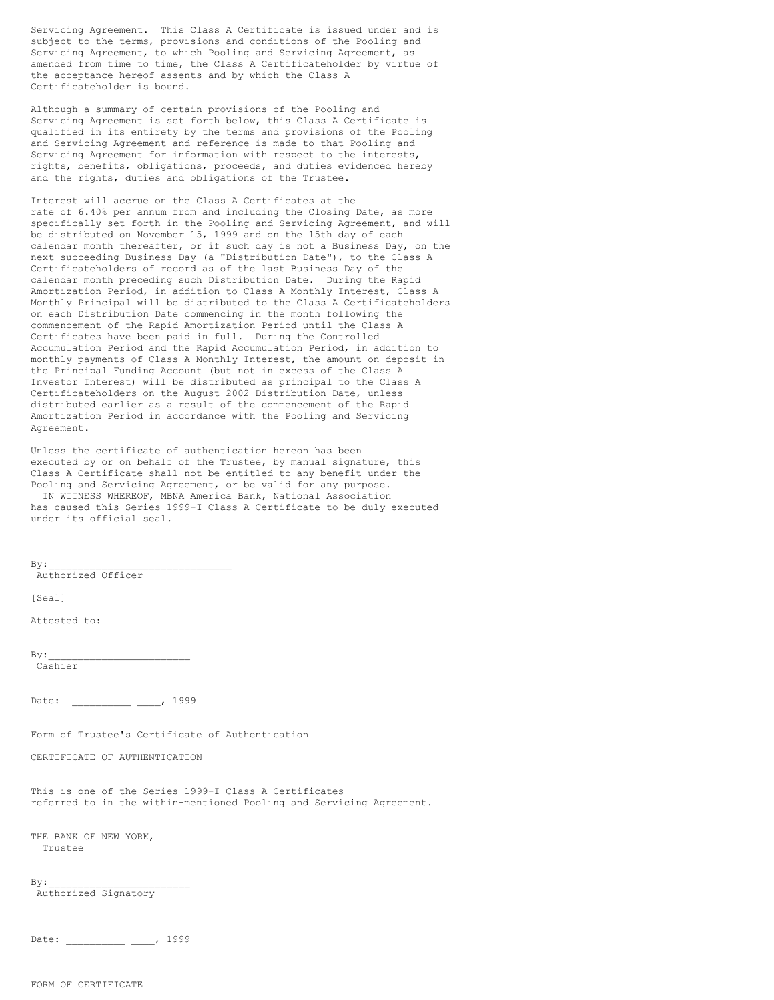Servicing Agreement. This Class A Certificate is issued under and is subject to the terms, provisions and conditions of the Pooling and Servicing Agreement, to which Pooling and Servicing Agreement, as amended from time to time, the Class A Certificateholder by virtue of the acceptance hereof assents and by which the Class A Certificateholder is bound.

Although a summary of certain provisions of the Pooling and Servicing Agreement is set forth below, this Class A Certificate is qualified in its entirety by the terms and provisions of the Pooling and Servicing Agreement and reference is made to that Pooling and Servicing Agreement for information with respect to the interests, rights, benefits, obligations, proceeds, and duties evidenced hereby and the rights, duties and obligations of the Trustee.

Interest will accrue on the Class A Certificates at the rate of 6.40% per annum from and including the Closing Date, as more specifically set forth in the Pooling and Servicing Agreement, and will be distributed on November 15, 1999 and on the 15th day of each calendar month thereafter, or if such day is not a Business Day, on the next succeeding Business Day (a "Distribution Date"), to the Class A Certificateholders of record as of the last Business Day of the calendar month preceding such Distribution Date. During the Rapid Amortization Period, in addition to Class A Monthly Interest, Class A Monthly Principal will be distributed to the Class A Certificateholders on each Distribution Date commencing in the month following the commencement of the Rapid Amortization Period until the Class A Certificates have been paid in full. During the Controlled Accumulation Period and the Rapid Accumulation Period, in addition to monthly payments of Class A Monthly Interest, the amount on deposit in the Principal Funding Account (but not in excess of the Class A Investor Interest) will be distributed as principal to the Class A Certificateholders on the August 2002 Distribution Date, unless distributed earlier as a result of the commencement of the Rapid Amortization Period in accordance with the Pooling and Servicing Agreement.

Unless the certificate of authentication hereon has been executed by or on behalf of the Trustee, by manual signature, this Class A Certificate shall not be entitled to any benefit under the Pooling and Servicing Agreement, or be valid for any purpose. IN WITNESS WHEREOF, MBNA America Bank, National Association has caused this Series 1999-I Class A Certificate to be duly executed under its official seal.

 $By:$ 

Authorized Officer

[Seal]

Attested to:

 $By:$ Cashier

Date: \_\_\_\_\_\_\_\_\_\_\_ \_\_\_\_, 1999

Form of Trustee's Certificate of Authentication

CERTIFICATE OF AUTHENTICATION

This is one of the Series 1999-I Class A Certificates referred to in the within-mentioned Pooling and Servicing Agreement.

THE BANK OF NEW YORK, Trustee

 $By:$ 

Authorized Signatory

Date: \_\_\_\_\_\_\_\_ \_\_\_\_, 1999

FORM OF CERTIFICATE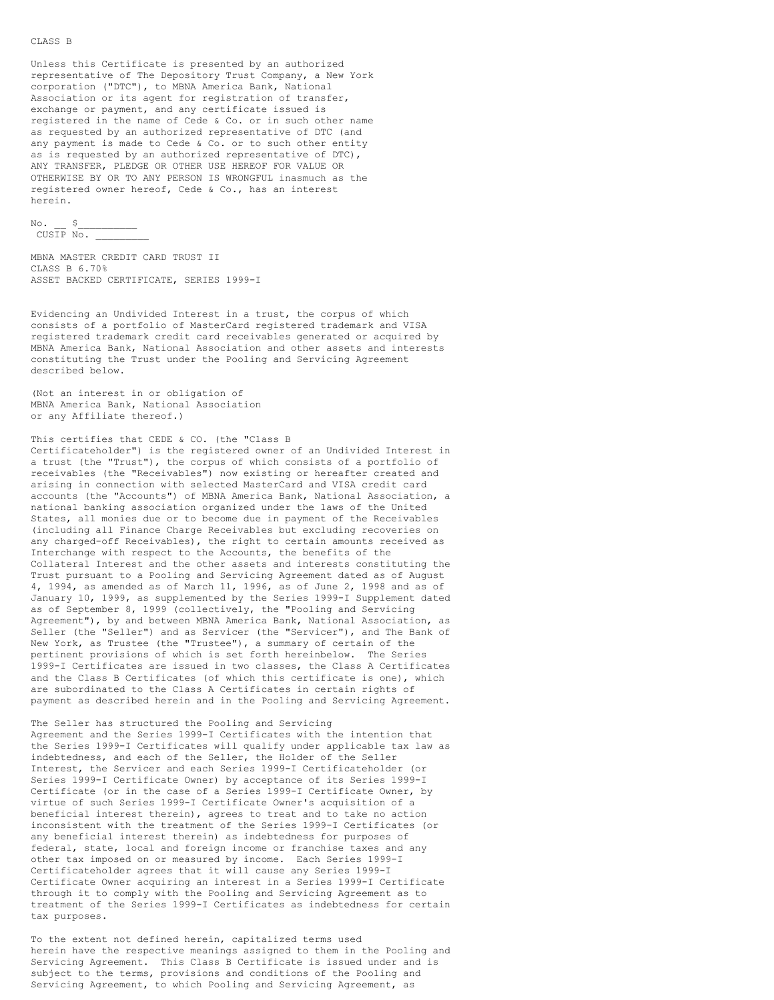#### CLASS B

Unless this Certificate is presented by an authorized representative of The Depository Trust Company, a New York corporation ("DTC"), to MBNA America Bank, National Association or its agent for registration of transfer, exchange or payment, and any certificate issued is registered in the name of Cede & Co. or in such other name as requested by an authorized representative of DTC (and any payment is made to Cede & Co. or to such other entity as is requested by an authorized representative of DTC), ANY TRANSFER, PLEDGE OR OTHER USE HEREOF FOR VALUE OR OTHERWISE BY OR TO ANY PERSON IS WRONGFUL inasmuch as the registered owner hereof, Cede & Co., has an interest herein.

 $\text{No.} \quad \text{S}$ CUSIP No. \_\_\_\_\_\_\_\_\_

```
MBNA MASTER CREDIT CARD TRUST II
CLASS B 6.70%
ASSET BACKED CERTIFICATE, SERIES 1999-I
```
Evidencing an Undivided Interest in a trust, the corpus of which consists of a portfolio of MasterCard registered trademark and VISA registered trademark credit card receivables generated or acquired by MBNA America Bank, National Association and other assets and interests constituting the Trust under the Pooling and Servicing Agreement described below.

(Not an interest in or obligation of MBNA America Bank, National Association or any Affiliate thereof.)

This certifies that CEDE & CO. (the "Class B

Certificateholder") is the registered owner of an Undivided Interest in a trust (the "Trust"), the corpus of which consists of a portfolio of receivables (the "Receivables") now existing or hereafter created and arising in connection with selected MasterCard and VISA credit card accounts (the "Accounts") of MBNA America Bank, National Association, a national banking association organized under the laws of the United States, all monies due or to become due in payment of the Receivables (including all Finance Charge Receivables but excluding recoveries on any charged-off Receivables), the right to certain amounts received as Interchange with respect to the Accounts, the benefits of the Collateral Interest and the other assets and interests constituting the Trust pursuant to a Pooling and Servicing Agreement dated as of August 4, 1994, as amended as of March 11, 1996, as of June 2, 1998 and as of January 10, 1999, as supplemented by the Series 1999-I Supplement dated as of September 8, 1999 (collectively, the "Pooling and Servicing Agreement"), by and between MBNA America Bank, National Association, as Seller (the "Seller") and as Servicer (the "Servicer"), and The Bank of New York, as Trustee (the "Trustee"), a summary of certain of the pertinent provisions of which is set forth hereinbelow. The Series 1999-I Certificates are issued in two classes, the Class A Certificates and the Class B Certificates (of which this certificate is one), which are subordinated to the Class A Certificates in certain rights of payment as described herein and in the Pooling and Servicing Agreement.

The Seller has structured the Pooling and Servicing Agreement and the Series 1999-I Certificates with the intention that the Series 1999-I Certificates will qualify under applicable tax law as indebtedness, and each of the Seller, the Holder of the Seller Interest, the Servicer and each Series 1999-I Certificateholder (or Series 1999-I Certificate Owner) by acceptance of its Series 1999-I Certificate (or in the case of a Series 1999-I Certificate Owner, by virtue of such Series 1999-I Certificate Owner's acquisition of a beneficial interest therein), agrees to treat and to take no action inconsistent with the treatment of the Series 1999-I Certificates (or any beneficial interest therein) as indebtedness for purposes of federal, state, local and foreign income or franchise taxes and any other tax imposed on or measured by income. Each Series 1999-I Certificateholder agrees that it will cause any Series 1999-I Certificate Owner acquiring an interest in a Series 1999-I Certificate through it to comply with the Pooling and Servicing Agreement as to treatment of the Series 1999-I Certificates as indebtedness for certain tax purposes.

To the extent not defined herein, capitalized terms used herein have the respective meanings assigned to them in the Pooling and Servicing Agreement. This Class B Certificate is issued under and is subject to the terms, provisions and conditions of the Pooling and Servicing Agreement, to which Pooling and Servicing Agreement, as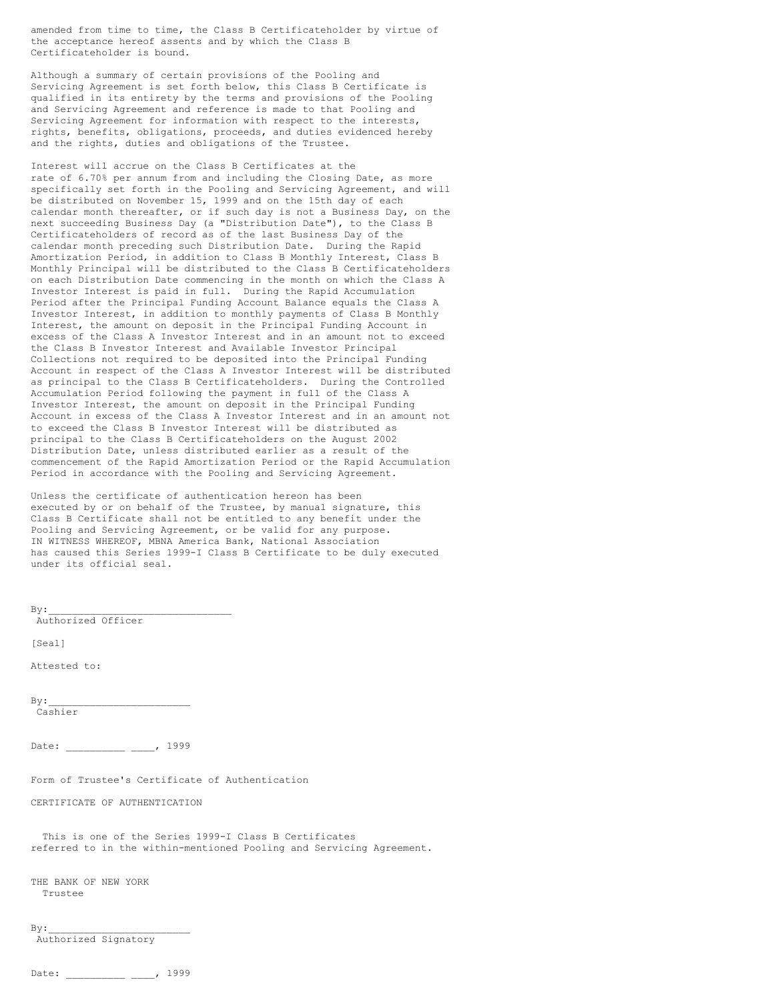amended from time to time, the Class B Certificateholder by virtue of the acceptance hereof assents and by which the Class B Certificateholder is bound.

Although a summary of certain provisions of the Pooling and Servicing Agreement is set forth below, this Class B Certificate is qualified in its entirety by the terms and provisions of the Pooling and Servicing Agreement and reference is made to that Pooling and Servicing Agreement for information with respect to the interests, rights, benefits, obligations, proceeds, and duties evidenced hereby and the rights, duties and obligations of the Trustee.

Interest will accrue on the Class B Certificates at the rate of 6.70% per annum from and including the Closing Date, as more specifically set forth in the Pooling and Servicing Agreement, and will be distributed on November 15, 1999 and on the 15th day of each calendar month thereafter, or if such day is not a Business Day, on the next succeeding Business Day (a "Distribution Date"), to the Class B Certificateholders of record as of the last Business Day of the calendar month preceding such Distribution Date. During the Rapid Amortization Period, in addition to Class B Monthly Interest, Class B Monthly Principal will be distributed to the Class B Certificateholders on each Distribution Date commencing in the month on which the Class A Investor Interest is paid in full. During the Rapid Accumulation Period after the Principal Funding Account Balance equals the Class A Investor Interest, in addition to monthly payments of Class B Monthly Interest, the amount on deposit in the Principal Funding Account in excess of the Class A Investor Interest and in an amount not to exceed the Class B Investor Interest and Available Investor Principal Collections not required to be deposited into the Principal Funding Account in respect of the Class A Investor Interest will be distributed as principal to the Class B Certificateholders. During the Controlled Accumulation Period following the payment in full of the Class A Investor Interest, the amount on deposit in the Principal Funding Account in excess of the Class A Investor Interest and in an amount not to exceed the Class B Investor Interest will be distributed as principal to the Class B Certificateholders on the August 2002 Distribution Date, unless distributed earlier as a result of the commencement of the Rapid Amortization Period or the Rapid Accumulation Period in accordance with the Pooling and Servicing Agreement.

Unless the certificate of authentication hereon has been executed by or on behalf of the Trustee, by manual signature, this Class B Certificate shall not be entitled to any benefit under the Pooling and Servicing Agreement, or be valid for any purpose. IN WITNESS WHEREOF, MBNA America Bank, National Association has caused this Series 1999-I Class B Certificate to be duly executed under its official seal.

Authorized Officer [Seal] Attested to:  $By:$ Cashier Date: \_\_\_\_\_\_\_\_ \_\_\_\_, 1999 Form of Trustee's Certificate of Authentication CERTIFICATE OF AUTHENTICATION This is one of the Series 1999-I Class B Certificates referred to in the within-mentioned Pooling and Servicing Agreement. THE BANK OF NEW YORK Trustee  $By:$ Authorized Signatory

```
Date: , 1999
```
 $By:$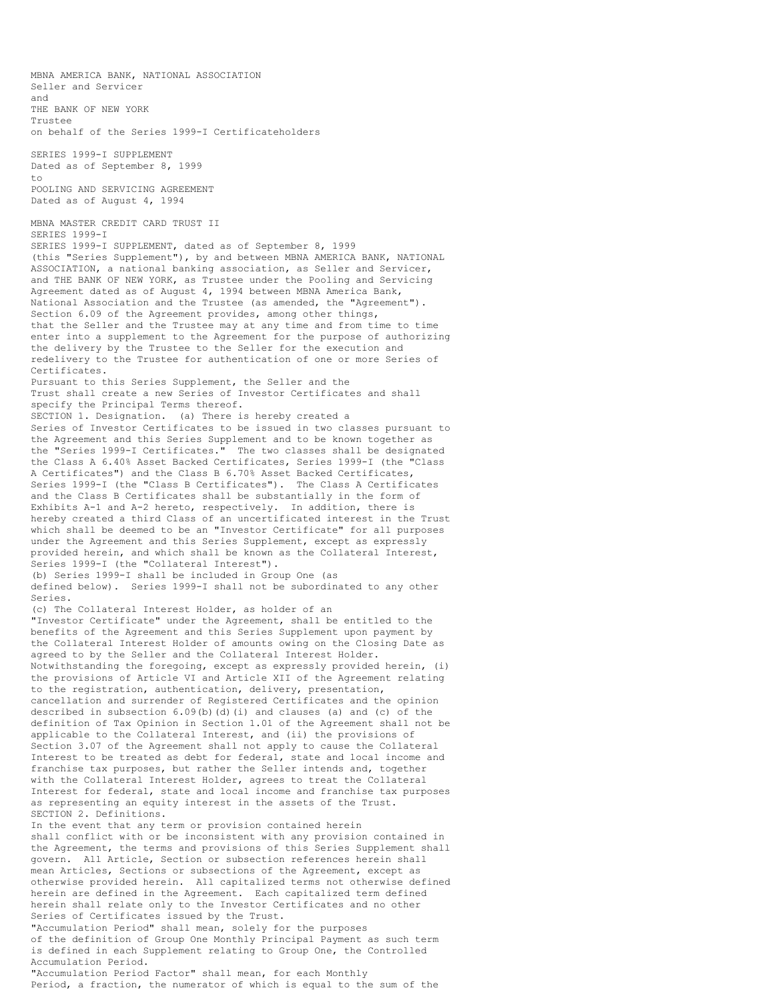MBNA AMERICA BANK, NATIONAL ASSOCIATION Seller and Servicer and THE BANK OF NEW YORK Trustee on behalf of the Series 1999-I Certificateholders SERIES 1999-I SUPPLEMENT Dated as of September 8, 1999  $t \circ$ POOLING AND SERVICING AGREEMENT Dated as of August 4, 1994 MBNA MASTER CREDIT CARD TRUST II SERIES 1999-I SERIES 1999-I SUPPLEMENT, dated as of September 8, 1999 (this "Series Supplement"), by and between MBNA AMERICA BANK, NATIONAL ASSOCIATION, a national banking association, as Seller and Servicer, and THE BANK OF NEW YORK, as Trustee under the Pooling and Servicing Agreement dated as of August 4, 1994 between MBNA America Bank, National Association and the Trustee (as amended, the "Agreement"). Section 6.09 of the Agreement provides, among other things, that the Seller and the Trustee may at any time and from time to time enter into a supplement to the Agreement for the purpose of authorizing the delivery by the Trustee to the Seller for the execution and redelivery to the Trustee for authentication of one or more Series of Certificates. Pursuant to this Series Supplement, the Seller and the Trust shall create a new Series of Investor Certificates and shall specify the Principal Terms thereof. SECTION 1. Designation. (a) There is hereby created a Series of Investor Certificates to be issued in two classes pursuant to the Agreement and this Series Supplement and to be known together as the "Series 1999-I Certificates." The two classes shall be designated the Class A 6.40% Asset Backed Certificates, Series 1999-I (the "Class A Certificates") and the Class B 6.70% Asset Backed Certificates, Series 1999-I (the "Class B Certificates"). The Class A Certificates and the Class B Certificates shall be substantially in the form of Exhibits A-1 and A-2 hereto, respectively. In addition, there is hereby created a third Class of an uncertificated interest in the Trust which shall be deemed to be an "Investor Certificate" for all purposes under the Agreement and this Series Supplement, except as expressly provided herein, and which shall be known as the Collateral Interest, Series 1999-I (the "Collateral Interest"). (b) Series 1999-I shall be included in Group One (as defined below). Series 1999-I shall not be subordinated to any other Series. (c) The Collateral Interest Holder, as holder of an "Investor Certificate" under the Agreement, shall be entitled to the benefits of the Agreement and this Series Supplement upon payment by the Collateral Interest Holder of amounts owing on the Closing Date as agreed to by the Seller and the Collateral Interest Holder. Notwithstanding the foregoing, except as expressly provided herein, (i) the provisions of Article VI and Article XII of the Agreement relating to the registration, authentication, delivery, presentation, cancellation and surrender of Registered Certificates and the opinion described in subsection 6.09(b)(d)(i) and clauses (a) and (c) of the definition of Tax Opinion in Section 1.01 of the Agreement shall not be applicable to the Collateral Interest, and (ii) the provisions of Section 3.07 of the Agreement shall not apply to cause the Collateral Interest to be treated as debt for federal, state and local income and franchise tax purposes, but rather the Seller intends and, together with the Collateral Interest Holder, agrees to treat the Collateral Interest for federal, state and local income and franchise tax purposes as representing an equity interest in the assets of the Trust. SECTION 2. Definitions. In the event that any term or provision contained herein shall conflict with or be inconsistent with any provision contained in the Agreement, the terms and provisions of this Series Supplement shall govern. All Article, Section or subsection references herein shall mean Articles, Sections or subsections of the Agreement, except as otherwise provided herein. All capitalized terms not otherwise defined herein are defined in the Agreement. Each capitalized term defined herein shall relate only to the Investor Certificates and no other Series of Certificates issued by the Trust. "Accumulation Period" shall mean, solely for the purposes of the definition of Group One Monthly Principal Payment as such term

Accumulation Period. "Accumulation Period Factor" shall mean, for each Monthly Period, a fraction, the numerator of which is equal to the sum of the

is defined in each Supplement relating to Group One, the Controlled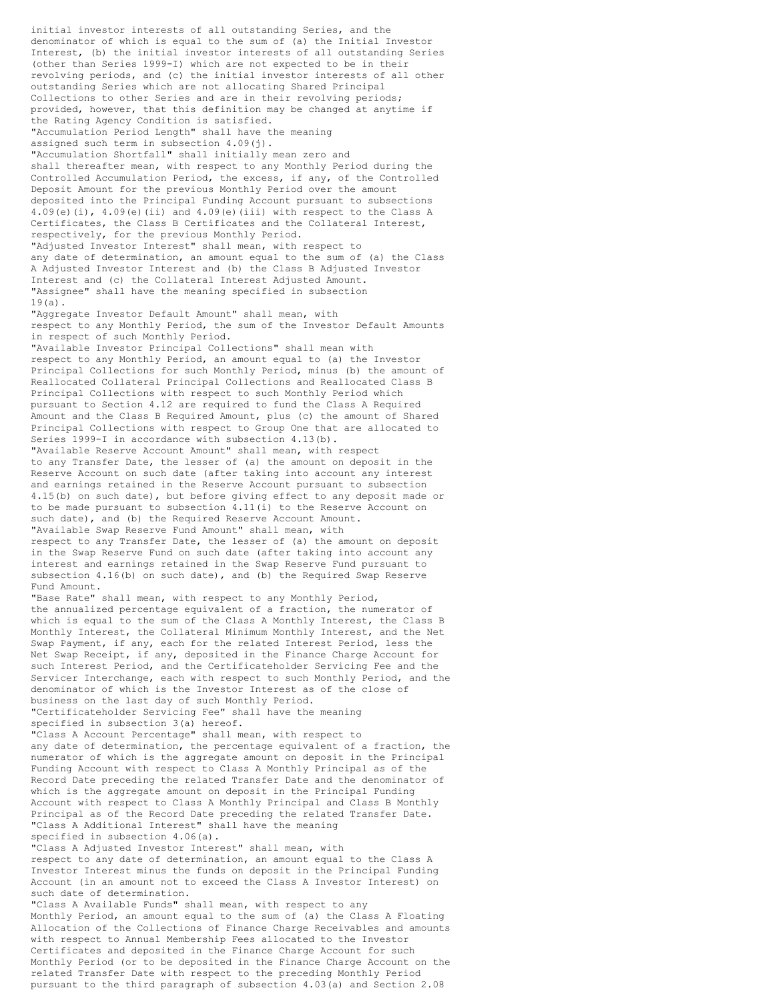initial investor interests of all outstanding Series, and the denominator of which is equal to the sum of (a) the Initial Investor Interest, (b) the initial investor interests of all outstanding Series (other than Series 1999-I) which are not expected to be in their revolving periods, and (c) the initial investor interests of all other outstanding Series which are not allocating Shared Principal Collections to other Series and are in their revolving periods; provided, however, that this definition may be changed at anytime if the Rating Agency Condition is satisfied. "Accumulation Period Length" shall have the meaning assigned such term in subsection  $4.09(i)$ . "Accumulation Shortfall" shall initially mean zero and shall thereafter mean, with respect to any Monthly Period during the Controlled Accumulation Period, the excess, if any, of the Controlled Deposit Amount for the previous Monthly Period over the amount deposited into the Principal Funding Account pursuant to subsections  $4.09(e)$ (i),  $4.09(e)$ (ii) and  $4.09(e)$ (iii) with respect to the Class A Certificates, the Class B Certificates and the Collateral Interest, respectively, for the previous Monthly Period. "Adjusted Investor Interest" shall mean, with respect to any date of determination, an amount equal to the sum of (a) the Class A Adjusted Investor Interest and (b) the Class B Adjusted Investor Interest and (c) the Collateral Interest Adjusted Amount. "Assignee" shall have the meaning specified in subsection 19(a). "Aggregate Investor Default Amount" shall mean, with respect to any Monthly Period, the sum of the Investor Default Amounts in respect of such Monthly Period. "Available Investor Principal Collections" shall mean with respect to any Monthly Period, an amount equal to (a) the Investor Principal Collections for such Monthly Period, minus (b) the amount of Reallocated Collateral Principal Collections and Reallocated Class B Principal Collections with respect to such Monthly Period which pursuant to Section 4.12 are required to fund the Class A Required Amount and the Class B Required Amount, plus (c) the amount of Shared Principal Collections with respect to Group One that are allocated to Series 1999-I in accordance with subsection 4.13(b). "Available Reserve Account Amount" shall mean, with respect to any Transfer Date, the lesser of (a) the amount on deposit in the Reserve Account on such date (after taking into account any interest and earnings retained in the Reserve Account pursuant to subsection 4.15(b) on such date), but before giving effect to any deposit made or to be made pursuant to subsection 4.11(i) to the Reserve Account on such date), and (b) the Required Reserve Account Amount. "Available Swap Reserve Fund Amount" shall mean, with respect to any Transfer Date, the lesser of (a) the amount on deposit in the Swap Reserve Fund on such date (after taking into account any interest and earnings retained in the Swap Reserve Fund pursuant to subsection 4.16(b) on such date), and (b) the Required Swap Reserve Fund Amount. "Base Rate" shall mean, with respect to any Monthly Period, the annualized percentage equivalent of a fraction, the numerator of which is equal to the sum of the Class A Monthly Interest, the Class B Monthly Interest, the Collateral Minimum Monthly Interest, and the Net Swap Payment, if any, each for the related Interest Period, less the Net Swap Receipt, if any, deposited in the Finance Charge Account for such Interest Period, and the Certificateholder Servicing Fee and the Servicer Interchange, each with respect to such Monthly Period, and the denominator of which is the Investor Interest as of the close of business on the last day of such Monthly Period. "Certificateholder Servicing Fee" shall have the meaning specified in subsection 3(a) hereof. "Class A Account Percentage" shall mean, with respect to any date of determination, the percentage equivalent of a fraction, the numerator of which is the aggregate amount on deposit in the Principal Funding Account with respect to Class A Monthly Principal as of the Record Date preceding the related Transfer Date and the denominator of which is the aggregate amount on deposit in the Principal Funding Account with respect to Class A Monthly Principal and Class B Monthly Principal as of the Record Date preceding the related Transfer Date. "Class A Additional Interest" shall have the meaning specified in subsection 4.06(a). "Class A Adjusted Investor Interest" shall mean, with respect to any date of determination, an amount equal to the Class A Investor Interest minus the funds on deposit in the Principal Funding Account (in an amount not to exceed the Class A Investor Interest) on such date of determination. "Class A Available Funds" shall mean, with respect to any Monthly Period, an amount equal to the sum of (a) the Class A Floating Allocation of the Collections of Finance Charge Receivables and amounts with respect to Annual Membership Fees allocated to the Investor Certificates and deposited in the Finance Charge Account for such

Monthly Period (or to be deposited in the Finance Charge Account on the related Transfer Date with respect to the preceding Monthly Period pursuant to the third paragraph of subsection 4.03(a) and Section 2.08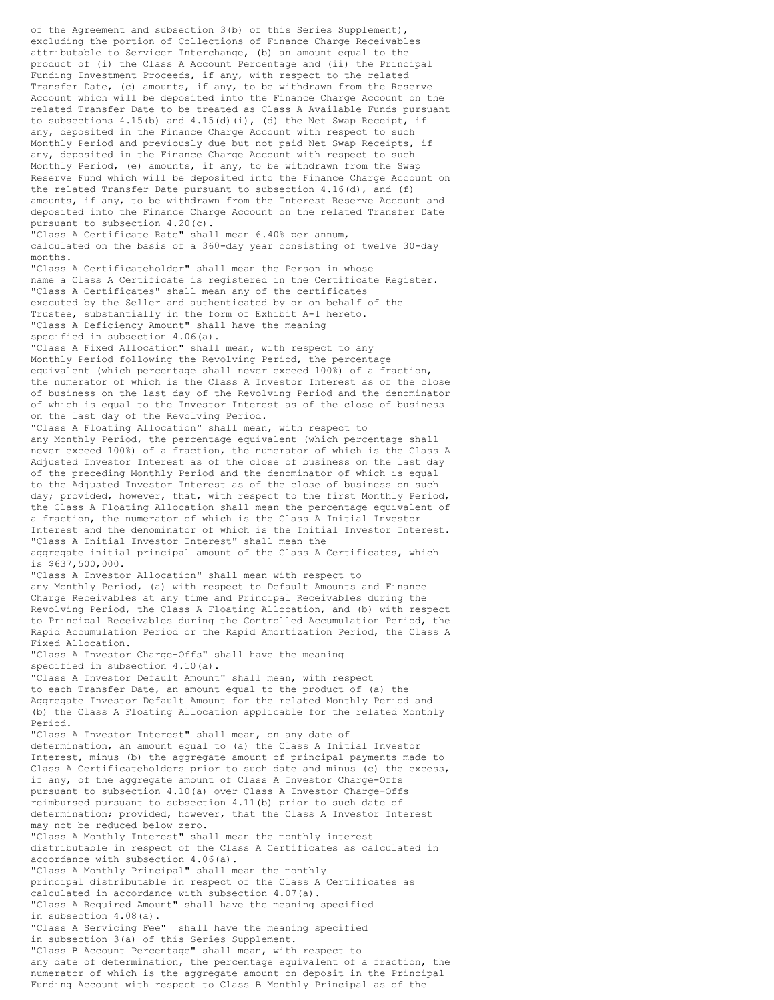of the Agreement and subsection  $3(b)$  of this Series Supplement), excluding the portion of Collections of Finance Charge Receivables attributable to Servicer Interchange, (b) an amount equal to the product of (i) the Class A Account Percentage and (ii) the Principal Funding Investment Proceeds, if any, with respect to the related Transfer Date, (c) amounts, if any, to be withdrawn from the Reserve Account which will be deposited into the Finance Charge Account on the related Transfer Date to be treated as Class A Available Funds pursuant to subsections  $4.15(b)$  and  $4.15(d)(i)$ , (d) the Net Swap Receipt, if any, deposited in the Finance Charge Account with respect to such Monthly Period and previously due but not paid Net Swap Receipts, if any, deposited in the Finance Charge Account with respect to such Monthly Period, (e) amounts, if any, to be withdrawn from the Swap Reserve Fund which will be deposited into the Finance Charge Account on the related Transfer Date pursuant to subsection 4.16(d), and (f) amounts, if any, to be withdrawn from the Interest Reserve Account and deposited into the Finance Charge Account on the related Transfer Date pursuant to subsection 4.20(c). "Class A Certificate Rate" shall mean 6.40% per annum, calculated on the basis of a 360-day year consisting of twelve 30-day months. "Class A Certificateholder" shall mean the Person in whose name a Class A Certificate is registered in the Certificate Register. "Class A Certificates" shall mean any of the certificates executed by the Seller and authenticated by or on behalf of the Trustee, substantially in the form of Exhibit A-1 hereto. "Class A Deficiency Amount" shall have the meaning specified in subsection 4.06(a). "Class A Fixed Allocation" shall mean, with respect to any Monthly Period following the Revolving Period, the percentage equivalent (which percentage shall never exceed 100%) of a fraction, the numerator of which is the Class A Investor Interest as of the close of business on the last day of the Revolving Period and the denominator of which is equal to the Investor Interest as of the close of business on the last day of the Revolving Period. "Class A Floating Allocation" shall mean, with respect to any Monthly Period, the percentage equivalent (which percentage shall never exceed 100%) of a fraction, the numerator of which is the Class A Adjusted Investor Interest as of the close of business on the last day of the preceding Monthly Period and the denominator of which is equal to the Adjusted Investor Interest as of the close of business on such day; provided, however, that, with respect to the first Monthly Period, the Class A Floating Allocation shall mean the percentage equivalent of a fraction, the numerator of which is the Class A Initial Investor Interest and the denominator of which is the Initial Investor Interest. "Class A Initial Investor Interest" shall mean the aggregate initial principal amount of the Class A Certificates, which is \$637,500,000. "Class A Investor Allocation" shall mean with respect to any Monthly Period, (a) with respect to Default Amounts and Finance Charge Receivables at any time and Principal Receivables during the Revolving Period, the Class A Floating Allocation, and (b) with respect to Principal Receivables during the Controlled Accumulation Period, the Rapid Accumulation Period or the Rapid Amortization Period, the Class A Fixed Allocation. "Class A Investor Charge-Offs" shall have the meaning specified in subsection 4.10(a). "Class A Investor Default Amount" shall mean, with respect to each Transfer Date, an amount equal to the product of (a) the Aggregate Investor Default Amount for the related Monthly Period and (b) the Class A Floating Allocation applicable for the related Monthly Period. "Class A Investor Interest" shall mean, on any date of determination, an amount equal to (a) the Class A Initial Investor Interest, minus (b) the aggregate amount of principal payments made to Class A Certificateholders prior to such date and minus (c) the excess, if any, of the aggregate amount of Class A Investor Charge-Offs pursuant to subsection 4.10(a) over Class A Investor Charge-Offs reimbursed pursuant to subsection 4.11(b) prior to such date of determination; provided, however, that the Class A Investor Interest may not be reduced below zero. "Class A Monthly Interest" shall mean the monthly interest distributable in respect of the Class A Certificates as calculated in accordance with subsection 4.06(a). "Class A Monthly Principal" shall mean the monthly principal distributable in respect of the Class A Certificates as calculated in accordance with subsection 4.07(a). "Class A Required Amount" shall have the meaning specified in subsection 4.08(a). "Class A Servicing Fee" shall have the meaning specified in subsection 3(a) of this Series Supplement. "Class B Account Percentage" shall mean, with respect to any date of determination, the percentage equivalent of a fraction, the numerator of which is the aggregate amount on deposit in the Principal Funding Account with respect to Class B Monthly Principal as of the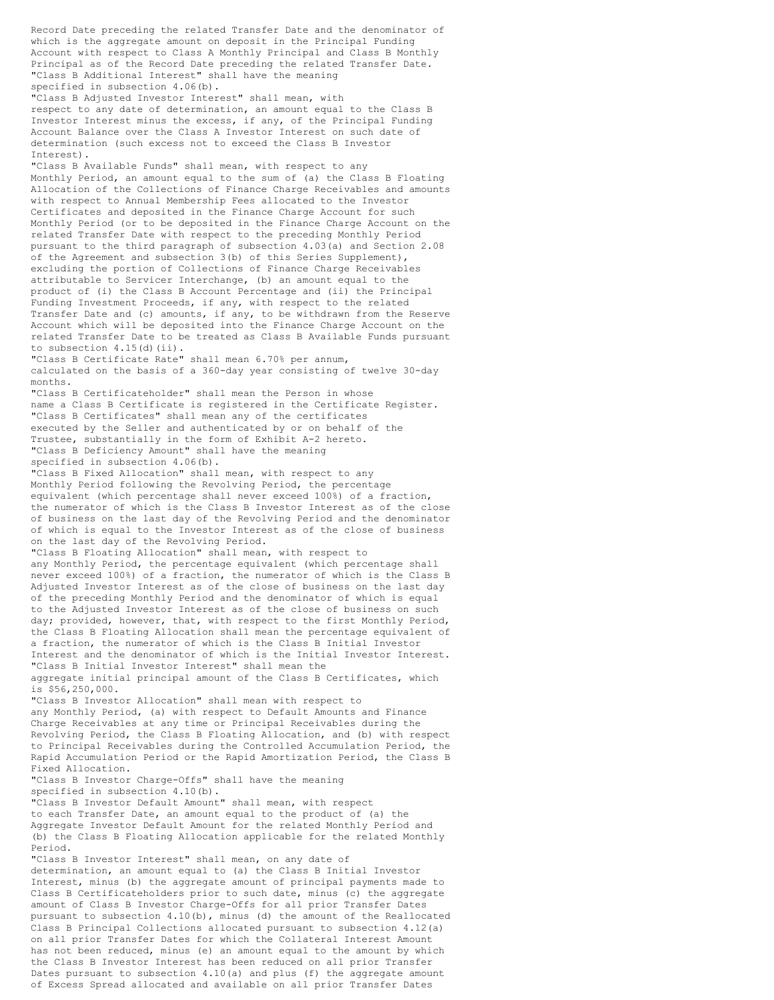Record Date preceding the related Transfer Date and the denominator of which is the aggregate amount on deposit in the Principal Funding Account with respect to Class A Monthly Principal and Class B Monthly Principal as of the Record Date preceding the related Transfer Date. "Class B Additional Interest" shall have the meaning specified in subsection 4.06(b). "Class B Adjusted Investor Interest" shall mean, with respect to any date of determination, an amount equal to the Class B Investor Interest minus the excess, if any, of the Principal Funding Account Balance over the Class A Investor Interest on such date of determination (such excess not to exceed the Class B Investor Interest). "Class B Available Funds" shall mean, with respect to any Monthly Period, an amount equal to the sum of (a) the Class B Floating Allocation of the Collections of Finance Charge Receivables and amounts with respect to Annual Membership Fees allocated to the Investor Certificates and deposited in the Finance Charge Account for such Monthly Period (or to be deposited in the Finance Charge Account on the related Transfer Date with respect to the preceding Monthly Period pursuant to the third paragraph of subsection 4.03(a) and Section 2.08 of the Agreement and subsection 3(b) of this Series Supplement), excluding the portion of Collections of Finance Charge Receivables attributable to Servicer Interchange, (b) an amount equal to the product of (i) the Class B Account Percentage and (ii) the Principal Funding Investment Proceeds, if any, with respect to the related Transfer Date and (c) amounts, if any, to be withdrawn from the Reserve Account which will be deposited into the Finance Charge Account on the related Transfer Date to be treated as Class B Available Funds pursuant to subsection  $4.15$ (d)(ii). "Class B Certificate Rate" shall mean 6.70% per annum, calculated on the basis of a 360-day year consisting of twelve 30-day months. "Class B Certificateholder" shall mean the Person in whose name a Class B Certificate is registered in the Certificate Register. "Class B Certificates" shall mean any of the certificates executed by the Seller and authenticated by or on behalf of the Trustee, substantially in the form of Exhibit A-2 hereto. "Class B Deficiency Amount" shall have the meaning specified in subsection 4.06(b). "Class B Fixed Allocation" shall mean, with respect to any Monthly Period following the Revolving Period, the percentage equivalent (which percentage shall never exceed 100%) of a fraction, the numerator of which is the Class B Investor Interest as of the close of business on the last day of the Revolving Period and the denominator of which is equal to the Investor Interest as of the close of business on the last day of the Revolving Period. "Class B Floating Allocation" shall mean, with respect to any Monthly Period, the percentage equivalent (which percentage shall never exceed 100%) of a fraction, the numerator of which is the Class B Adjusted Investor Interest as of the close of business on the last day of the preceding Monthly Period and the denominator of which is equal to the Adjusted Investor Interest as of the close of business on such day; provided, however, that, with respect to the first Monthly Period, the Class B Floating Allocation shall mean the percentage equivalent of a fraction, the numerator of which is the Class B Initial Investor Interest and the denominator of which is the Initial Investor Interest. "Class B Initial Investor Interest" shall mean the aggregate initial principal amount of the Class B Certificates, which is \$56,250,000. "Class B Investor Allocation" shall mean with respect to any Monthly Period, (a) with respect to Default Amounts and Finance Charge Receivables at any time or Principal Receivables during the Revolving Period, the Class B Floating Allocation, and (b) with respect to Principal Receivables during the Controlled Accumulation Period, the Rapid Accumulation Period or the Rapid Amortization Period, the Class B Fixed Allocation. "Class B Investor Charge-Offs" shall have the meaning specified in subsection 4.10(b). "Class B Investor Default Amount" shall mean, with respect to each Transfer Date, an amount equal to the product of (a) the Aggregate Investor Default Amount for the related Monthly Period and (b) the Class B Floating Allocation applicable for the related Monthly Period. "Class B Investor Interest" shall mean, on any date of determination, an amount equal to (a) the Class B Initial Investor Interest, minus (b) the aggregate amount of principal payments made to Class B Certificateholders prior to such date, minus (c) the aggregate amount of Class B Investor Charge-Offs for all prior Transfer Dates pursuant to subsection 4.10(b), minus (d) the amount of the Reallocated Class B Principal Collections allocated pursuant to subsection 4.12(a) on all prior Transfer Dates for which the Collateral Interest Amount has not been reduced, minus (e) an amount equal to the amount by which the Class B Investor Interest has been reduced on all prior Transfer

Dates pursuant to subsection 4.10(a) and plus (f) the aggregate amount of Excess Spread allocated and available on all prior Transfer Dates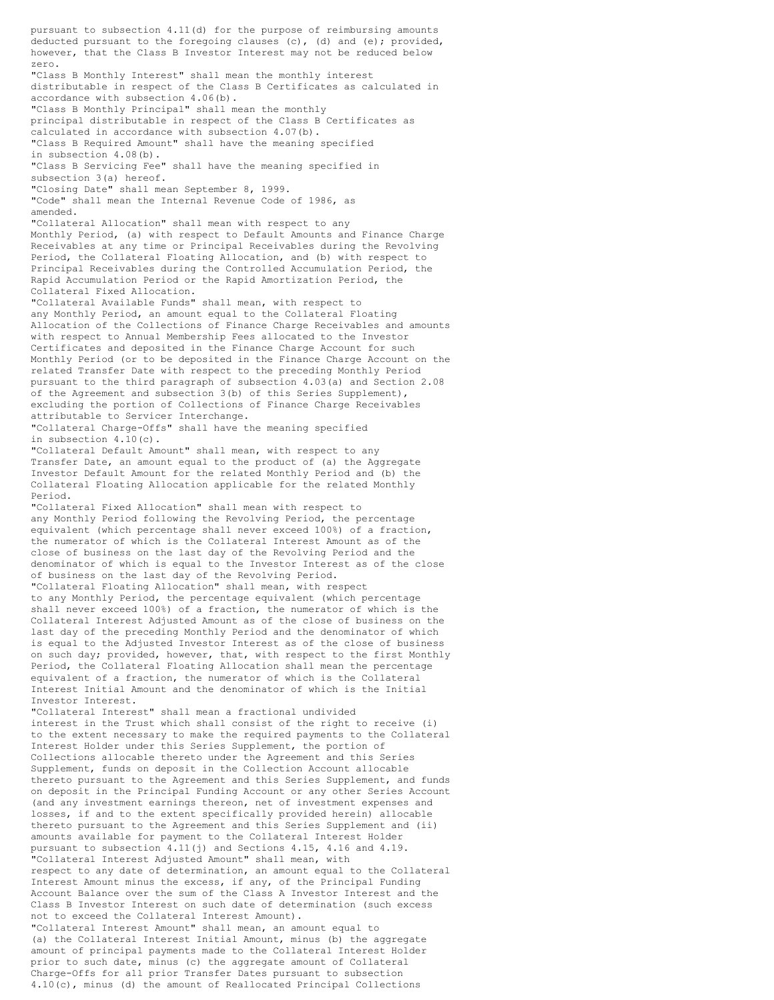pursuant to subsection 4.11(d) for the purpose of reimbursing amounts deducted pursuant to the foregoing clauses (c), (d) and (e); provided, however, that the Class B Investor Interest may not be reduced below zero. "Class B Monthly Interest" shall mean the monthly interest distributable in respect of the Class B Certificates as calculated in accordance with subsection 4.06(b). "Class B Monthly Principal" shall mean the monthly principal distributable in respect of the Class B Certificates as calculated in accordance with subsection 4.07(b). "Class B Required Amount" shall have the meaning specified in subsection 4.08(b). "Class B Servicing Fee" shall have the meaning specified in subsection 3(a) hereof. "Closing Date" shall mean September 8, 1999. "Code" shall mean the Internal Revenue Code of 1986, as amended. "Collateral Allocation" shall mean with respect to any Monthly Period, (a) with respect to Default Amounts and Finance Charge Receivables at any time or Principal Receivables during the Revolving Period, the Collateral Floating Allocation, and (b) with respect to Principal Receivables during the Controlled Accumulation Period, the Rapid Accumulation Period or the Rapid Amortization Period, the Collateral Fixed Allocation. "Collateral Available Funds" shall mean, with respect to any Monthly Period, an amount equal to the Collateral Floating Allocation of the Collections of Finance Charge Receivables and amounts with respect to Annual Membership Fees allocated to the Investor Certificates and deposited in the Finance Charge Account for such Monthly Period (or to be deposited in the Finance Charge Account on the related Transfer Date with respect to the preceding Monthly Period pursuant to the third paragraph of subsection 4.03(a) and Section 2.08 of the Agreement and subsection 3(b) of this Series Supplement), excluding the portion of Collections of Finance Charge Receivables attributable to Servicer Interchange. "Collateral Charge-Offs" shall have the meaning specified in subsection 4.10(c). "Collateral Default Amount" shall mean, with respect to any Transfer Date, an amount equal to the product of (a) the Aggregate Investor Default Amount for the related Monthly Period and (b) the Collateral Floating Allocation applicable for the related Monthly Period. "Collateral Fixed Allocation" shall mean with respect to any Monthly Period following the Revolving Period, the percentage equivalent (which percentage shall never exceed 100%) of a fraction, the numerator of which is the Collateral Interest Amount as of the close of business on the last day of the Revolving Period and the denominator of which is equal to the Investor Interest as of the close of business on the last day of the Revolving Period. "Collateral Floating Allocation" shall mean, with respect to any Monthly Period, the percentage equivalent (which percentage shall never exceed 100%) of a fraction, the numerator of which is the Collateral Interest Adjusted Amount as of the close of business on the last day of the preceding Monthly Period and the denominator of which is equal to the Adjusted Investor Interest as of the close of business on such day; provided, however, that, with respect to the first Monthly Period, the Collateral Floating Allocation shall mean the percentage equivalent of a fraction, the numerator of which is the Collateral Interest Initial Amount and the denominator of which is the Initial Investor Interest. "Collateral Interest" shall mean a fractional undivided interest in the Trust which shall consist of the right to receive (i) to the extent necessary to make the required payments to the Collateral Interest Holder under this Series Supplement, the portion of Collections allocable thereto under the Agreement and this Series Supplement, funds on deposit in the Collection Account allocable thereto pursuant to the Agreement and this Series Supplement, and funds on deposit in the Principal Funding Account or any other Series Account (and any investment earnings thereon, net of investment expenses and losses, if and to the extent specifically provided herein) allocable thereto pursuant to the Agreement and this Series Supplement and (ii) amounts available for payment to the Collateral Interest Holder pursuant to subsection 4.11(j) and Sections 4.15, 4.16 and 4.19. "Collateral Interest Adjusted Amount" shall mean, with respect to any date of determination, an amount equal to the Collateral Interest Amount minus the excess, if any, of the Principal Funding Account Balance over the sum of the Class A Investor Interest and the Class B Investor Interest on such date of determination (such excess not to exceed the Collateral Interest Amount). "Collateral Interest Amount" shall mean, an amount equal to (a) the Collateral Interest Initial Amount, minus (b) the aggregate amount of principal payments made to the Collateral Interest Holder prior to such date, minus (c) the aggregate amount of Collateral Charge-Offs for all prior Transfer Dates pursuant to subsection 4.10(c), minus (d) the amount of Reallocated Principal Collections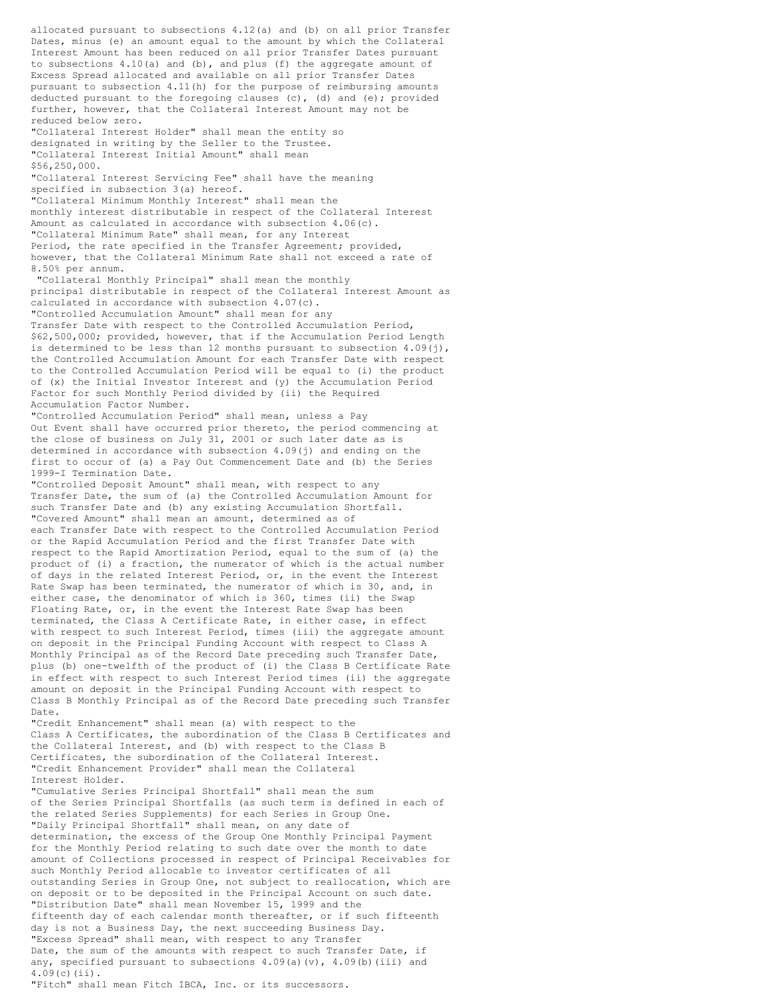allocated pursuant to subsections 4.12(a) and (b) on all prior Transfer Dates, minus (e) an amount equal to the amount by which the Collateral Interest Amount has been reduced on all prior Transfer Dates pursuant to subsections 4.10(a) and (b), and plus (f) the aggregate amount of Excess Spread allocated and available on all prior Transfer Dates pursuant to subsection 4.11(h) for the purpose of reimbursing amounts deducted pursuant to the foregoing clauses (c), (d) and (e); provided further, however, that the Collateral Interest Amount may not be reduced below zero. "Collateral Interest Holder" shall mean the entity so designated in writing by the Seller to the Trustee. "Collateral Interest Initial Amount" shall mean \$56,250,000. "Collateral Interest Servicing Fee" shall have the meaning specified in subsection 3(a) hereof. "Collateral Minimum Monthly Interest" shall mean the monthly interest distributable in respect of the Collateral Interest Amount as calculated in accordance with subsection 4.06(c). "Collateral Minimum Rate" shall mean, for any Interest Period, the rate specified in the Transfer Agreement; provided, however, that the Collateral Minimum Rate shall not exceed a rate of 8.50% per annum. "Collateral Monthly Principal" shall mean the monthly principal distributable in respect of the Collateral Interest Amount as calculated in accordance with subsection 4.07(c). "Controlled Accumulation Amount" shall mean for any Transfer Date with respect to the Controlled Accumulation Period, \$62,500,000; provided, however, that if the Accumulation Period Length is determined to be less than 12 months pursuant to subsection  $4.09(j)$ , the Controlled Accumulation Amount for each Transfer Date with respect to the Controlled Accumulation Period will be equal to (i) the product of (x) the Initial Investor Interest and (y) the Accumulation Period Factor for such Monthly Period divided by (ii) the Required Accumulation Factor Number. "Controlled Accumulation Period" shall mean, unless a Pay Out Event shall have occurred prior thereto, the period commencing at the close of business on July 31, 2001 or such later date as is determined in accordance with subsection 4.09(j) and ending on the first to occur of (a) a Pay Out Commencement Date and (b) the Series 1999-I Termination Date. "Controlled Deposit Amount" shall mean, with respect to any Transfer Date, the sum of (a) the Controlled Accumulation Amount for such Transfer Date and (b) any existing Accumulation Shortfall. "Covered Amount" shall mean an amount, determined as of each Transfer Date with respect to the Controlled Accumulation Period or the Rapid Accumulation Period and the first Transfer Date with respect to the Rapid Amortization Period, equal to the sum of (a) the product of (i) a fraction, the numerator of which is the actual number of days in the related Interest Period, or, in the event the Interest Rate Swap has been terminated, the numerator of which is 30, and, in either case, the denominator of which is 360, times (ii) the Swap Floating Rate, or, in the event the Interest Rate Swap has been terminated, the Class A Certificate Rate, in either case, in effect with respect to such Interest Period, times (iii) the aggregate amount on deposit in the Principal Funding Account with respect to Class A Monthly Principal as of the Record Date preceding such Transfer Date, plus (b) one-twelfth of the product of (i) the Class B Certificate Rate in effect with respect to such Interest Period times (ii) the aggregate amount on deposit in the Principal Funding Account with respect to Class B Monthly Principal as of the Record Date preceding such Transfer Date. "Credit Enhancement" shall mean (a) with respect to the Class A Certificates, the subordination of the Class B Certificates and the Collateral Interest, and (b) with respect to the Class B Certificates, the subordination of the Collateral Interest. "Credit Enhancement Provider" shall mean the Collateral Interest Holder. "Cumulative Series Principal Shortfall" shall mean the sum of the Series Principal Shortfalls (as such term is defined in each of the related Series Supplements) for each Series in Group One. "Daily Principal Shortfall" shall mean, on any date of determination, the excess of the Group One Monthly Principal Payment for the Monthly Period relating to such date over the month to date amount of Collections processed in respect of Principal Receivables for such Monthly Period allocable to investor certificates of all outstanding Series in Group One, not subject to reallocation, which are on deposit or to be deposited in the Principal Account on such date. "Distribution Date" shall mean November 15, 1999 and the fifteenth day of each calendar month thereafter, or if such fifteenth day is not a Business Day, the next succeeding Business Day. "Excess Spread" shall mean, with respect to any Transfer Date, the sum of the amounts with respect to such Transfer Date, if any, specified pursuant to subsections  $4.09(a)(v)$ ,  $4.09(b)(iii)$  and 4.09(c)(ii). "Fitch" shall mean Fitch IBCA, Inc. or its successors.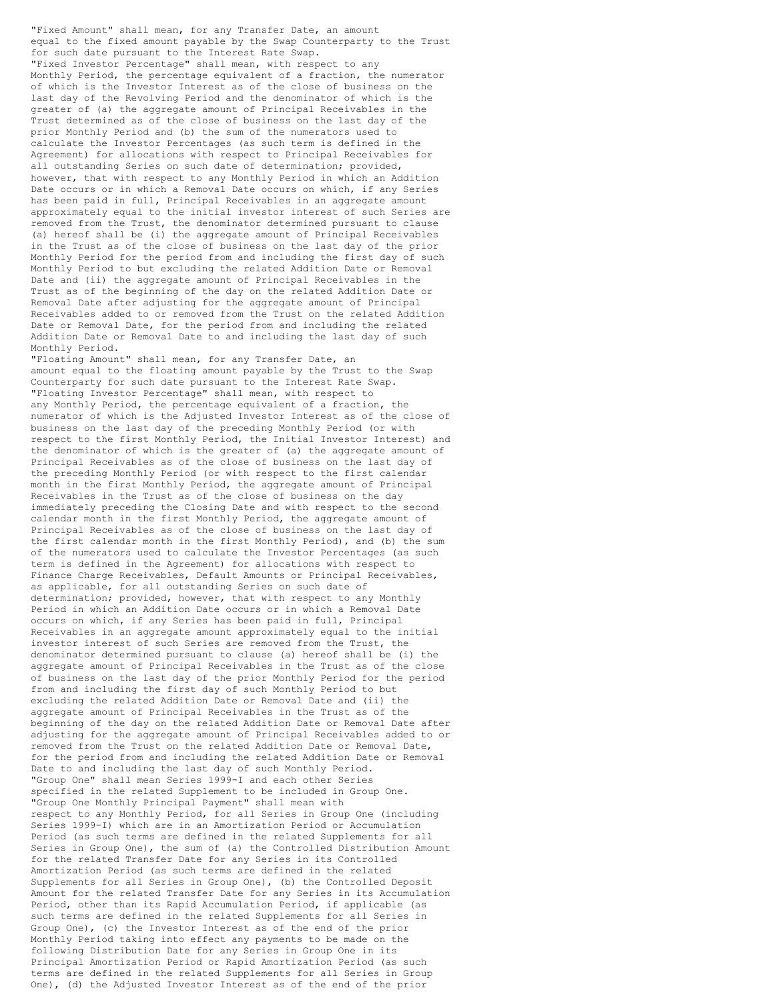"Fixed Amount" shall mean, for any Transfer Date, an amount equal to the fixed amount payable by the Swap Counterparty to the Trust for such date pursuant to the Interest Rate Swap. "Fixed Investor Percentage" shall mean, with respect to any Monthly Period, the percentage equivalent of a fraction, the numerator of which is the Investor Interest as of the close of business on the last day of the Revolving Period and the denominator of which is the greater of (a) the aggregate amount of Principal Receivables in the Trust determined as of the close of business on the last day of the prior Monthly Period and (b) the sum of the numerators used to calculate the Investor Percentages (as such term is defined in the Agreement) for allocations with respect to Principal Receivables for all outstanding Series on such date of determination; provided, however, that with respect to any Monthly Period in which an Addition Date occurs or in which a Removal Date occurs on which, if any Series has been paid in full, Principal Receivables in an aggregate amount approximately equal to the initial investor interest of such Series are removed from the Trust, the denominator determined pursuant to clause (a) hereof shall be (i) the aggregate amount of Principal Receivables in the Trust as of the close of business on the last day of the prior Monthly Period for the period from and including the first day of such Monthly Period to but excluding the related Addition Date or Removal Date and (ii) the aggregate amount of Principal Receivables in the Trust as of the beginning of the day on the related Addition Date or Removal Date after adjusting for the aggregate amount of Principal Receivables added to or removed from the Trust on the related Addition Date or Removal Date, for the period from and including the related Addition Date or Removal Date to and including the last day of such Monthly Period.

"Floating Amount" shall mean, for any Transfer Date, an amount equal to the floating amount payable by the Trust to the Swap Counterparty for such date pursuant to the Interest Rate Swap. "Floating Investor Percentage" shall mean, with respect to any Monthly Period, the percentage equivalent of a fraction, the numerator of which is the Adjusted Investor Interest as of the close of business on the last day of the preceding Monthly Period (or with respect to the first Monthly Period, the Initial Investor Interest) and the denominator of which is the greater of (a) the aggregate amount of Principal Receivables as of the close of business on the last day of the preceding Monthly Period (or with respect to the first calendar month in the first Monthly Period, the aggregate amount of Principal Receivables in the Trust as of the close of business on the day immediately preceding the Closing Date and with respect to the second calendar month in the first Monthly Period, the aggregate amount of Principal Receivables as of the close of business on the last day of the first calendar month in the first Monthly Period), and (b) the sum of the numerators used to calculate the Investor Percentages (as such term is defined in the Agreement) for allocations with respect to Finance Charge Receivables, Default Amounts or Principal Receivables, as applicable, for all outstanding Series on such date of determination; provided, however, that with respect to any Monthly Period in which an Addition Date occurs or in which a Removal Date occurs on which, if any Series has been paid in full, Principal Receivables in an aggregate amount approximately equal to the initial investor interest of such Series are removed from the Trust, the denominator determined pursuant to clause (a) hereof shall be (i) the aggregate amount of Principal Receivables in the Trust as of the close of business on the last day of the prior Monthly Period for the period from and including the first day of such Monthly Period to but excluding the related Addition Date or Removal Date and (ii) the aggregate amount of Principal Receivables in the Trust as of the beginning of the day on the related Addition Date or Removal Date after adjusting for the aggregate amount of Principal Receivables added to or removed from the Trust on the related Addition Date or Removal Date, for the period from and including the related Addition Date or Removal Date to and including the last day of such Monthly Period. "Group One" shall mean Series 1999-I and each other Series specified in the related Supplement to be included in Group One. "Group One Monthly Principal Payment" shall mean with respect to any Monthly Period, for all Series in Group One (including Series 1999-I) which are in an Amortization Period or Accumulation Period (as such terms are defined in the related Supplements for all Series in Group One), the sum of (a) the Controlled Distribution Amount for the related Transfer Date for any Series in its Controlled Amortization Period (as such terms are defined in the related Supplements for all Series in Group One), (b) the Controlled Deposit Amount for the related Transfer Date for any Series in its Accumulation Period, other than its Rapid Accumulation Period, if applicable (as such terms are defined in the related Supplements for all Series in Group One), (c) the Investor Interest as of the end of the prior Monthly Period taking into effect any payments to be made on the following Distribution Date for any Series in Group One in its Principal Amortization Period or Rapid Amortization Period (as such terms are defined in the related Supplements for all Series in Group One), (d) the Adjusted Investor Interest as of the end of the prior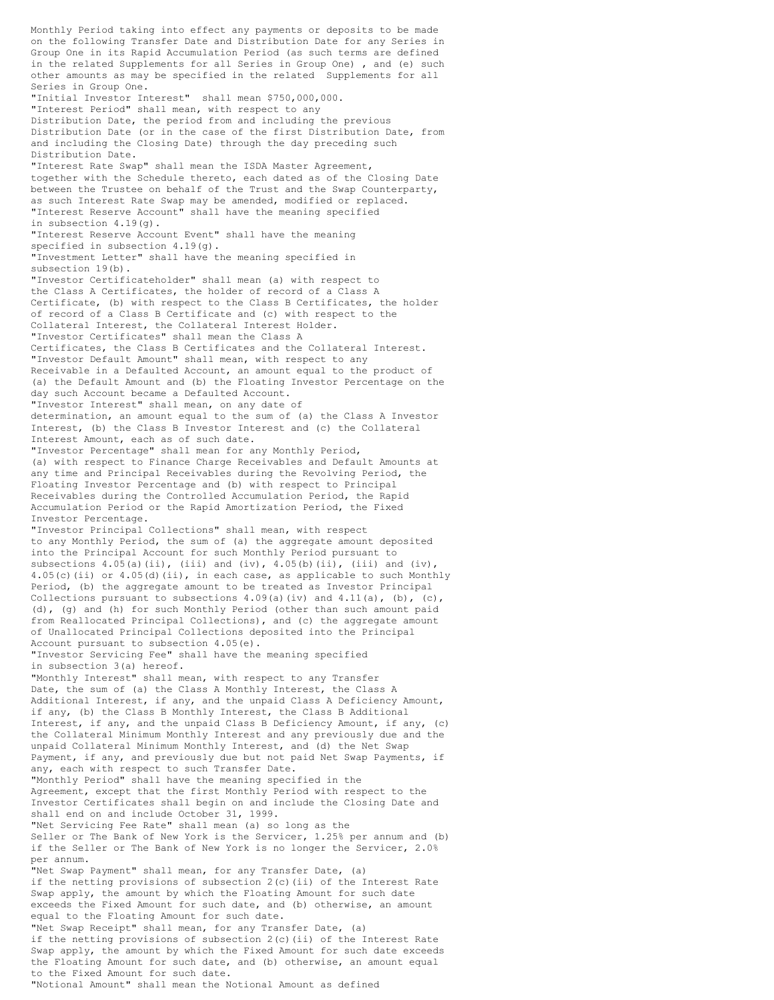Monthly Period taking into effect any payments or deposits to be made on the following Transfer Date and Distribution Date for any Series in Group One in its Rapid Accumulation Period (as such terms are defined in the related Supplements for all Series in Group One) , and (e) such other amounts as may be specified in the related Supplements for all Series in Group One. "Initial Investor Interest" shall mean \$750,000,000. "Interest Period" shall mean, with respect to any Distribution Date, the period from and including the previous Distribution Date (or in the case of the first Distribution Date, from and including the Closing Date) through the day preceding such Distribution Date. "Interest Rate Swap" shall mean the ISDA Master Agreement, together with the Schedule thereto, each dated as of the Closing Date between the Trustee on behalf of the Trust and the Swap Counterparty, as such Interest Rate Swap may be amended, modified or replaced. "Interest Reserve Account" shall have the meaning specified in subsection 4.19(g). "Interest Reserve Account Event" shall have the meaning specified in subsection 4.19(g). "Investment Letter" shall have the meaning specified in subsection 19(b). "Investor Certificateholder" shall mean (a) with respect to the Class A Certificates, the holder of record of a Class A Certificate, (b) with respect to the Class B Certificates, the holder of record of a Class B Certificate and (c) with respect to the Collateral Interest, the Collateral Interest Holder. "Investor Certificates" shall mean the Class A Certificates, the Class B Certificates and the Collateral Interest. "Investor Default Amount" shall mean, with respect to any Receivable in a Defaulted Account, an amount equal to the product of (a) the Default Amount and (b) the Floating Investor Percentage on the day such Account became a Defaulted Account. "Investor Interest" shall mean, on any date of determination, an amount equal to the sum of (a) the Class A Investor Interest, (b) the Class B Investor Interest and (c) the Collateral Interest Amount, each as of such date. "Investor Percentage" shall mean for any Monthly Period, (a) with respect to Finance Charge Receivables and Default Amounts at any time and Principal Receivables during the Revolving Period, the Floating Investor Percentage and (b) with respect to Principal Receivables during the Controlled Accumulation Period, the Rapid Accumulation Period or the Rapid Amortization Period, the Fixed Investor Percentage. "Investor Principal Collections" shall mean, with respect to any Monthly Period, the sum of (a) the aggregate amount deposited into the Principal Account for such Monthly Period pursuant to subsections  $4.05(a)(ii)$ , (iii) and (iv),  $4.05(b)(ii)$ , (iii) and (iv), 4.05(c)(ii) or 4.05(d)(ii), in each case, as applicable to such Monthly Period, (b) the aggregate amount to be treated as Investor Principal Collections pursuant to subsections  $4.09(a)(iv)$  and  $4.11(a)$ , (b), (c), (d), (g) and (h) for such Monthly Period (other than such amount paid from Reallocated Principal Collections), and (c) the aggregate amount of Unallocated Principal Collections deposited into the Principal Account pursuant to subsection 4.05(e). "Investor Servicing Fee" shall have the meaning specified in subsection 3(a) hereof. "Monthly Interest" shall mean, with respect to any Transfer Date, the sum of (a) the Class A Monthly Interest, the Class A Additional Interest, if any, and the unpaid Class A Deficiency Amount, if any, (b) the Class B Monthly Interest, the Class B Additional Interest, if any, and the unpaid Class B Deficiency Amount, if any, (c) the Collateral Minimum Monthly Interest and any previously due and the unpaid Collateral Minimum Monthly Interest, and (d) the Net Swap Payment, if any, and previously due but not paid Net Swap Payments, if any, each with respect to such Transfer Date. "Monthly Period" shall have the meaning specified in the Agreement, except that the first Monthly Period with respect to the Investor Certificates shall begin on and include the Closing Date and shall end on and include October 31, 1999. "Net Servicing Fee Rate" shall mean (a) so long as the Seller or The Bank of New York is the Servicer, 1.25% per annum and (b) if the Seller or The Bank of New York is no longer the Servicer, 2.0% per annum. .<br>"Net Swap Payment" shall mean, for any Transfer Date, (a) if the netting provisions of subsection  $2(c)$  (ii) of the Interest Rate Swap apply, the amount by which the Floating Amount for such date exceeds the Fixed Amount for such date, and (b) otherwise, an amount equal to the Floating Amount for such date. "Net Swap Receipt" shall mean, for any Transfer Date, (a) if the netting provisions of subsection  $2(c)$  (ii) of the Interest Rate Swap apply, the amount by which the Fixed Amount for such date exceeds the Floating Amount for such date, and (b) otherwise, an amount equal to the Fixed Amount for such date.

"Notional Amount" shall mean the Notional Amount as defined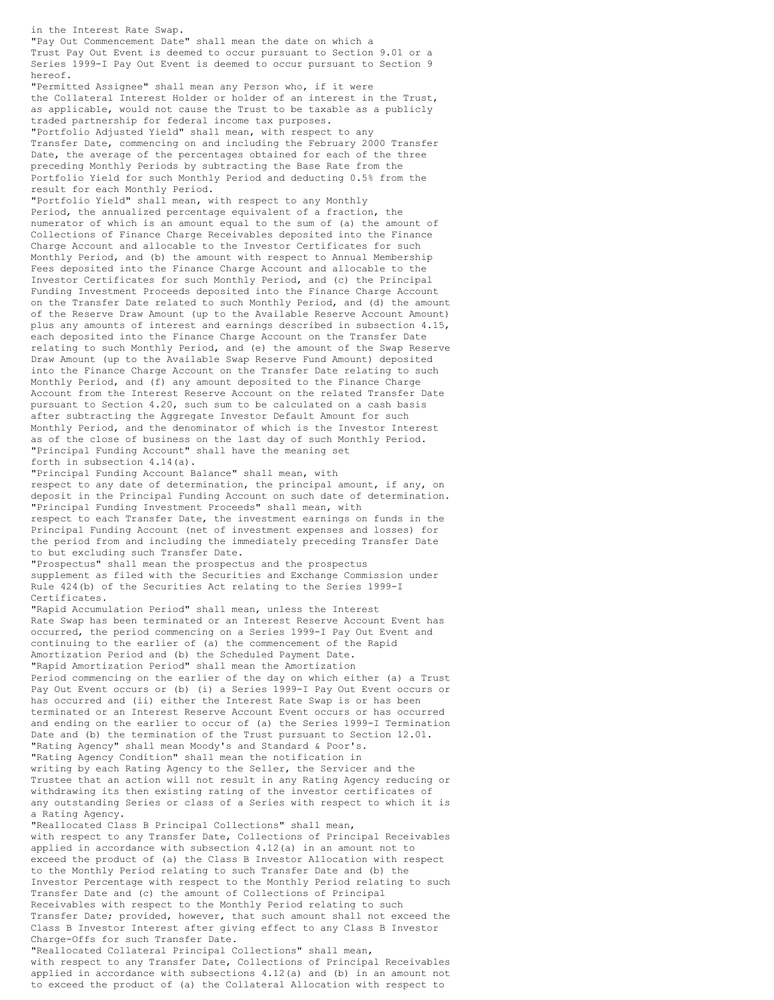in the Interest Rate Swap. "Pay Out Commencement Date" shall mean the date on which a Trust Pay Out Event is deemed to occur pursuant to Section 9.01 or a Series 1999-I Pay Out Event is deemed to occur pursuant to Section 9 hereof. "Permitted Assignee" shall mean any Person who, if it were the Collateral Interest Holder or holder of an interest in the Trust, as applicable, would not cause the Trust to be taxable as a publicly traded partnership for federal income tax purposes. "Portfolio Adjusted Yield" shall mean, with respect to any Transfer Date, commencing on and including the February 2000 Transfer Date, the average of the percentages obtained for each of the three preceding Monthly Periods by subtracting the Base Rate from the Portfolio Yield for such Monthly Period and deducting 0.5% from the result for each Monthly Period. "Portfolio Yield" shall mean, with respect to any Monthly Period, the annualized percentage equivalent of a fraction, the numerator of which is an amount equal to the sum of (a) the amount of Collections of Finance Charge Receivables deposited into the Finance Charge Account and allocable to the Investor Certificates for such Monthly Period, and (b) the amount with respect to Annual Membership Fees deposited into the Finance Charge Account and allocable to the Investor Certificates for such Monthly Period, and (c) the Principal Funding Investment Proceeds deposited into the Finance Charge Account on the Transfer Date related to such Monthly Period, and (d) the amount of the Reserve Draw Amount (up to the Available Reserve Account Amount) plus any amounts of interest and earnings described in subsection 4.15, each deposited into the Finance Charge Account on the Transfer Date relating to such Monthly Period, and (e) the amount of the Swap Reserve Draw Amount (up to the Available Swap Reserve Fund Amount) deposited into the Finance Charge Account on the Transfer Date relating to such Monthly Period, and (f) any amount deposited to the Finance Charge Account from the Interest Reserve Account on the related Transfer Date

"Principal Funding Account" shall have the meaning set forth in subsection 4.14(a). "Principal Funding Account Balance" shall mean, with respect to any date of determination, the principal amount, if any, on deposit in the Principal Funding Account on such date of determination. "Principal Funding Investment Proceeds" shall mean, with

pursuant to Section 4.20, such sum to be calculated on a cash basis after subtracting the Aggregate Investor Default Amount for such Monthly Period, and the denominator of which is the Investor Interest as of the close of business on the last day of such Monthly Period.

respect to each Transfer Date, the investment earnings on funds in the Principal Funding Account (net of investment expenses and losses) for the period from and including the immediately preceding Transfer Date to but excluding such Transfer Date.

"Prospectus" shall mean the prospectus and the prospectus supplement as filed with the Securities and Exchange Commission under Rule 424(b) of the Securities Act relating to the Series 1999-I Certificates.

"Rapid Accumulation Period" shall mean, unless the Interest Rate Swap has been terminated or an Interest Reserve Account Event has occurred, the period commencing on a Series 1999-I Pay Out Event and continuing to the earlier of (a) the commencement of the Rapid Amortization Period and (b) the Scheduled Payment Date. "Rapid Amortization Period" shall mean the Amortization Period commencing on the earlier of the day on which either (a) a Trust Pay Out Event occurs or (b) (i) a Series 1999-I Pay Out Event occurs or has occurred and (ii) either the Interest Rate Swap is or has been terminated or an Interest Reserve Account Event occurs or has occurred and ending on the earlier to occur of (a) the Series 1999-I Termination Date and (b) the termination of the Trust pursuant to Section 12.01. "Rating Agency" shall mean Moody's and Standard & Poor's. "Rating Agency Condition" shall mean the notification in writing by each Rating Agency to the Seller, the Servicer and the Trustee that an action will not result in any Rating Agency reducing or withdrawing its then existing rating of the investor certificates of any outstanding Series or class of a Series with respect to which it is a Rating Agency.

"Reallocated Class B Principal Collections" shall mean, with respect to any Transfer Date, Collections of Principal Receivables applied in accordance with subsection 4.12(a) in an amount not to exceed the product of (a) the Class B Investor Allocation with respect to the Monthly Period relating to such Transfer Date and (b) the Investor Percentage with respect to the Monthly Period relating to such Transfer Date and (c) the amount of Collections of Principal Receivables with respect to the Monthly Period relating to such Transfer Date; provided, however, that such amount shall not exceed the Class B Investor Interest after giving effect to any Class B Investor Charge-Offs for such Transfer Date.

"Reallocated Collateral Principal Collections" shall mean, with respect to any Transfer Date, Collections of Principal Receivables applied in accordance with subsections 4.12(a) and (b) in an amount not to exceed the product of (a) the Collateral Allocation with respect to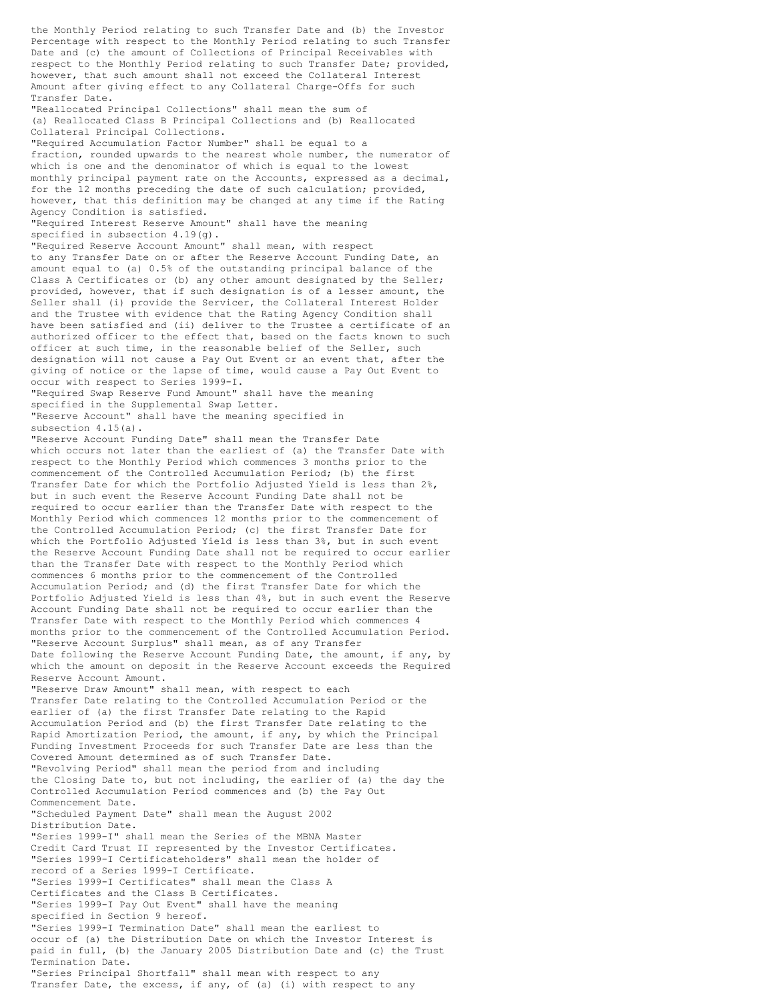the Monthly Period relating to such Transfer Date and (b) the Investor Percentage with respect to the Monthly Period relating to such Transfer Date and (c) the amount of Collections of Principal Receivables with respect to the Monthly Period relating to such Transfer Date; provided, however, that such amount shall not exceed the Collateral Interest Amount after giving effect to any Collateral Charge-Offs for such Transfer Date. "Reallocated Principal Collections" shall mean the sum of (a) Reallocated Class B Principal Collections and (b) Reallocated Collateral Principal Collections. "Required Accumulation Factor Number" shall be equal to a fraction, rounded upwards to the nearest whole number, the numerator of which is one and the denominator of which is equal to the lowest monthly principal payment rate on the Accounts, expressed as a decimal, for the 12 months preceding the date of such calculation; provided, however, that this definition may be changed at any time if the Rating Agency Condition is satisfied. "Required Interest Reserve Amount" shall have the meaning specified in subsection 4.19(g). "Required Reserve Account Amount" shall mean, with respect to any Transfer Date on or after the Reserve Account Funding Date, an amount equal to (a) 0.5% of the outstanding principal balance of the Class A Certificates or (b) any other amount designated by the Seller; provided, however, that if such designation is of a lesser amount, the Seller shall (i) provide the Servicer, the Collateral Interest Holder and the Trustee with evidence that the Rating Agency Condition shall have been satisfied and (ii) deliver to the Trustee a certificate of an authorized officer to the effect that, based on the facts known to such officer at such time, in the reasonable belief of the Seller, such designation will not cause a Pay Out Event or an event that, after the giving of notice or the lapse of time, would cause a Pay Out Event to occur with respect to Series 1999-I. "Required Swap Reserve Fund Amount" shall have the meaning specified in the Supplemental Swap Letter. "Reserve Account" shall have the meaning specified in subsection 4.15(a). "Reserve Account Funding Date" shall mean the Transfer Date which occurs not later than the earliest of (a) the Transfer Date with respect to the Monthly Period which commences 3 months prior to the commencement of the Controlled Accumulation Period; (b) the first Transfer Date for which the Portfolio Adjusted Yield is less than 2%, but in such event the Reserve Account Funding Date shall not be required to occur earlier than the Transfer Date with respect to the Monthly Period which commences 12 months prior to the commencement of the Controlled Accumulation Period; (c) the first Transfer Date for which the Portfolio Adjusted Yield is less than 3%, but in such event the Reserve Account Funding Date shall not be required to occur earlier than the Transfer Date with respect to the Monthly Period which commences 6 months prior to the commencement of the Controlled Accumulation Period; and (d) the first Transfer Date for which the Portfolio Adjusted Yield is less than 4%, but in such event the Reserve Account Funding Date shall not be required to occur earlier than the Transfer Date with respect to the Monthly Period which commences 4 months prior to the commencement of the Controlled Accumulation Period. "Reserve Account Surplus" shall mean, as of any Transfer Date following the Reserve Account Funding Date, the amount, if any, by which the amount on deposit in the Reserve Account exceeds the Required Reserve Account Amount. "Reserve Draw Amount" shall mean, with respect to each Transfer Date relating to the Controlled Accumulation Period or the earlier of (a) the first Transfer Date relating to the Rapid Accumulation Period and (b) the first Transfer Date relating to the Rapid Amortization Period, the amount, if any, by which the Principal Funding Investment Proceeds for such Transfer Date are less than the Covered Amount determined as of such Transfer Date. "Revolving Period" shall mean the period from and including the Closing Date to, but not including, the earlier of (a) the day the Controlled Accumulation Period commences and (b) the Pay Out Commencement Date. "Scheduled Payment Date" shall mean the August 2002 Distribution Date. "Series 1999-I" shall mean the Series of the MBNA Master Credit Card Trust II represented by the Investor Certificates. "Series 1999-I Certificateholders" shall mean the holder of record of a Series 1999-I Certificate. "Series 1999-I Certificates" shall mean the Class A Certificates and the Class B Certificates. "Series 1999-I Pay Out Event" shall have the meaning specified in Section 9 hereof. "Series 1999-I Termination Date" shall mean the earliest to occur of (a) the Distribution Date on which the Investor Interest is paid in full, (b) the January 2005 Distribution Date and (c) the Trust Termination Date. "Series Principal Shortfall" shall mean with respect to any Transfer Date, the excess, if any, of (a) (i) with respect to any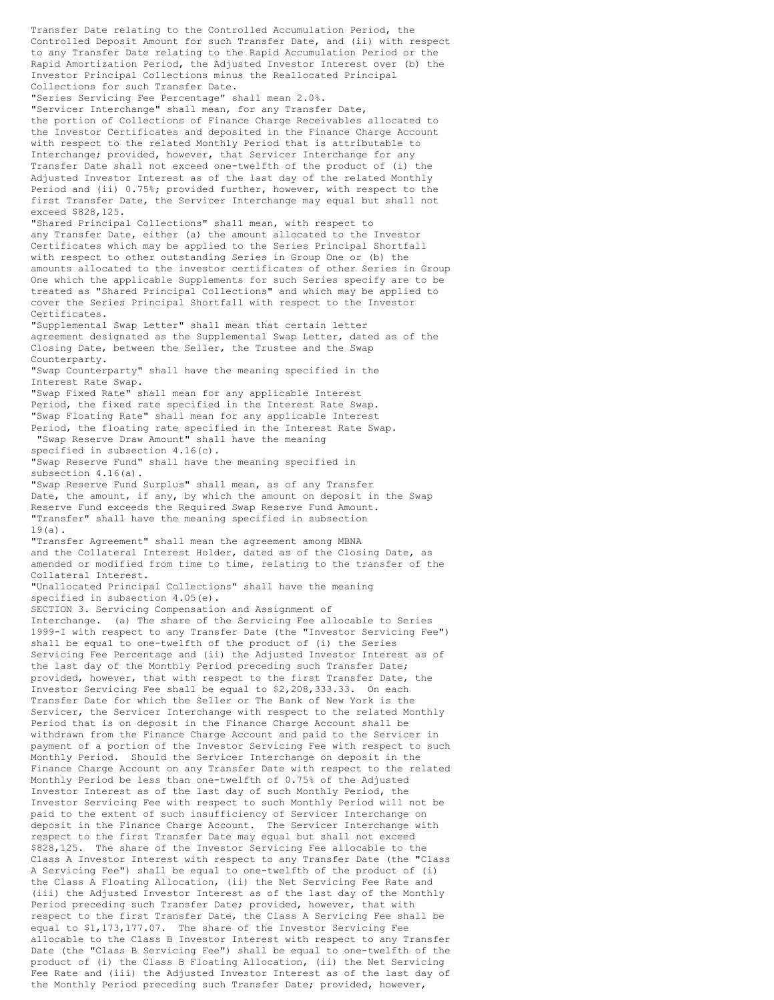Transfer Date relating to the Controlled Accumulation Period, the Controlled Deposit Amount for such Transfer Date, and (ii) with respect to any Transfer Date relating to the Rapid Accumulation Period or the Rapid Amortization Period, the Adjusted Investor Interest over (b) the Investor Principal Collections minus the Reallocated Principal Collections for such Transfer Date.

"Series Servicing Fee Percentage" shall mean 2.0%. "Servicer Interchange" shall mean, for any Transfer Date, the portion of Collections of Finance Charge Receivables allocated to

the Investor Certificates and deposited in the Finance Charge Account with respect to the related Monthly Period that is attributable to Interchange; provided, however, that Servicer Interchange for any Transfer Date shall not exceed one-twelfth of the product of (i) the Adjusted Investor Interest as of the last day of the related Monthly Period and (ii) 0.75%; provided further, however, with respect to the first Transfer Date, the Servicer Interchange may equal but shall not exceed \$828,125.

"Shared Principal Collections" shall mean, with respect to any Transfer Date, either (a) the amount allocated to the Investor Certificates which may be applied to the Series Principal Shortfall with respect to other outstanding Series in Group One or (b) the amounts allocated to the investor certificates of other Series in Group One which the applicable Supplements for such Series specify are to be treated as "Shared Principal Collections" and which may be applied to cover the Series Principal Shortfall with respect to the Investor Certificates.

"Supplemental Swap Letter" shall mean that certain letter agreement designated as the Supplemental Swap Letter, dated as of the Closing Date, between the Seller, the Trustee and the Swap Counterparty.

"Swap Counterparty" shall have the meaning specified in the Interest Rate Swap.

"Swap Fixed Rate" shall mean for any applicable Interest Period, the fixed rate specified in the Interest Rate Swap. "Swap Floating Rate" shall mean for any applicable Interest Period, the floating rate specified in the Interest Rate Swap. "Swap Reserve Draw Amount" shall have the meaning specified in subsection 4.16(c).

"Swap Reserve Fund" shall have the meaning specified in subsection 4.16(a).

"Swap Reserve Fund Surplus" shall mean, as of any Transfer Date, the amount, if any, by which the amount on deposit in the Swap Reserve Fund exceeds the Required Swap Reserve Fund Amount. "Transfer" shall have the meaning specified in subsection 19(a).

"Transfer Agreement" shall mean the agreement among MBNA and the Collateral Interest Holder, dated as of the Closing Date, as amended or modified from time to time, relating to the transfer of the Collateral Interest.

"Unallocated Principal Collections" shall have the meaning specified in subsection 4.05(e).

SECTION 3. Servicing Compensation and Assignment of Interchange. (a) The share of the Servicing Fee allocable to Series 1999-I with respect to any Transfer Date (the "Investor Servicing Fee") shall be equal to one-twelfth of the product of (i) the Series Servicing Fee Percentage and (ii) the Adjusted Investor Interest as of the last day of the Monthly Period preceding such Transfer Date; provided, however, that with respect to the first Transfer Date, the Investor Servicing Fee shall be equal to \$2,208,333.33. On each Transfer Date for which the Seller or The Bank of New York is the Servicer, the Servicer Interchange with respect to the related Monthly Period that is on deposit in the Finance Charge Account shall be withdrawn from the Finance Charge Account and paid to the Servicer in payment of a portion of the Investor Servicing Fee with respect to such Monthly Period. Should the Servicer Interchange on deposit in the Finance Charge Account on any Transfer Date with respect to the related Monthly Period be less than one-twelfth of 0.75% of the Adjusted Investor Interest as of the last day of such Monthly Period, the Investor Servicing Fee with respect to such Monthly Period will not be paid to the extent of such insufficiency of Servicer Interchange on deposit in the Finance Charge Account. The Servicer Interchange with respect to the first Transfer Date may equal but shall not exceed \$828,125. The share of the Investor Servicing Fee allocable to the Class A Investor Interest with respect to any Transfer Date (the "Class A Servicing Fee") shall be equal to one-twelfth of the product of (i) the Class A Floating Allocation, (ii) the Net Servicing Fee Rate and (iii) the Adjusted Investor Interest as of the last day of the Monthly Period preceding such Transfer Date; provided, however, that with respect to the first Transfer Date, the Class A Servicing Fee shall be equal to \$1,173,177.07. The share of the Investor Servicing Fee allocable to the Class B Investor Interest with respect to any Transfer Date (the "Class B Servicing Fee") shall be equal to one-twelfth of the product of (i) the Class B Floating Allocation, (ii) the Net Servicing Fee Rate and (iii) the Adjusted Investor Interest as of the last day of the Monthly Period preceding such Transfer Date; provided, however,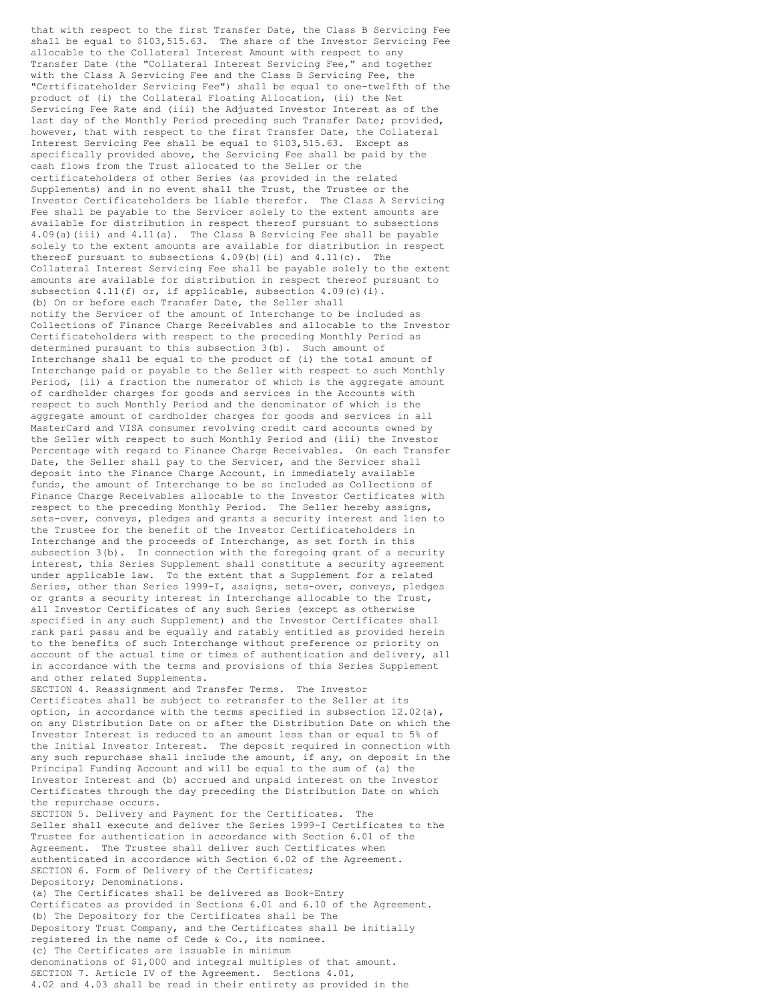that with respect to the first Transfer Date, the Class B Servicing Fee shall be equal to \$103,515.63. The share of the Investor Servicing Fee allocable to the Collateral Interest Amount with respect to any Transfer Date (the "Collateral Interest Servicing Fee," and together with the Class A Servicing Fee and the Class B Servicing Fee, the "Certificateholder Servicing Fee") shall be equal to one-twelfth of the product of (i) the Collateral Floating Allocation, (ii) the Net Servicing Fee Rate and (iii) the Adjusted Investor Interest as of the last day of the Monthly Period preceding such Transfer Date; provided, however, that with respect to the first Transfer Date, the Collateral Interest Servicing Fee shall be equal to \$103,515.63. Except as specifically provided above, the Servicing Fee shall be paid by the cash flows from the Trust allocated to the Seller or the certificateholders of other Series (as provided in the related Supplements) and in no event shall the Trust, the Trustee or the Investor Certificateholders be liable therefor. The Class A Servicing Fee shall be payable to the Servicer solely to the extent amounts are available for distribution in respect thereof pursuant to subsections 4.09(a)(iii) and 4.11(a). The Class B Servicing Fee shall be payable solely to the extent amounts are available for distribution in respect thereof pursuant to subsections  $4.09(b)$  (ii) and  $4.11(c)$ . The Collateral Interest Servicing Fee shall be payable solely to the extent amounts are available for distribution in respect thereof pursuant to subsection  $4.11(f)$  or, if applicable, subsection  $4.09(c)(i)$ . (b) On or before each Transfer Date, the Seller shall notify the Servicer of the amount of Interchange to be included as Collections of Finance Charge Receivables and allocable to the Investor Certificateholders with respect to the preceding Monthly Period as determined pursuant to this subsection 3(b). Such amount of Interchange shall be equal to the product of (i) the total amount of Interchange paid or payable to the Seller with respect to such Monthly Period, (ii) a fraction the numerator of which is the aggregate amount of cardholder charges for goods and services in the Accounts with respect to such Monthly Period and the denominator of which is the aggregate amount of cardholder charges for goods and services in all MasterCard and VISA consumer revolving credit card accounts owned by the Seller with respect to such Monthly Period and (iii) the Investor Percentage with regard to Finance Charge Receivables. On each Transfer Date, the Seller shall pay to the Servicer, and the Servicer shall deposit into the Finance Charge Account, in immediately available funds, the amount of Interchange to be so included as Collections of Finance Charge Receivables allocable to the Investor Certificates with respect to the preceding Monthly Period. The Seller hereby assigns, sets-over, conveys, pledges and grants a security interest and lien to the Trustee for the benefit of the Investor Certificateholders in Interchange and the proceeds of Interchange, as set forth in this subsection  $3(b)$ . In connection with the foregoing grant of a security interest, this Series Supplement shall constitute a security agreement under applicable law. To the extent that a Supplement for a related Series, other than Series 1999-I, assigns, sets-over, conveys, pledges or grants a security interest in Interchange allocable to the Trust, all Investor Certificates of any such Series (except as otherwise specified in any such Supplement) and the Investor Certificates shall rank pari passu and be equally and ratably entitled as provided herein to the benefits of such Interchange without preference or priority on account of the actual time or times of authentication and delivery, all in accordance with the terms and provisions of this Series Supplement and other related Supplements. SECTION 4. Reassignment and Transfer Terms. The Investor Certificates shall be subject to retransfer to the Seller at its option, in accordance with the terms specified in subsection 12.02(a), on any Distribution Date on or after the Distribution Date on which the Investor Interest is reduced to an amount less than or equal to 5% of the Initial Investor Interest. The deposit required in connection with any such repurchase shall include the amount, if any, on deposit in the Principal Funding Account and will be equal to the sum of (a) the Investor Interest and (b) accrued and unpaid interest on the Investor Certificates through the day preceding the Distribution Date on which the repurchase occurs. SECTION 5. Delivery and Payment for the Certificates. The Seller shall execute and deliver the Series 1999-I Certificates to the Trustee for authentication in accordance with Section 6.01 of the Agreement. The Trustee shall deliver such Certificates when authenticated in accordance with Section 6.02 of the Agreement. SECTION 6. Form of Delivery of the Certificates; Depository; Denominations. (a) The Certificates shall be delivered as Book-Entry Certificates as provided in Sections 6.01 and 6.10 of the Agreement. (b) The Depository for the Certificates shall be The Depository Trust Company, and the Certificates shall be initially registered in the name of Cede & Co., its nominee. (c) The Certificates are issuable in minimum denominations of \$1,000 and integral multiples of that amount. SECTION 7. Article IV of the Agreement. Sections 4.01, 4.02 and 4.03 shall be read in their entirety as provided in the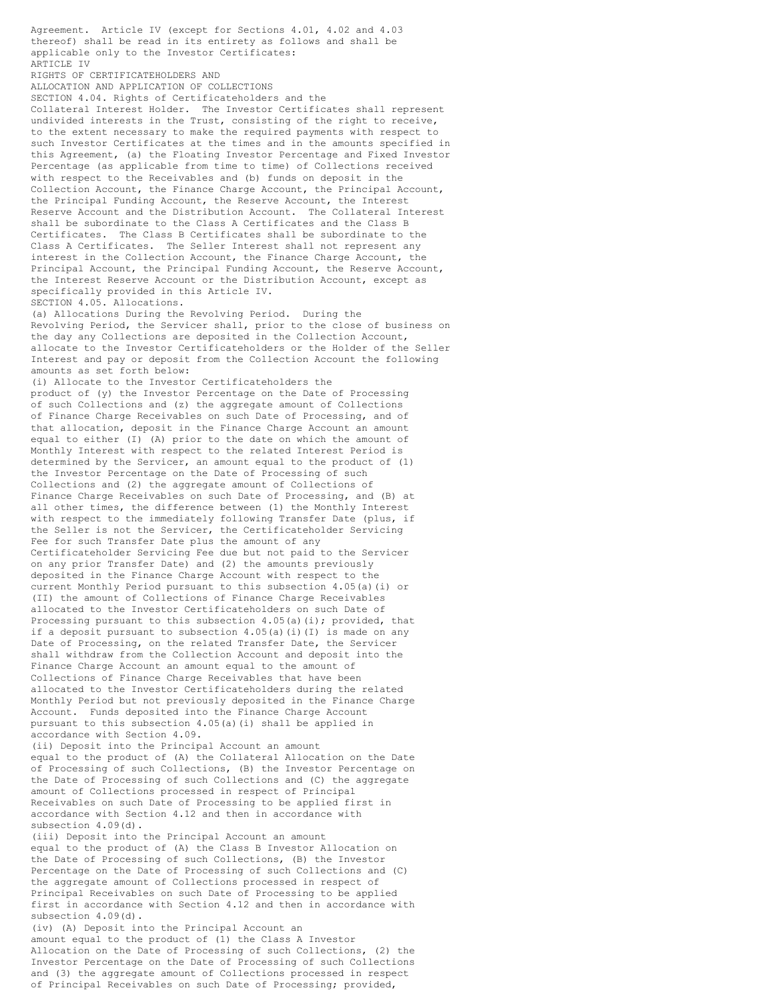Agreement. Article IV (except for Sections 4.01, 4.02 and 4.03 thereof) shall be read in its entirety as follows and shall be applicable only to the Investor Certificates: ARTICLE IV RIGHTS OF CERTIFICATEHOLDERS AND ALLOCATION AND APPLICATION OF COLLECTIONS SECTION 4.04. Rights of Certificateholders and the Collateral Interest Holder. The Investor Certificates shall represent undivided interests in the Trust, consisting of the right to receive, to the extent necessary to make the required payments with respect to such Investor Certificates at the times and in the amounts specified in this Agreement, (a) the Floating Investor Percentage and Fixed Investor Percentage (as applicable from time to time) of Collections received with respect to the Receivables and (b) funds on deposit in the Collection Account, the Finance Charge Account, the Principal Account, the Principal Funding Account, the Reserve Account, the Interest Reserve Account and the Distribution Account. The Collateral Interest shall be subordinate to the Class A Certificates and the Class B Certificates. The Class B Certificates shall be subordinate to the Class A Certificates. The Seller Interest shall not represent any interest in the Collection Account, the Finance Charge Account, the Principal Account, the Principal Funding Account, the Reserve Account, the Interest Reserve Account or the Distribution Account, except as specifically provided in this Article IV. SECTION 4.05. Allocations. (a) Allocations During the Revolving Period. During the Revolving Period, the Servicer shall, prior to the close of business on the day any Collections are deposited in the Collection Account, allocate to the Investor Certificateholders or the Holder of the Seller Interest and pay or deposit from the Collection Account the following amounts as set forth below: (i) Allocate to the Investor Certificateholders the product of (y) the Investor Percentage on the Date of Processing of such Collections and (z) the aggregate amount of Collections of Finance Charge Receivables on such Date of Processing, and of that allocation, deposit in the Finance Charge Account an amount equal to either (I) (A) prior to the date on which the amount of Monthly Interest with respect to the related Interest Period is determined by the Servicer, an amount equal to the product of (1) the Investor Percentage on the Date of Processing of such Collections and (2) the aggregate amount of Collections of Finance Charge Receivables on such Date of Processing, and (B) at all other times, the difference between (1) the Monthly Interest with respect to the immediately following Transfer Date (plus, if the Seller is not the Servicer, the Certificateholder Servicing Fee for such Transfer Date plus the amount of any Certificateholder Servicing Fee due but not paid to the Servicer on any prior Transfer Date) and (2) the amounts previously deposited in the Finance Charge Account with respect to the current Monthly Period pursuant to this subsection 4.05(a)(i) or (II) the amount of Collections of Finance Charge Receivables allocated to the Investor Certificateholders on such Date of Processing pursuant to this subsection  $4.05(a)(i)$ ; provided, that if a deposit pursuant to subsection  $4.05(a)$  (i)(I) is made on any Date of Processing, on the related Transfer Date, the Servicer shall withdraw from the Collection Account and deposit into the Finance Charge Account an amount equal to the amount of Collections of Finance Charge Receivables that have been allocated to the Investor Certificateholders during the related Monthly Period but not previously deposited in the Finance Charge Account. Funds deposited into the Finance Charge Account pursuant to this subsection 4.05(a)(i) shall be applied in accordance with Section 4.09. (ii) Deposit into the Principal Account an amount equal to the product of (A) the Collateral Allocation on the Date of Processing of such Collections, (B) the Investor Percentage on the Date of Processing of such Collections and (C) the aggregate amount of Collections processed in respect of Principal Receivables on such Date of Processing to be applied first in accordance with Section 4.12 and then in accordance with subsection 4.09(d). (iii) Deposit into the Principal Account an amount equal to the product of (A) the Class B Investor Allocation on the Date of Processing of such Collections, (B) the Investor Percentage on the Date of Processing of such Collections and (C) the aggregate amount of Collections processed in respect of Principal Receivables on such Date of Processing to be applied first in accordance with Section 4.12 and then in accordance with subsection 4.09(d).

(iv) (A) Deposit into the Principal Account an amount equal to the product of (1) the Class A Investor Allocation on the Date of Processing of such Collections, (2) the Investor Percentage on the Date of Processing of such Collections and (3) the aggregate amount of Collections processed in respect of Principal Receivables on such Date of Processing; provided,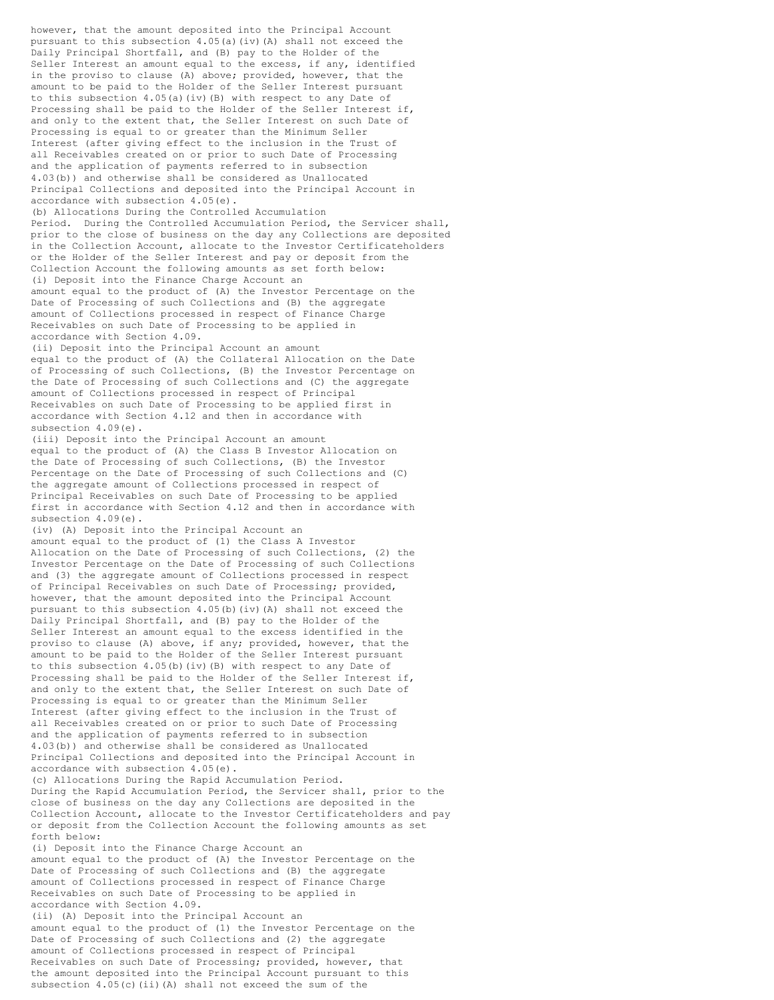however, that the amount deposited into the Principal Account pursuant to this subsection  $4.05(a)$  (iv)(A) shall not exceed the Daily Principal Shortfall, and (B) pay to the Holder of the Seller Interest an amount equal to the excess, if any, identified in the proviso to clause (A) above; provided, however, that the amount to be paid to the Holder of the Seller Interest pursuant to this subsection 4.05(a)(iv)(B) with respect to any Date of Processing shall be paid to the Holder of the Seller Interest if, and only to the extent that, the Seller Interest on such Date of Processing is equal to or greater than the Minimum Seller Interest (after giving effect to the inclusion in the Trust of all Receivables created on or prior to such Date of Processing and the application of payments referred to in subsection 4.03(b)) and otherwise shall be considered as Unallocated Principal Collections and deposited into the Principal Account in accordance with subsection 4.05(e). (b) Allocations During the Controlled Accumulation Period. During the Controlled Accumulation Period, the Servicer shall, prior to the close of business on the day any Collections are deposited in the Collection Account, allocate to the Investor Certificateholders or the Holder of the Seller Interest and pay or deposit from the Collection Account the following amounts as set forth below: (i) Deposit into the Finance Charge Account an amount equal to the product of (A) the Investor Percentage on the Date of Processing of such Collections and (B) the aggregate amount of Collections processed in respect of Finance Charge Receivables on such Date of Processing to be applied in accordance with Section 4.09. (ii) Deposit into the Principal Account an amount equal to the product of (A) the Collateral Allocation on the Date of Processing of such Collections, (B) the Investor Percentage on the Date of Processing of such Collections and (C) the aggregate amount of Collections processed in respect of Principal Receivables on such Date of Processing to be applied first in accordance with Section 4.12 and then in accordance with subsection 4.09(e). (iii) Deposit into the Principal Account an amount equal to the product of (A) the Class B Investor Allocation on the Date of Processing of such Collections, (B) the Investor Percentage on the Date of Processing of such Collections and (C) the aggregate amount of Collections processed in respect of Principal Receivables on such Date of Processing to be applied first in accordance with Section 4.12 and then in accordance with subsection 4.09(e). (iv) (A) Deposit into the Principal Account an amount equal to the product of (1) the Class A Investor Allocation on the Date of Processing of such Collections, (2) the Investor Percentage on the Date of Processing of such Collections and (3) the aggregate amount of Collections processed in respect of Principal Receivables on such Date of Processing; provided, however, that the amount deposited into the Principal Account pursuant to this subsection 4.05(b)(iv)(A) shall not exceed the Daily Principal Shortfall, and (B) pay to the Holder of the Seller Interest an amount equal to the excess identified in the proviso to clause (A) above, if any; provided, however, that the amount to be paid to the Holder of the Seller Interest pursuant to this subsection 4.05(b)(iv)(B) with respect to any Date of Processing shall be paid to the Holder of the Seller Interest if, and only to the extent that, the Seller Interest on such Date of Processing is equal to or greater than the Minimum Seller Interest (after giving effect to the inclusion in the Trust of all Receivables created on or prior to such Date of Processing and the application of payments referred to in subsection 4.03(b)) and otherwise shall be considered as Unallocated Principal Collections and deposited into the Principal Account in accordance with subsection 4.05(e). (c) Allocations During the Rapid Accumulation Period. During the Rapid Accumulation Period, the Servicer shall, prior to the close of business on the day any Collections are deposited in the Collection Account, allocate to the Investor Certificateholders and pay or deposit from the Collection Account the following amounts as set forth below: (i) Deposit into the Finance Charge Account an amount equal to the product of (A) the Investor Percentage on the Date of Processing of such Collections and (B) the aggregate amount of Collections processed in respect of Finance Charge Receivables on such Date of Processing to be applied in accordance with Section 4.09. (ii) (A) Deposit into the Principal Account an amount equal to the product of (1) the Investor Percentage on the Date of Processing of such Collections and (2) the aggregate amount of Collections processed in respect of Principal Receivables on such Date of Processing; provided, however, that the amount deposited into the Principal Account pursuant to this

subsection 4.05(c)(ii)(A) shall not exceed the sum of the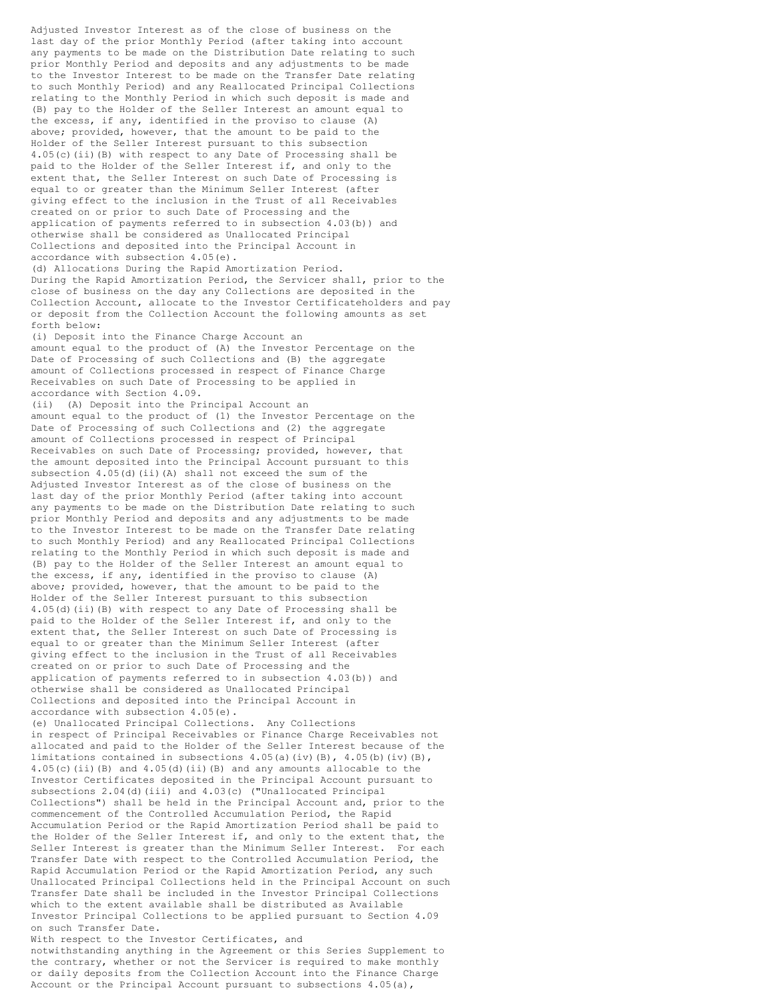Adjusted Investor Interest as of the close of business on the last day of the prior Monthly Period (after taking into account any payments to be made on the Distribution Date relating to such prior Monthly Period and deposits and any adjustments to be made to the Investor Interest to be made on the Transfer Date relating to such Monthly Period) and any Reallocated Principal Collections relating to the Monthly Period in which such deposit is made and (B) pay to the Holder of the Seller Interest an amount equal to the excess, if any, identified in the proviso to clause (A) above; provided, however, that the amount to be paid to the Holder of the Seller Interest pursuant to this subsection 4.05(c)(ii)(B) with respect to any Date of Processing shall be paid to the Holder of the Seller Interest if, and only to the extent that, the Seller Interest on such Date of Processing is equal to or greater than the Minimum Seller Interest (after giving effect to the inclusion in the Trust of all Receivables created on or prior to such Date of Processing and the application of payments referred to in subsection 4.03(b)) and otherwise shall be considered as Unallocated Principal Collections and deposited into the Principal Account in accordance with subsection 4.05(e).

(d) Allocations During the Rapid Amortization Period. During the Rapid Amortization Period, the Servicer shall, prior to the close of business on the day any Collections are deposited in the Collection Account, allocate to the Investor Certificateholders and pay or deposit from the Collection Account the following amounts as set forth below:

(i) Deposit into the Finance Charge Account an amount equal to the product of (A) the Investor Percentage on the Date of Processing of such Collections and (B) the aggregate amount of Collections processed in respect of Finance Charge Receivables on such Date of Processing to be applied in accordance with Section 4.09.

(ii) (A) Deposit into the Principal Account an amount equal to the product of (1) the Investor Percentage on the Date of Processing of such Collections and (2) the aggregate amount of Collections processed in respect of Principal Receivables on such Date of Processing; provided, however, that the amount deposited into the Principal Account pursuant to this subsection 4.05(d)(ii)(A) shall not exceed the sum of the Adjusted Investor Interest as of the close of business on the last day of the prior Monthly Period (after taking into account any payments to be made on the Distribution Date relating to such prior Monthly Period and deposits and any adjustments to be made to the Investor Interest to be made on the Transfer Date relating to such Monthly Period) and any Reallocated Principal Collections relating to the Monthly Period in which such deposit is made and (B) pay to the Holder of the Seller Interest an amount equal to the excess, if any, identified in the proviso to clause (A) above; provided, however, that the amount to be paid to the Holder of the Seller Interest pursuant to this subsection 4.05(d)(ii)(B) with respect to any Date of Processing shall be paid to the Holder of the Seller Interest if, and only to the extent that, the Seller Interest on such Date of Processing is equal to or greater than the Minimum Seller Interest (after giving effect to the inclusion in the Trust of all Receivables created on or prior to such Date of Processing and the application of payments referred to in subsection 4.03(b)) and otherwise shall be considered as Unallocated Principal Collections and deposited into the Principal Account in accordance with subsection 4.05(e).

(e) Unallocated Principal Collections. Any Collections in respect of Principal Receivables or Finance Charge Receivables not allocated and paid to the Holder of the Seller Interest because of the limitations contained in subsections  $4.05(a)(iv)(B)$ ,  $4.05(b)(iv)(B)$ , 4.05(c)(ii)(B) and 4.05(d)(ii)(B) and any amounts allocable to the Investor Certificates deposited in the Principal Account pursuant to subsections 2.04(d)(iii) and 4.03(c) ("Unallocated Principal Collections") shall be held in the Principal Account and, prior to the commencement of the Controlled Accumulation Period, the Rapid Accumulation Period or the Rapid Amortization Period shall be paid to the Holder of the Seller Interest if, and only to the extent that, the Seller Interest is greater than the Minimum Seller Interest. For each Transfer Date with respect to the Controlled Accumulation Period, the Rapid Accumulation Period or the Rapid Amortization Period, any such Unallocated Principal Collections held in the Principal Account on such Transfer Date shall be included in the Investor Principal Collections which to the extent available shall be distributed as Available Investor Principal Collections to be applied pursuant to Section 4.09 on such Transfer Date.

With respect to the Investor Certificates, and

notwithstanding anything in the Agreement or this Series Supplement to the contrary, whether or not the Servicer is required to make monthly or daily deposits from the Collection Account into the Finance Charge Account or the Principal Account pursuant to subsections 4.05(a),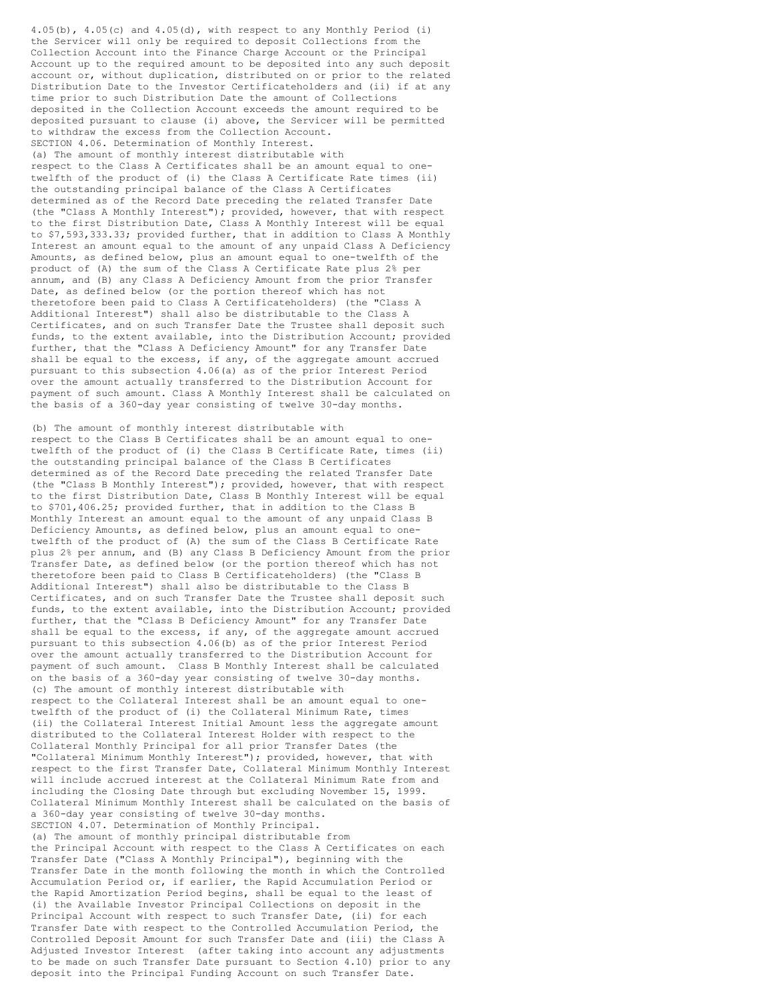4.05(b), 4.05(c) and 4.05(d), with respect to any Monthly Period (i) the Servicer will only be required to deposit Collections from the Collection Account into the Finance Charge Account or the Principal Account up to the required amount to be deposited into any such deposit account or, without duplication, distributed on or prior to the related Distribution Date to the Investor Certificateholders and (ii) if at any time prior to such Distribution Date the amount of Collections deposited in the Collection Account exceeds the amount required to be deposited pursuant to clause (i) above, the Servicer will be permitted to withdraw the excess from the Collection Account. SECTION 4.06. Determination of Monthly Interest. (a) The amount of monthly interest distributable with respect to the Class A Certificates shall be an amount equal to onetwelfth of the product of (i) the Class A Certificate Rate times (ii) the outstanding principal balance of the Class A Certificates determined as of the Record Date preceding the related Transfer Date (the "Class A Monthly Interest"); provided, however, that with respect to the first Distribution Date, Class A Monthly Interest will be equal to \$7,593,333.33; provided further, that in addition to Class A Monthly Interest an amount equal to the amount of any unpaid Class A Deficiency Amounts, as defined below, plus an amount equal to one-twelfth of the product of (A) the sum of the Class A Certificate Rate plus 2% per annum, and (B) any Class A Deficiency Amount from the prior Transfer Date, as defined below (or the portion thereof which has not theretofore been paid to Class A Certificateholders) (the "Class A Additional Interest") shall also be distributable to the Class A Certificates, and on such Transfer Date the Trustee shall deposit such funds, to the extent available, into the Distribution Account; provided further, that the "Class A Deficiency Amount" for any Transfer Date shall be equal to the excess, if any, of the aggregate amount accrued pursuant to this subsection 4.06(a) as of the prior Interest Period over the amount actually transferred to the Distribution Account for payment of such amount. Class A Monthly Interest shall be calculated on the basis of a 360-day year consisting of twelve 30-day months.

(b) The amount of monthly interest distributable with respect to the Class B Certificates shall be an amount equal to onetwelfth of the product of (i) the Class B Certificate Rate, times (ii) the outstanding principal balance of the Class B Certificates determined as of the Record Date preceding the related Transfer Date (the "Class B Monthly Interest"); provided, however, that with respect to the first Distribution Date, Class B Monthly Interest will be equal to \$701,406.25; provided further, that in addition to the Class B Monthly Interest an amount equal to the amount of any unpaid Class B Deficiency Amounts, as defined below, plus an amount equal to onetwelfth of the product of (A) the sum of the Class B Certificate Rate plus 2% per annum, and (B) any Class B Deficiency Amount from the prior Transfer Date, as defined below (or the portion thereof which has not theretofore been paid to Class B Certificateholders) (the "Class B Additional Interest") shall also be distributable to the Class B Certificates, and on such Transfer Date the Trustee shall deposit such funds, to the extent available, into the Distribution Account; provided further, that the "Class B Deficiency Amount" for any Transfer Date shall be equal to the excess, if any, of the aggregate amount accrued pursuant to this subsection 4.06(b) as of the prior Interest Period over the amount actually transferred to the Distribution Account for payment of such amount. Class B Monthly Interest shall be calculated on the basis of a 360-day year consisting of twelve 30-day months. (c) The amount of monthly interest distributable with respect to the Collateral Interest shall be an amount equal to onetwelfth of the product of (i) the Collateral Minimum Rate, times (ii) the Collateral Interest Initial Amount less the aggregate amount distributed to the Collateral Interest Holder with respect to the Collateral Monthly Principal for all prior Transfer Dates (the "Collateral Minimum Monthly Interest"); provided, however, that with respect to the first Transfer Date, Collateral Minimum Monthly Interest will include accrued interest at the Collateral Minimum Rate from and including the Closing Date through but excluding November 15, 1999. Collateral Minimum Monthly Interest shall be calculated on the basis of a 360-day year consisting of twelve 30-day months. SECTION 4.07. Determination of Monthly Principal. (a) The amount of monthly principal distributable from the Principal Account with respect to the Class A Certificates on each Transfer Date ("Class A Monthly Principal"), beginning with the Transfer Date in the month following the month in which the Controlled Accumulation Period or, if earlier, the Rapid Accumulation Period or the Rapid Amortization Period begins, shall be equal to the least of (i) the Available Investor Principal Collections on deposit in the Principal Account with respect to such Transfer Date, (ii) for each Transfer Date with respect to the Controlled Accumulation Period, the Controlled Deposit Amount for such Transfer Date and (iii) the Class A Adjusted Investor Interest (after taking into account any adjustments to be made on such Transfer Date pursuant to Section 4.10) prior to any deposit into the Principal Funding Account on such Transfer Date.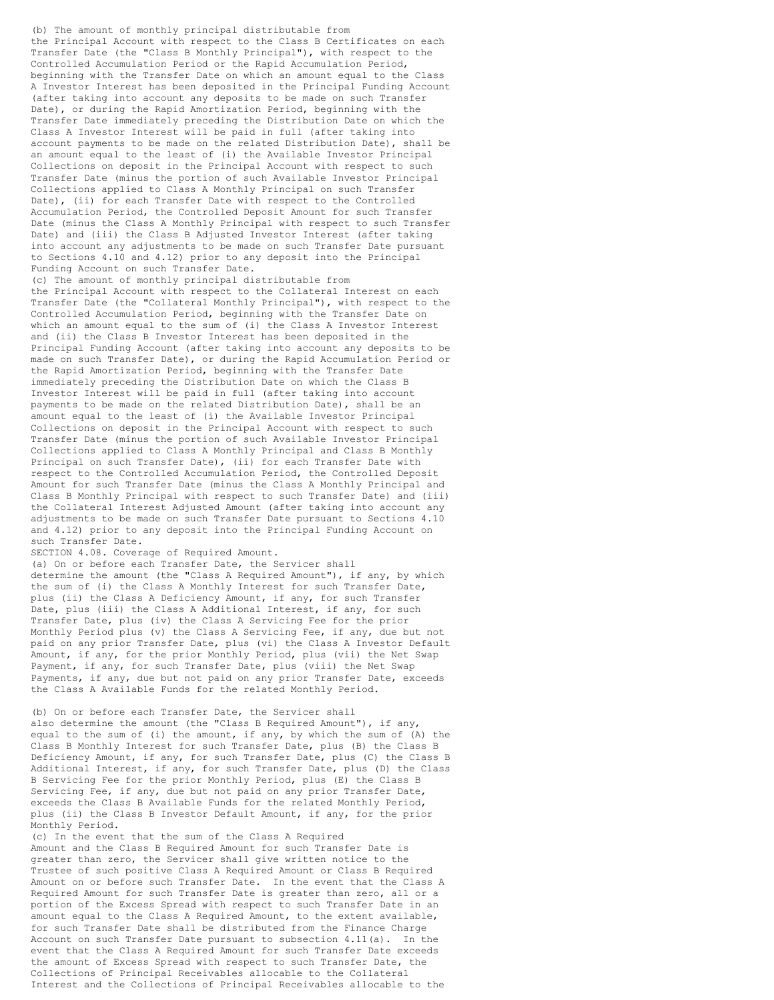(b) The amount of monthly principal distributable from the Principal Account with respect to the Class B Certificates on each Transfer Date (the "Class B Monthly Principal"), with respect to the Controlled Accumulation Period or the Rapid Accumulation Period, beginning with the Transfer Date on which an amount equal to the Class A Investor Interest has been deposited in the Principal Funding Account (after taking into account any deposits to be made on such Transfer Date), or during the Rapid Amortization Period, beginning with the Transfer Date immediately preceding the Distribution Date on which the Class A Investor Interest will be paid in full (after taking into account payments to be made on the related Distribution Date), shall be an amount equal to the least of (i) the Available Investor Principal Collections on deposit in the Principal Account with respect to such Transfer Date (minus the portion of such Available Investor Principal Collections applied to Class A Monthly Principal on such Transfer Date), (ii) for each Transfer Date with respect to the Controlled Accumulation Period, the Controlled Deposit Amount for such Transfer Date (minus the Class A Monthly Principal with respect to such Transfer Date) and (iii) the Class B Adjusted Investor Interest (after taking into account any adjustments to be made on such Transfer Date pursuant to Sections 4.10 and 4.12) prior to any deposit into the Principal Funding Account on such Transfer Date.

(c) The amount of monthly principal distributable from the Principal Account with respect to the Collateral Interest on each Transfer Date (the "Collateral Monthly Principal"), with respect to the Controlled Accumulation Period, beginning with the Transfer Date on which an amount equal to the sum of (i) the Class A Investor Interest and (ii) the Class B Investor Interest has been deposited in the Principal Funding Account (after taking into account any deposits to be made on such Transfer Date), or during the Rapid Accumulation Period or the Rapid Amortization Period, beginning with the Transfer Date immediately preceding the Distribution Date on which the Class B Investor Interest will be paid in full (after taking into account payments to be made on the related Distribution Date), shall be an amount equal to the least of (i) the Available Investor Principal Collections on deposit in the Principal Account with respect to such Transfer Date (minus the portion of such Available Investor Principal Collections applied to Class A Monthly Principal and Class B Monthly Principal on such Transfer Date), (ii) for each Transfer Date with respect to the Controlled Accumulation Period, the Controlled Deposit Amount for such Transfer Date (minus the Class A Monthly Principal and Class B Monthly Principal with respect to such Transfer Date) and (iii) the Collateral Interest Adjusted Amount (after taking into account any adjustments to be made on such Transfer Date pursuant to Sections 4.10 and 4.12) prior to any deposit into the Principal Funding Account on such Transfer Date.

SECTION 4.08. Coverage of Required Amount.

(a) On or before each Transfer Date, the Servicer shall determine the amount (the "Class A Required Amount"), if any, by which the sum of (i) the Class A Monthly Interest for such Transfer Date, plus (ii) the Class A Deficiency Amount, if any, for such Transfer Date, plus (iii) the Class A Additional Interest, if any, for such Transfer Date, plus (iv) the Class A Servicing Fee for the prior Monthly Period plus (v) the Class A Servicing Fee, if any, due but not paid on any prior Transfer Date, plus (vi) the Class A Investor Default Amount, if any, for the prior Monthly Period, plus (vii) the Net Swap Payment, if any, for such Transfer Date, plus (viii) the Net Swap Payments, if any, due but not paid on any prior Transfer Date, exceeds the Class A Available Funds for the related Monthly Period.

(b) On or before each Transfer Date, the Servicer shall also determine the amount (the "Class B Required Amount"), if any, equal to the sum of (i) the amount, if any, by which the sum of (A) the Class B Monthly Interest for such Transfer Date, plus (B) the Class B Deficiency Amount, if any, for such Transfer Date, plus (C) the Class B Additional Interest, if any, for such Transfer Date, plus (D) the Class B Servicing Fee for the prior Monthly Period, plus (E) the Class B Servicing Fee, if any, due but not paid on any prior Transfer Date, exceeds the Class B Available Funds for the related Monthly Period, plus (ii) the Class B Investor Default Amount, if any, for the prior Monthly Period.

(c) In the event that the sum of the Class A Required Amount and the Class B Required Amount for such Transfer Date is greater than zero, the Servicer shall give written notice to the Trustee of such positive Class A Required Amount or Class B Required Amount on or before such Transfer Date. In the event that the Class A Required Amount for such Transfer Date is greater than zero, all or a portion of the Excess Spread with respect to such Transfer Date in an amount equal to the Class A Required Amount, to the extent available, for such Transfer Date shall be distributed from the Finance Charge Account on such Transfer Date pursuant to subsection 4.11(a). In the event that the Class A Required Amount for such Transfer Date exceeds the amount of Excess Spread with respect to such Transfer Date, the Collections of Principal Receivables allocable to the Collateral Interest and the Collections of Principal Receivables allocable to the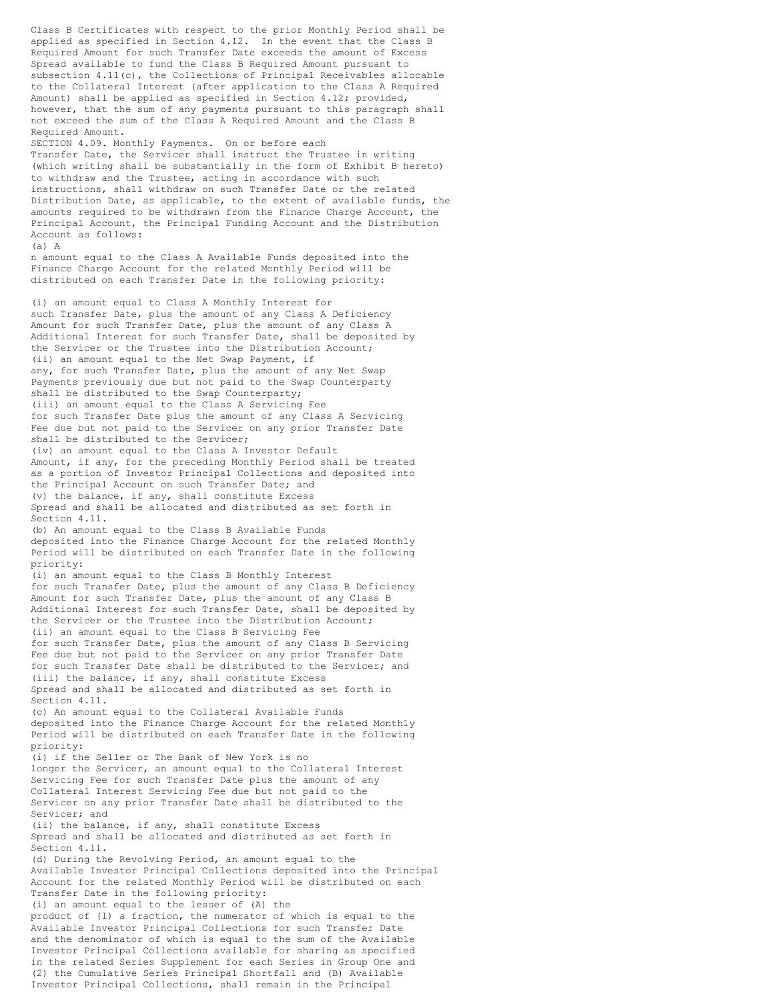Class B Certificates with respect to the prior Monthly Period shall be applied as specified in Section 4.12. In the event that the Class B Required Amount for such Transfer Date exceeds the amount of Excess Spread available to fund the Class B Required Amount pursuant to subsection 4.11(c), the Collections of Principal Receivables allocable to the Collateral Interest (after application to the Class A Required Amount) shall be applied as specified in Section 4.12; provided, however, that the sum of any payments pursuant to this paragraph shall not exceed the sum of the Class A Required Amount and the Class B Required Amount. SECTION 4.09. Monthly Payments. On or before each

Transfer Date, the Servicer shall instruct the Trustee in writing (which writing shall be substantially in the form of Exhibit B hereto) to withdraw and the Trustee, acting in accordance with such instructions, shall withdraw on such Transfer Date or the related Distribution Date, as applicable, to the extent of available funds, the amounts required to be withdrawn from the Finance Charge Account, the Principal Account, the Principal Funding Account and the Distribution Account as follows:  $(a)$  A

n amount equal to the Class A Available Funds deposited into the Finance Charge Account for the related Monthly Period will be distributed on each Transfer Date in the following priority:

(i) an amount equal to Class A Monthly Interest for such Transfer Date, plus the amount of any Class A Deficiency Amount for such Transfer Date, plus the amount of any Class A Additional Interest for such Transfer Date, shall be deposited by the Servicer or the Trustee into the Distribution Account; (ii) an amount equal to the Net Swap Payment, if any, for such Transfer Date, plus the amount of any Net Swap Payments previously due but not paid to the Swap Counterparty shall be distributed to the Swap Counterparty; (iii) an amount equal to the Class A Servicing Fee for such Transfer Date plus the amount of any Class A Servicing Fee due but not paid to the Servicer on any prior Transfer Date shall be distributed to the Servicer; (iv) an amount equal to the Class A Investor Default Amount, if any, for the preceding Monthly Period shall be treated as a portion of Investor Principal Collections and deposited into the Principal Account on such Transfer Date; and (v) the balance, if any, shall constitute Excess Spread and shall be allocated and distributed as set forth in Section 4.11. (b) An amount equal to the Class B Available Funds

deposited into the Finance Charge Account for the related Monthly Period will be distributed on each Transfer Date in the following priority:

(i) an amount equal to the Class B Monthly Interest for such Transfer Date, plus the amount of any Class B Deficiency Amount for such Transfer Date, plus the amount of any Class B Additional Interest for such Transfer Date, shall be deposited by the Servicer or the Trustee into the Distribution Account; (ii) an amount equal to the Class B Servicing Fee for such Transfer Date, plus the amount of any Class B Servicing Fee due but not paid to the Servicer on any prior Transfer Date for such Transfer Date shall be distributed to the Servicer; and (iii) the balance, if any, shall constitute Excess Spread and shall be allocated and distributed as set forth in

Section 4.11. (c) An amount equal to the Collateral Available Funds

deposited into the Finance Charge Account for the related Monthly Period will be distributed on each Transfer Date in the following priority:

(i) if the Seller or The Bank of New York is no longer the Servicer, an amount equal to the Collateral Interest Servicing Fee for such Transfer Date plus the amount of any Collateral Interest Servicing Fee due but not paid to the Servicer on any prior Transfer Date shall be distributed to the Servicer; and

(ii) the balance, if any, shall constitute Excess Spread and shall be allocated and distributed as set forth in Section 4.11.

(d) During the Revolving Period, an amount equal to the Available Investor Principal Collections deposited into the Principal Account for the related Monthly Period will be distributed on each Transfer Date in the following priority:

(i) an amount equal to the lesser of (A) the product of (1) a fraction, the numerator of which is equal to the Available Investor Principal Collections for such Transfer Date and the denominator of which is equal to the sum of the Available Investor Principal Collections available for sharing as specified in the related Series Supplement for each Series in Group One and (2) the Cumulative Series Principal Shortfall and (B) Available Investor Principal Collections, shall remain in the Principal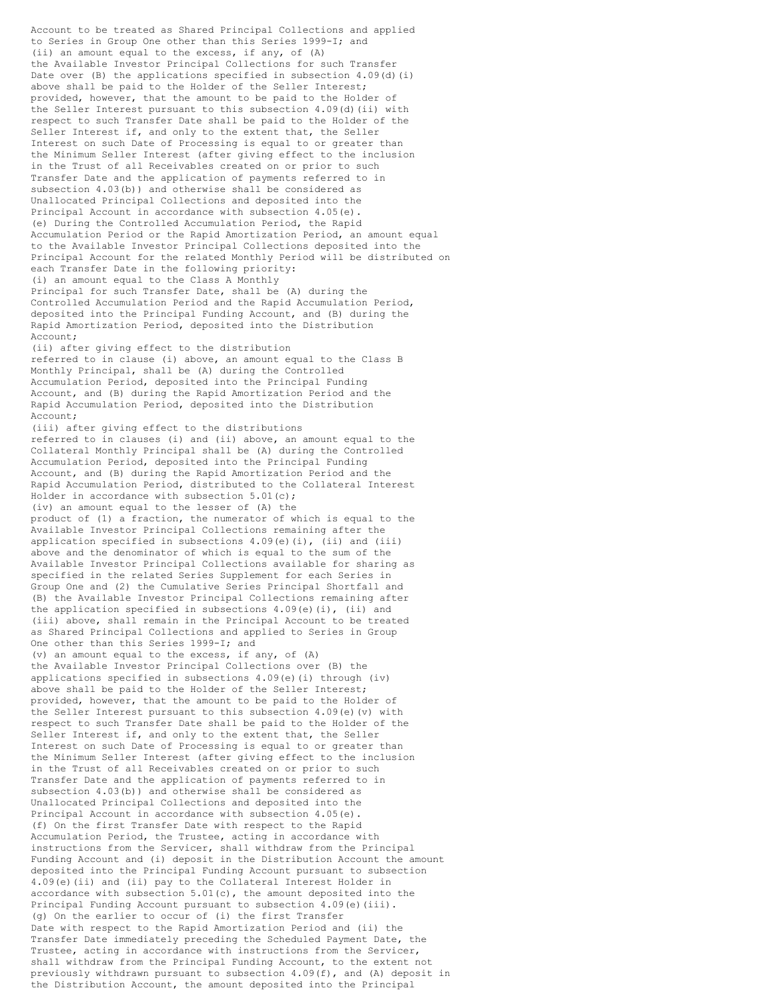Account to be treated as Shared Principal Collections and applied to Series in Group One other than this Series 1999-I; and (ii) an amount equal to the excess, if any, of (A) the Available Investor Principal Collections for such Transfer Date over (B) the applications specified in subsection 4.09(d)(i) above shall be paid to the Holder of the Seller Interest; provided, however, that the amount to be paid to the Holder of the Seller Interest pursuant to this subsection 4.09(d)(ii) with respect to such Transfer Date shall be paid to the Holder of the Seller Interest if, and only to the extent that, the Seller Interest on such Date of Processing is equal to or greater than the Minimum Seller Interest (after giving effect to the inclusion in the Trust of all Receivables created on or prior to such Transfer Date and the application of payments referred to in subsection 4.03(b)) and otherwise shall be considered as Unallocated Principal Collections and deposited into the Principal Account in accordance with subsection 4.05(e). (e) During the Controlled Accumulation Period, the Rapid Accumulation Period or the Rapid Amortization Period, an amount equal to the Available Investor Principal Collections deposited into the Principal Account for the related Monthly Period will be distributed on each Transfer Date in the following priority: (i) an amount equal to the Class A Monthly Principal for such Transfer Date, shall be (A) during the Controlled Accumulation Period and the Rapid Accumulation Period, deposited into the Principal Funding Account, and (B) during the Rapid Amortization Period, deposited into the Distribution Account; (ii) after giving effect to the distribution referred to in clause (i) above, an amount equal to the Class B Monthly Principal, shall be (A) during the Controlled Accumulation Period, deposited into the Principal Funding Account, and (B) during the Rapid Amortization Period and the Rapid Accumulation Period, deposited into the Distribution Account; (iii) after giving effect to the distributions referred to in clauses (i) and (ii) above, an amount equal to the Collateral Monthly Principal shall be (A) during the Controlled Accumulation Period, deposited into the Principal Funding Account, and (B) during the Rapid Amortization Period and the Rapid Accumulation Period, distributed to the Collateral Interest Holder in accordance with subsection  $5.01(c)$ ; (iv) an amount equal to the lesser of (A) the product of (1) a fraction, the numerator of which is equal to the Available Investor Principal Collections remaining after the application specified in subsections 4.09(e)(i), (ii) and (iii) above and the denominator of which is equal to the sum of the Available Investor Principal Collections available for sharing as specified in the related Series Supplement for each Series in Group One and (2) the Cumulative Series Principal Shortfall and (B) the Available Investor Principal Collections remaining after the application specified in subsections 4.09(e)(i), (ii) and (iii) above, shall remain in the Principal Account to be treated as Shared Principal Collections and applied to Series in Group One other than this Series 1999-I; and (v) an amount equal to the excess, if any, of (A) the Available Investor Principal Collections over (B) the applications specified in subsections  $4.09(e)$  (i) through (iv) above shall be paid to the Holder of the Seller Interest; provided, however, that the amount to be paid to the Holder of the Seller Interest pursuant to this subsection  $4.09(e)$  (v) with respect to such Transfer Date shall be paid to the Holder of the Seller Interest if, and only to the extent that, the Seller Interest on such Date of Processing is equal to or greater than the Minimum Seller Interest (after giving effect to the inclusion in the Trust of all Receivables created on or prior to such Transfer Date and the application of payments referred to in subsection 4.03(b)) and otherwise shall be considered as Unallocated Principal Collections and deposited into the Principal Account in accordance with subsection 4.05(e). (f) On the first Transfer Date with respect to the Rapid Accumulation Period, the Trustee, acting in accordance with instructions from the Servicer, shall withdraw from the Principal Funding Account and (i) deposit in the Distribution Account the amount deposited into the Principal Funding Account pursuant to subsection 4.09(e)(ii) and (ii) pay to the Collateral Interest Holder in accordance with subsection  $5.01(c)$ , the amount deposited into the Principal Funding Account pursuant to subsection 4.09(e)(iii). (g) On the earlier to occur of (i) the first Transfer Date with respect to the Rapid Amortization Period and (ii) the Transfer Date immediately preceding the Scheduled Payment Date, the Trustee, acting in accordance with instructions from the Servicer, shall withdraw from the Principal Funding Account, to the extent not previously withdrawn pursuant to subsection 4.09(f), and (A) deposit in the Distribution Account, the amount deposited into the Principal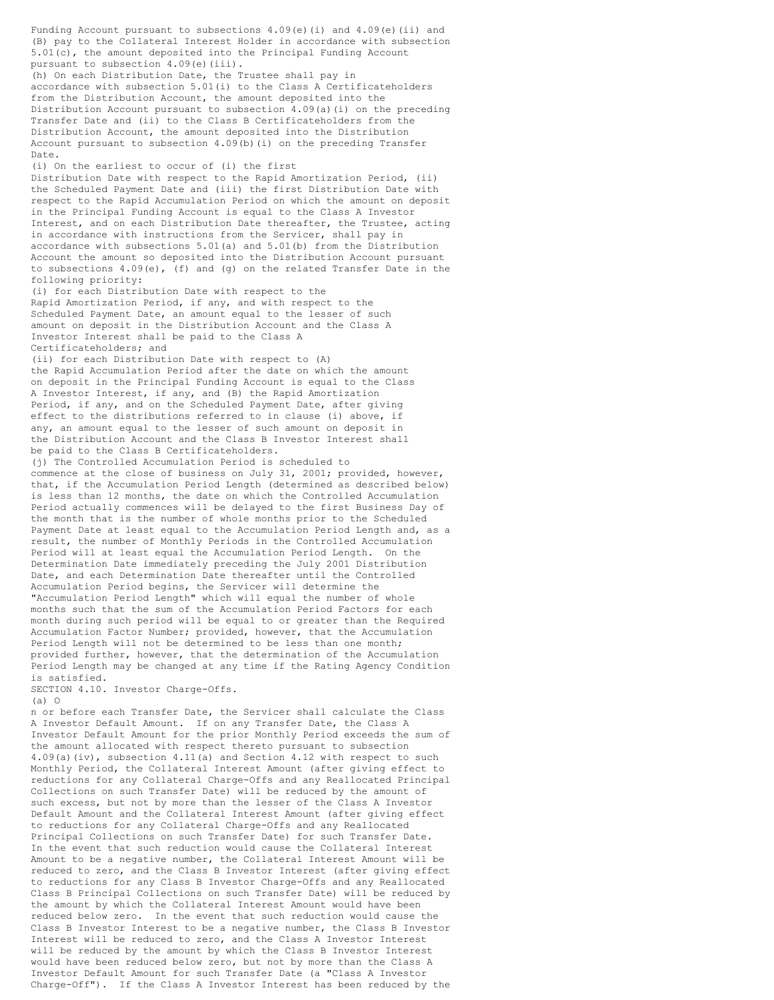(B) pay to the Collateral Interest Holder in accordance with subsection 5.01(c), the amount deposited into the Principal Funding Account pursuant to subsection 4.09(e)(iii). (h) On each Distribution Date, the Trustee shall pay in accordance with subsection 5.01(i) to the Class A Certificateholders from the Distribution Account, the amount deposited into the Distribution Account pursuant to subsection 4.09(a)(i) on the preceding Transfer Date and (ii) to the Class B Certificateholders from the Distribution Account, the amount deposited into the Distribution Account pursuant to subsection 4.09(b)(i) on the preceding Transfer Date. (i) On the earliest to occur of (i) the first Distribution Date with respect to the Rapid Amortization Period, (ii) the Scheduled Payment Date and (iii) the first Distribution Date with respect to the Rapid Accumulation Period on which the amount on deposit in the Principal Funding Account is equal to the Class A Investor Interest, and on each Distribution Date thereafter, the Trustee, acting in accordance with instructions from the Servicer, shall pay in accordance with subsections 5.01(a) and 5.01(b) from the Distribution Account the amount so deposited into the Distribution Account pursuant to subsections 4.09(e), (f) and (g) on the related Transfer Date in the following priority: (i) for each Distribution Date with respect to the Rapid Amortization Period, if any, and with respect to the Scheduled Payment Date, an amount equal to the lesser of such amount on deposit in the Distribution Account and the Class A Investor Interest shall be paid to the Class A Certificateholders; and (ii) for each Distribution Date with respect to (A) the Rapid Accumulation Period after the date on which the amount on deposit in the Principal Funding Account is equal to the Class A Investor Interest, if any, and (B) the Rapid Amortization Period, if any, and on the Scheduled Payment Date, after giving effect to the distributions referred to in clause (i) above, if any, an amount equal to the lesser of such amount on deposit in the Distribution Account and the Class B Investor Interest shall be paid to the Class B Certificateholders. (j) The Controlled Accumulation Period is scheduled to commence at the close of business on July 31, 2001; provided, however, that, if the Accumulation Period Length (determined as described below) is less than 12 months, the date on which the Controlled Accumulation Period actually commences will be delayed to the first Business Day of the month that is the number of whole months prior to the Scheduled Payment Date at least equal to the Accumulation Period Length and, as a result, the number of Monthly Periods in the Controlled Accumulation Period will at least equal the Accumulation Period Length. On the Determination Date immediately preceding the July 2001 Distribution Date, and each Determination Date thereafter until the Controlled Accumulation Period begins, the Servicer will determine the "Accumulation Period Length" which will equal the number of whole months such that the sum of the Accumulation Period Factors for each month during such period will be equal to or greater than the Required Accumulation Factor Number; provided, however, that the Accumulation Period Length will not be determined to be less than one month; provided further, however, that the determination of the Accumulation Period Length may be changed at any time if the Rating Agency Condition is satisfied. SECTION 4.10. Investor Charge-Offs. (a) O n or before each Transfer Date, the Servicer shall calculate the Class A Investor Default Amount. If on any Transfer Date, the Class A Investor Default Amount for the prior Monthly Period exceeds the sum of the amount allocated with respect thereto pursuant to subsection 4.09(a)(iv), subsection 4.11(a) and Section 4.12 with respect to such Monthly Period, the Collateral Interest Amount (after giving effect to reductions for any Collateral Charge-Offs and any Reallocated Principal Collections on such Transfer Date) will be reduced by the amount of such excess, but not by more than the lesser of the Class A Investor Default Amount and the Collateral Interest Amount (after giving effect to reductions for any Collateral Charge-Offs and any Reallocated Principal Collections on such Transfer Date) for such Transfer Date. In the event that such reduction would cause the Collateral Interest Amount to be a negative number, the Collateral Interest Amount will be reduced to zero, and the Class B Investor Interest (after giving effect to reductions for any Class B Investor Charge-Offs and any Reallocated Class B Principal Collections on such Transfer Date) will be reduced by the amount by which the Collateral Interest Amount would have been reduced below zero. In the event that such reduction would cause the Class B Investor Interest to be a negative number, the Class B Investor Interest will be reduced to zero, and the Class A Investor Interest will be reduced by the amount by which the Class B Investor Interest would have been reduced below zero, but not by more than the Class A

Investor Default Amount for such Transfer Date (a "Class A Investor Charge-Off"). If the Class A Investor Interest has been reduced by the

Funding Account pursuant to subsections  $4.09(e)$  (i) and  $4.09(e)$  (ii) and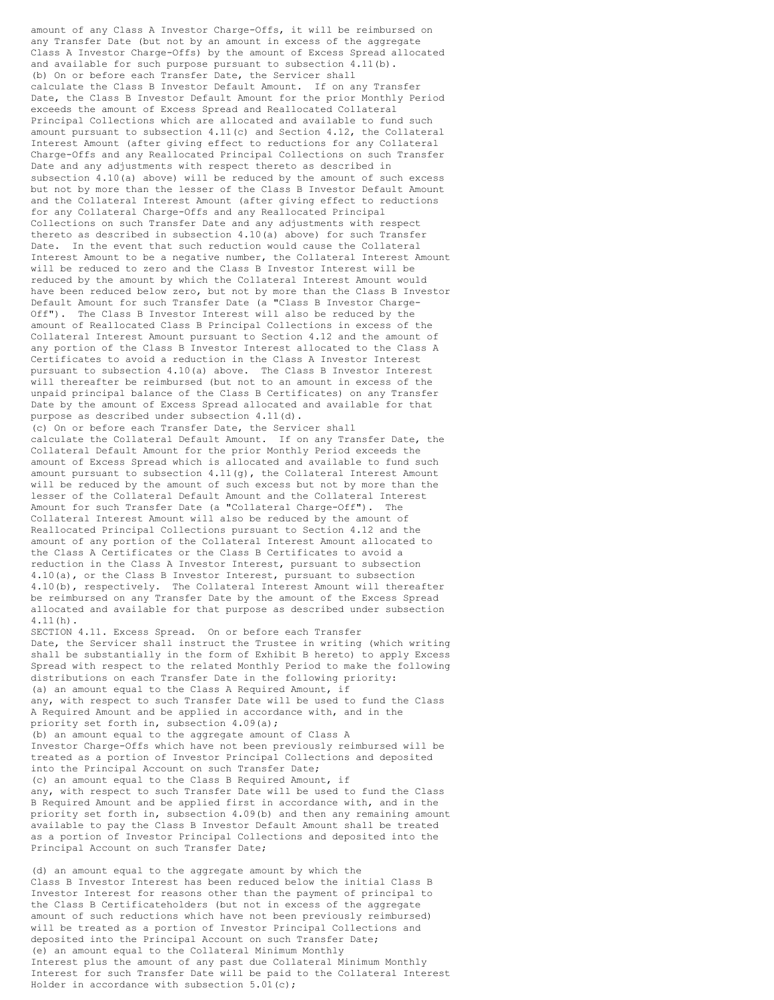amount of any Class A Investor Charge-Offs, it will be reimbursed on any Transfer Date (but not by an amount in excess of the aggregate Class A Investor Charge-Offs) by the amount of Excess Spread allocated and available for such purpose pursuant to subsection 4.11(b). (b) On or before each Transfer Date, the Servicer shall calculate the Class B Investor Default Amount. If on any Transfer Date, the Class B Investor Default Amount for the prior Monthly Period exceeds the amount of Excess Spread and Reallocated Collateral Principal Collections which are allocated and available to fund such amount pursuant to subsection 4.11(c) and Section 4.12, the Collateral Interest Amount (after giving effect to reductions for any Collateral Charge-Offs and any Reallocated Principal Collections on such Transfer Date and any adjustments with respect thereto as described in subsection 4.10(a) above) will be reduced by the amount of such excess but not by more than the lesser of the Class B Investor Default Amount and the Collateral Interest Amount (after giving effect to reductions for any Collateral Charge-Offs and any Reallocated Principal Collections on such Transfer Date and any adjustments with respect thereto as described in subsection  $4.10(a)$  above) for such Transfer Date. In the event that such reduction would cause the Collateral Interest Amount to be a negative number, the Collateral Interest Amount will be reduced to zero and the Class B Investor Interest will be reduced by the amount by which the Collateral Interest Amount would have been reduced below zero, but not by more than the Class B Investor Default Amount for such Transfer Date (a "Class B Investor Charge-Off"). The Class B Investor Interest will also be reduced by the amount of Reallocated Class B Principal Collections in excess of the Collateral Interest Amount pursuant to Section 4.12 and the amount of any portion of the Class B Investor Interest allocated to the Class A Certificates to avoid a reduction in the Class A Investor Interest pursuant to subsection 4.10(a) above. The Class B Investor Interest will thereafter be reimbursed (but not to an amount in excess of the unpaid principal balance of the Class B Certificates) on any Transfer Date by the amount of Excess Spread allocated and available for that purpose as described under subsection 4.11(d). (c) On or before each Transfer Date, the Servicer shall calculate the Collateral Default Amount. If on any Transfer Date, the Collateral Default Amount for the prior Monthly Period exceeds the amount of Excess Spread which is allocated and available to fund such amount pursuant to subsection  $4.11(q)$ , the Collateral Interest Amount will be reduced by the amount of such excess but not by more than the lesser of the Collateral Default Amount and the Collateral Interest Amount for such Transfer Date (a "Collateral Charge-Off"). The Collateral Interest Amount will also be reduced by the amount of Reallocated Principal Collections pursuant to Section 4.12 and the amount of any portion of the Collateral Interest Amount allocated to the Class A Certificates or the Class B Certificates to avoid a reduction in the Class A Investor Interest, pursuant to subsection 4.10(a), or the Class B Investor Interest, pursuant to subsection 4.10(b), respectively. The Collateral Interest Amount will thereafter be reimbursed on any Transfer Date by the amount of the Excess Spread allocated and available for that purpose as described under subsection 4.11(h). SECTION 4.11. Excess Spread. On or before each Transfer Date, the Servicer shall instruct the Trustee in writing (which writing shall be substantially in the form of Exhibit B hereto) to apply Excess Spread with respect to the related Monthly Period to make the following distributions on each Transfer Date in the following priority: (a) an amount equal to the Class A Required Amount, if any, with respect to such Transfer Date will be used to fund the Class A Required Amount and be applied in accordance with, and in the priority set forth in, subsection 4.09(a);

(b) an amount equal to the aggregate amount of Class A Investor Charge-Offs which have not been previously reimbursed will be treated as a portion of Investor Principal Collections and deposited into the Principal Account on such Transfer Date; (c) an amount equal to the Class B Required Amount, if any, with respect to such Transfer Date will be used to fund the Class B Required Amount and be applied first in accordance with, and in the priority set forth in, subsection 4.09(b) and then any remaining amount available to pay the Class B Investor Default Amount shall be treated as a portion of Investor Principal Collections and deposited into the Principal Account on such Transfer Date;

(d) an amount equal to the aggregate amount by which the Class B Investor Interest has been reduced below the initial Class B Investor Interest for reasons other than the payment of principal to the Class B Certificateholders (but not in excess of the aggregate amount of such reductions which have not been previously reimbursed) will be treated as a portion of Investor Principal Collections and deposited into the Principal Account on such Transfer Date; (e) an amount equal to the Collateral Minimum Monthly Interest plus the amount of any past due Collateral Minimum Monthly Interest for such Transfer Date will be paid to the Collateral Interest Holder in accordance with subsection 5.01(c);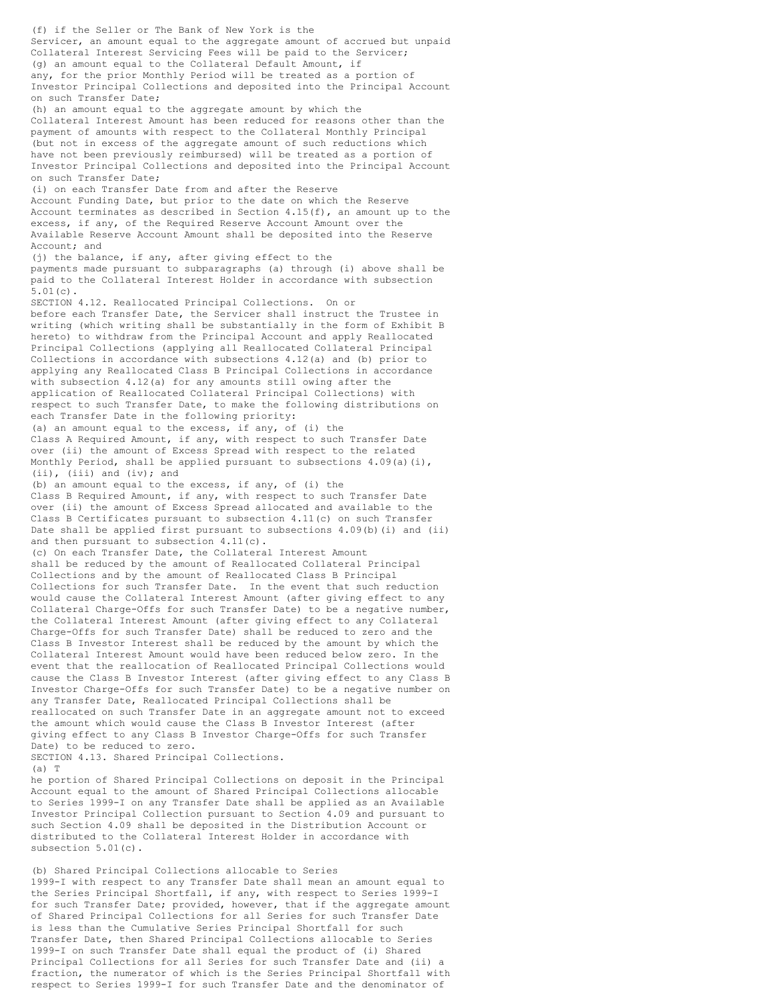(f) if the Seller or The Bank of New York is the Servicer, an amount equal to the aggregate amount of accrued but unpaid Collateral Interest Servicing Fees will be paid to the Servicer; (g) an amount equal to the Collateral Default Amount, if any, for the prior Monthly Period will be treated as a portion of Investor Principal Collections and deposited into the Principal Account on such Transfer Date; (h) an amount equal to the aggregate amount by which the Collateral Interest Amount has been reduced for reasons other than the payment of amounts with respect to the Collateral Monthly Principal (but not in excess of the aggregate amount of such reductions which have not been previously reimbursed) will be treated as a portion of Investor Principal Collections and deposited into the Principal Account on such Transfer Date; (i) on each Transfer Date from and after the Reserve Account Funding Date, but prior to the date on which the Reserve Account terminates as described in Section 4.15(f), an amount up to the excess, if any, of the Required Reserve Account Amount over the Available Reserve Account Amount shall be deposited into the Reserve Account; and (j) the balance, if any, after giving effect to the payments made pursuant to subparagraphs (a) through (i) above shall be paid to the Collateral Interest Holder in accordance with subsection 5.01(c). SECTION 4.12. Reallocated Principal Collections. On or before each Transfer Date, the Servicer shall instruct the Trustee in writing (which writing shall be substantially in the form of Exhibit B hereto) to withdraw from the Principal Account and apply Reallocated Principal Collections (applying all Reallocated Collateral Principal Collections in accordance with subsections 4.12(a) and (b) prior to applying any Reallocated Class B Principal Collections in accordance with subsection 4.12(a) for any amounts still owing after the application of Reallocated Collateral Principal Collections) with respect to such Transfer Date, to make the following distributions on each Transfer Date in the following priority: (a) an amount equal to the excess, if any, of (i) the Class A Required Amount, if any, with respect to such Transfer Date over (ii) the amount of Excess Spread with respect to the related Monthly Period, shall be applied pursuant to subsections  $4.09(a)(i)$ , (ii), (iii) and (iv); and (b) an amount equal to the excess, if any, of (i) the Class B Required Amount, if any, with respect to such Transfer Date over (ii) the amount of Excess Spread allocated and available to the Class B Certificates pursuant to subsection 4.11(c) on such Transfer Date shall be applied first pursuant to subsections 4.09(b)(i) and (ii) and then pursuant to subsection 4.11(c). (c) On each Transfer Date, the Collateral Interest Amount shall be reduced by the amount of Reallocated Collateral Principal Collections and by the amount of Reallocated Class B Principal Collections for such Transfer Date. In the event that such reduction would cause the Collateral Interest Amount (after giving effect to any Collateral Charge-Offs for such Transfer Date) to be a negative number, the Collateral Interest Amount (after giving effect to any Collateral Charge-Offs for such Transfer Date) shall be reduced to zero and the Class B Investor Interest shall be reduced by the amount by which the Collateral Interest Amount would have been reduced below zero. In the event that the reallocation of Reallocated Principal Collections would cause the Class B Investor Interest (after giving effect to any Class B Investor Charge-Offs for such Transfer Date) to be a negative number on any Transfer Date, Reallocated Principal Collections shall be reallocated on such Transfer Date in an aggregate amount not to exceed the amount which would cause the Class B Investor Interest (after giving effect to any Class B Investor Charge-Offs for such Transfer Date) to be reduced to zero. SECTION 4.13. Shared Principal Collections.  $(a)$  T he portion of Shared Principal Collections on deposit in the Principal Account equal to the amount of Shared Principal Collections allocable to Series 1999-I on any Transfer Date shall be applied as an Available Investor Principal Collection pursuant to Section 4.09 and pursuant to such Section 4.09 shall be deposited in the Distribution Account or distributed to the Collateral Interest Holder in accordance with subsection 5.01(c).

(b) Shared Principal Collections allocable to Series 1999-I with respect to any Transfer Date shall mean an amount equal to the Series Principal Shortfall, if any, with respect to Series 1999-I for such Transfer Date; provided, however, that if the aggregate amount of Shared Principal Collections for all Series for such Transfer Date is less than the Cumulative Series Principal Shortfall for such Transfer Date, then Shared Principal Collections allocable to Series 1999-I on such Transfer Date shall equal the product of (i) Shared Principal Collections for all Series for such Transfer Date and (ii) a fraction, the numerator of which is the Series Principal Shortfall with respect to Series 1999-I for such Transfer Date and the denominator of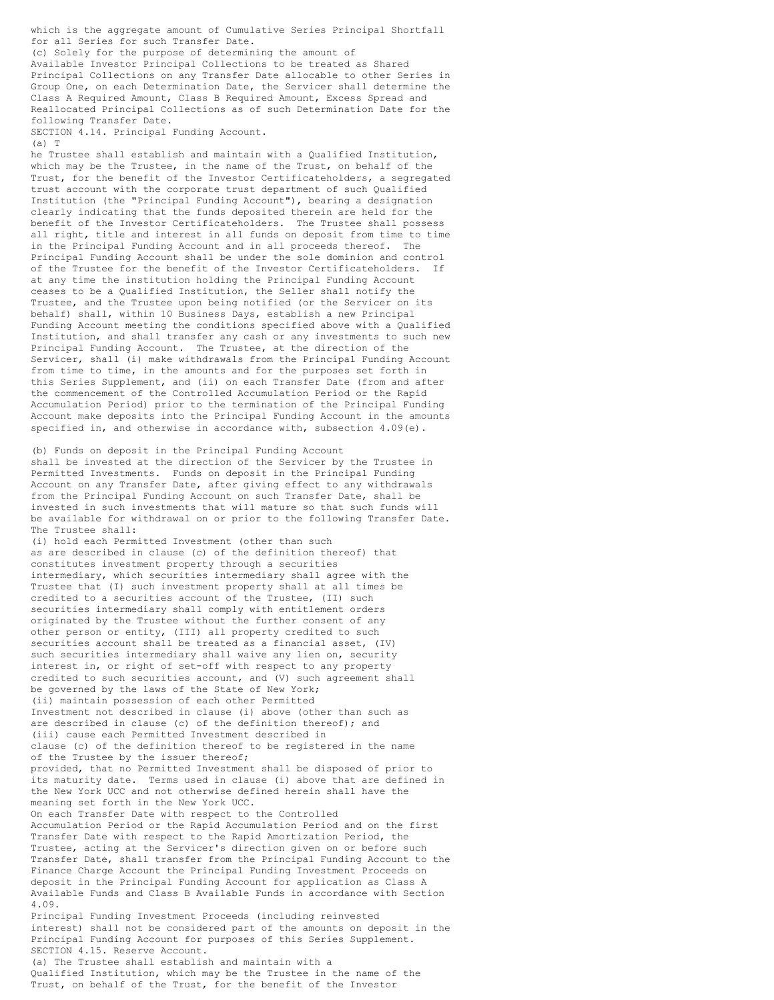which is the aggregate amount of Cumulative Series Principal Shortfall for all Series for such Transfer Date. (c) Solely for the purpose of determining the amount of Available Investor Principal Collections to be treated as Shared Principal Collections on any Transfer Date allocable to other Series in Group One, on each Determination Date, the Servicer shall determine the Class A Required Amount, Class B Required Amount, Excess Spread and Reallocated Principal Collections as of such Determination Date for the

SECTION 4.14. Principal Funding Account.

following Transfer Date.

(a) T

he Trustee shall establish and maintain with a Qualified Institution, which may be the Trustee, in the name of the Trust, on behalf of the Trust, for the benefit of the Investor Certificateholders, a segregated trust account with the corporate trust department of such Qualified Institution (the "Principal Funding Account"), bearing a designation clearly indicating that the funds deposited therein are held for the benefit of the Investor Certificateholders. The Trustee shall possess all right, title and interest in all funds on deposit from time to time in the Principal Funding Account and in all proceeds thereof. The Principal Funding Account shall be under the sole dominion and control of the Trustee for the benefit of the Investor Certificateholders. If at any time the institution holding the Principal Funding Account ceases to be a Qualified Institution, the Seller shall notify the Trustee, and the Trustee upon being notified (or the Servicer on its behalf) shall, within 10 Business Days, establish a new Principal Funding Account meeting the conditions specified above with a Qualified Institution, and shall transfer any cash or any investments to such new Principal Funding Account. The Trustee, at the direction of the Servicer, shall (i) make withdrawals from the Principal Funding Account from time to time, in the amounts and for the purposes set forth in this Series Supplement, and (ii) on each Transfer Date (from and after the commencement of the Controlled Accumulation Period or the Rapid Accumulation Period) prior to the termination of the Principal Funding Account make deposits into the Principal Funding Account in the amounts specified in, and otherwise in accordance with, subsection 4.09(e).

(b) Funds on deposit in the Principal Funding Account shall be invested at the direction of the Servicer by the Trustee in Permitted Investments. Funds on deposit in the Principal Funding Account on any Transfer Date, after giving effect to any withdrawals from the Principal Funding Account on such Transfer Date, shall be invested in such investments that will mature so that such funds will be available for withdrawal on or prior to the following Transfer Date. The Trustee shall:

(i) hold each Permitted Investment (other than such as are described in clause (c) of the definition thereof) that constitutes investment property through a securities intermediary, which securities intermediary shall agree with the Trustee that (I) such investment property shall at all times be credited to a securities account of the Trustee, (II) such securities intermediary shall comply with entitlement orders originated by the Trustee without the further consent of any other person or entity, (III) all property credited to such securities account shall be treated as a financial asset, (IV) such securities intermediary shall waive any lien on, security interest in, or right of set-off with respect to any property credited to such securities account, and (V) such agreement shall be governed by the laws of the State of New York; (ii) maintain possession of each other Permitted Investment not described in clause (i) above (other than such as are described in clause (c) of the definition thereof); and (iii) cause each Permitted Investment described in clause (c) of the definition thereof to be registered in the name of the Trustee by the issuer thereof; provided, that no Permitted Investment shall be disposed of prior to its maturity date. Terms used in clause (i) above that are defined in the New York UCC and not otherwise defined herein shall have the meaning set forth in the New York UCC. On each Transfer Date with respect to the Controlled Accumulation Period or the Rapid Accumulation Period and on the first Transfer Date with respect to the Rapid Amortization Period, the Trustee, acting at the Servicer's direction given on or before such Transfer Date, shall transfer from the Principal Funding Account to the Finance Charge Account the Principal Funding Investment Proceeds on deposit in the Principal Funding Account for application as Class A Available Funds and Class B Available Funds in accordance with Section 4.09. Principal Funding Investment Proceeds (including reinvested interest) shall not be considered part of the amounts on deposit in the Principal Funding Account for purposes of this Series Supplement. SECTION 4.15. Reserve Account. (a) The Trustee shall establish and maintain with a Qualified Institution, which may be the Trustee in the name of the Trust, on behalf of the Trust, for the benefit of the Investor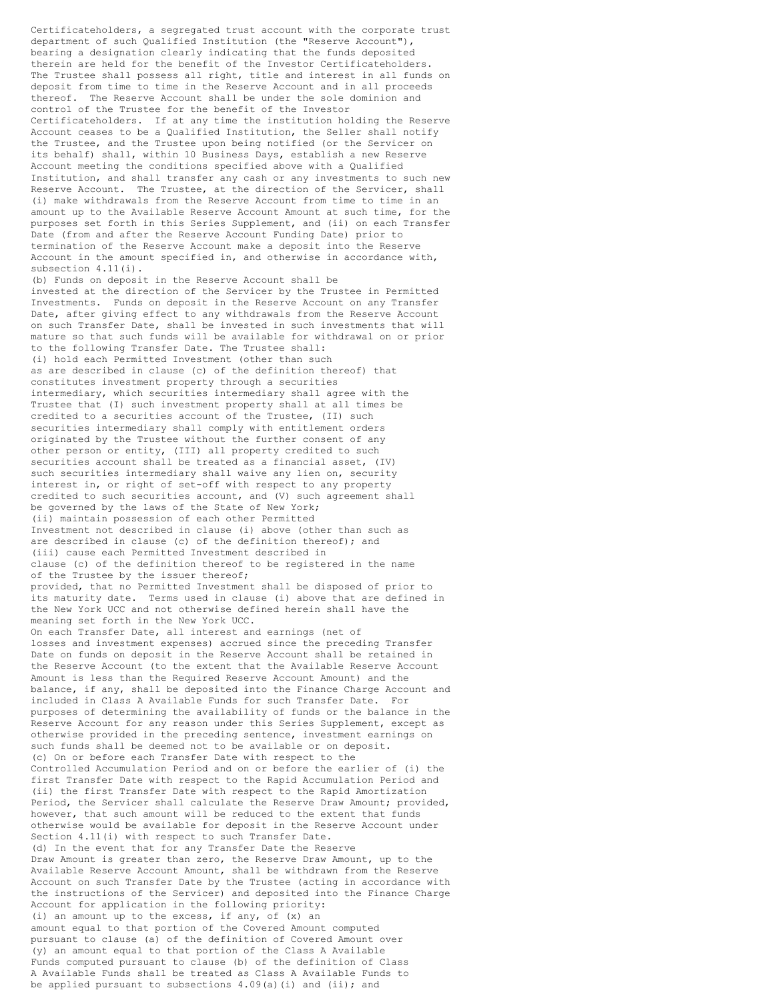Certificateholders, a segregated trust account with the corporate trust department of such Qualified Institution (the "Reserve Account"), bearing a designation clearly indicating that the funds deposited therein are held for the benefit of the Investor Certificateholders. The Trustee shall possess all right, title and interest in all funds on deposit from time to time in the Reserve Account and in all proceeds thereof. The Reserve Account shall be under the sole dominion and control of the Trustee for the benefit of the Investor Certificateholders. If at any time the institution holding the Reserve Account ceases to be a Qualified Institution, the Seller shall notify the Trustee, and the Trustee upon being notified (or the Servicer on its behalf) shall, within 10 Business Days, establish a new Reserve Account meeting the conditions specified above with a Qualified Institution, and shall transfer any cash or any investments to such new Reserve Account. The Trustee, at the direction of the Servicer, shall (i) make withdrawals from the Reserve Account from time to time in an amount up to the Available Reserve Account Amount at such time, for the purposes set forth in this Series Supplement, and (ii) on each Transfer Date (from and after the Reserve Account Funding Date) prior to termination of the Reserve Account make a deposit into the Reserve Account in the amount specified in, and otherwise in accordance with, subsection 4.11(i). (b) Funds on deposit in the Reserve Account shall be invested at the direction of the Servicer by the Trustee in Permitted Investments. Funds on deposit in the Reserve Account on any Transfer Date, after giving effect to any withdrawals from the Reserve Account on such Transfer Date, shall be invested in such investments that will mature so that such funds will be available for withdrawal on or prior to the following Transfer Date. The Trustee shall: (i) hold each Permitted Investment (other than such as are described in clause (c) of the definition thereof) that constitutes investment property through a securities intermediary, which securities intermediary shall agree with the Trustee that (I) such investment property shall at all times be credited to a securities account of the Trustee, (II) such securities intermediary shall comply with entitlement orders originated by the Trustee without the further consent of any other person or entity, (III) all property credited to such securities account shall be treated as a financial asset, (IV) such securities intermediary shall waive any lien on, security interest in, or right of set-off with respect to any property credited to such securities account, and (V) such agreement shall be governed by the laws of the State of New York; (ii) maintain possession of each other Permitted Investment not described in clause (i) above (other than such as are described in clause (c) of the definition thereof); and (iii) cause each Permitted Investment described in clause (c) of the definition thereof to be registered in the name of the Trustee by the issuer thereof; provided, that no Permitted Investment shall be disposed of prior to its maturity date. Terms used in clause (i) above that are defined in the New York UCC and not otherwise defined herein shall have the meaning set forth in the New York UCC. On each Transfer Date, all interest and earnings (net of losses and investment expenses) accrued since the preceding Transfer Date on funds on deposit in the Reserve Account shall be retained in the Reserve Account (to the extent that the Available Reserve Account Amount is less than the Required Reserve Account Amount) and the balance, if any, shall be deposited into the Finance Charge Account and included in Class A Available Funds for such Transfer Date. For purposes of determining the availability of funds or the balance in the Reserve Account for any reason under this Series Supplement, except as otherwise provided in the preceding sentence, investment earnings on such funds shall be deemed not to be available or on deposit. (c) On or before each Transfer Date with respect to the Controlled Accumulation Period and on or before the earlier of (i) the first Transfer Date with respect to the Rapid Accumulation Period and (ii) the first Transfer Date with respect to the Rapid Amortization Period, the Servicer shall calculate the Reserve Draw Amount; provided, however, that such amount will be reduced to the extent that funds otherwise would be available for deposit in the Reserve Account under Section 4.11(i) with respect to such Transfer Date. (d) In the event that for any Transfer Date the Reserve Draw Amount is greater than zero, the Reserve Draw Amount, up to the Available Reserve Account Amount, shall be withdrawn from the Reserve Account on such Transfer Date by the Trustee (acting in accordance with the instructions of the Servicer) and deposited into the Finance Charge Account for application in the following priority: (i) an amount up to the excess, if any, of (x) an amount equal to that portion of the Covered Amount computed pursuant to clause (a) of the definition of Covered Amount over (y) an amount equal to that portion of the Class A Available Funds computed pursuant to clause (b) of the definition of Class A Available Funds shall be treated as Class A Available Funds to be applied pursuant to subsections 4.09(a)(i) and (ii); and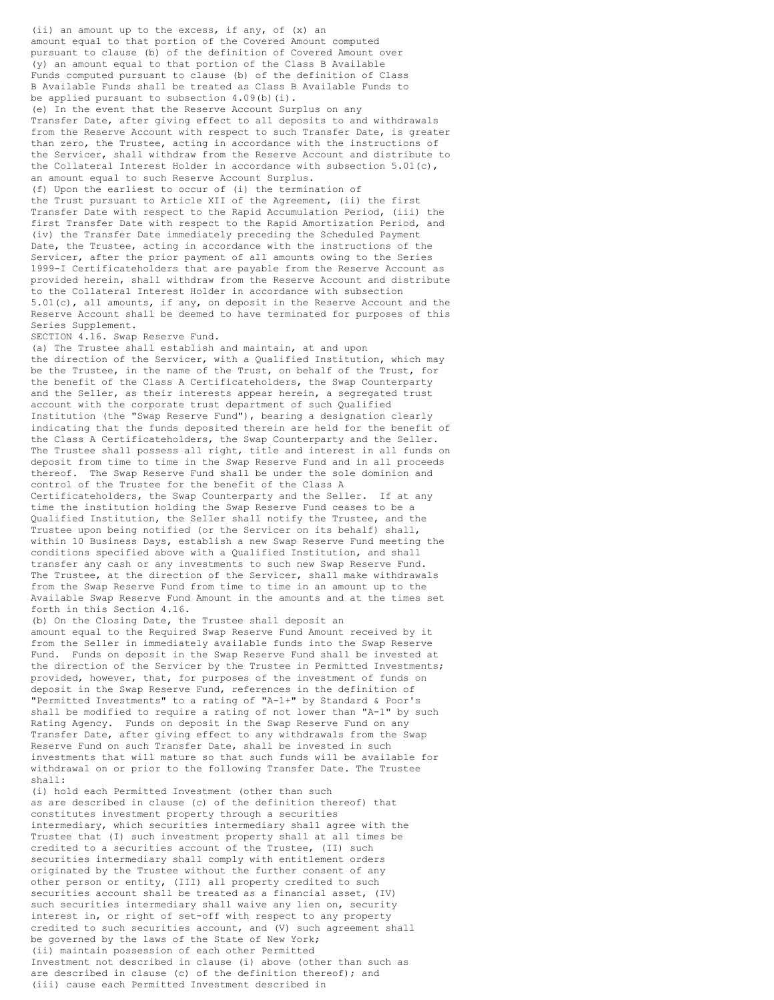amount equal to that portion of the Covered Amount computed pursuant to clause (b) of the definition of Covered Amount over (y) an amount equal to that portion of the Class B Available Funds computed pursuant to clause (b) of the definition of Class B Available Funds shall be treated as Class B Available Funds to be applied pursuant to subsection 4.09(b)(i). (e) In the event that the Reserve Account Surplus on any Transfer Date, after giving effect to all deposits to and withdrawals from the Reserve Account with respect to such Transfer Date, is greater than zero, the Trustee, acting in accordance with the instructions of the Servicer, shall withdraw from the Reserve Account and distribute to the Collateral Interest Holder in accordance with subsection 5.01(c), an amount equal to such Reserve Account Surplus. (f) Upon the earliest to occur of (i) the termination of the Trust pursuant to Article XII of the Agreement, (ii) the first Transfer Date with respect to the Rapid Accumulation Period, (iii) the first Transfer Date with respect to the Rapid Amortization Period, and (iv) the Transfer Date immediately preceding the Scheduled Payment Date, the Trustee, acting in accordance with the instructions of the Servicer, after the prior payment of all amounts owing to the Series 1999-I Certificateholders that are payable from the Reserve Account as provided herein, shall withdraw from the Reserve Account and distribute to the Collateral Interest Holder in accordance with subsection 5.01(c), all amounts, if any, on deposit in the Reserve Account and the Reserve Account shall be deemed to have terminated for purposes of this Series Supplement. SECTION 4.16. Swap Reserve Fund. (a) The Trustee shall establish and maintain, at and upon the direction of the Servicer, with a Qualified Institution, which may be the Trustee, in the name of the Trust, on behalf of the Trust, for the benefit of the Class A Certificateholders, the Swap Counterparty and the Seller, as their interests appear herein, a segregated trust account with the corporate trust department of such Qualified

(ii) an amount up to the excess, if any, of (x) an

Institution (the "Swap Reserve Fund"), bearing a designation clearly indicating that the funds deposited therein are held for the benefit of the Class A Certificateholders, the Swap Counterparty and the Seller. The Trustee shall possess all right, title and interest in all funds on deposit from time to time in the Swap Reserve Fund and in all proceeds thereof. The Swap Reserve Fund shall be under the sole dominion and control of the Trustee for the benefit of the Class A Certificateholders, the Swap Counterparty and the Seller. If at any time the institution holding the Swap Reserve Fund ceases to be a Qualified Institution, the Seller shall notify the Trustee, and the Trustee upon being notified (or the Servicer on its behalf) shall, within 10 Business Days, establish a new Swap Reserve Fund meeting the conditions specified above with a Qualified Institution, and shall transfer any cash or any investments to such new Swap Reserve Fund. The Trustee, at the direction of the Servicer, shall make withdrawals from the Swap Reserve Fund from time to time in an amount up to the Available Swap Reserve Fund Amount in the amounts and at the times set forth in this Section 4.16.

(b) On the Closing Date, the Trustee shall deposit an amount equal to the Required Swap Reserve Fund Amount received by it from the Seller in immediately available funds into the Swap Reserve Fund. Funds on deposit in the Swap Reserve Fund shall be invested at the direction of the Servicer by the Trustee in Permitted Investments; provided, however, that, for purposes of the investment of funds on deposit in the Swap Reserve Fund, references in the definition of "Permitted Investments" to a rating of "A-1+" by Standard & Poor's shall be modified to require a rating of not lower than "A-1" by such Rating Agency. Funds on deposit in the Swap Reserve Fund on any Transfer Date, after giving effect to any withdrawals from the Swap Reserve Fund on such Transfer Date, shall be invested in such investments that will mature so that such funds will be available for withdrawal on or prior to the following Transfer Date. The Trustee shall:

(i) hold each Permitted Investment (other than such as are described in clause (c) of the definition thereof) that constitutes investment property through a securities intermediary, which securities intermediary shall agree with the Trustee that (I) such investment property shall at all times be credited to a securities account of the Trustee, (II) such securities intermediary shall comply with entitlement orders originated by the Trustee without the further consent of any other person or entity, (III) all property credited to such securities account shall be treated as a financial asset, (IV) such securities intermediary shall waive any lien on, security interest in, or right of set-off with respect to any property credited to such securities account, and (V) such agreement shall be governed by the laws of the State of New York; (ii) maintain possession of each other Permitted Investment not described in clause (i) above (other than such as are described in clause (c) of the definition thereof); and (iii) cause each Permitted Investment described in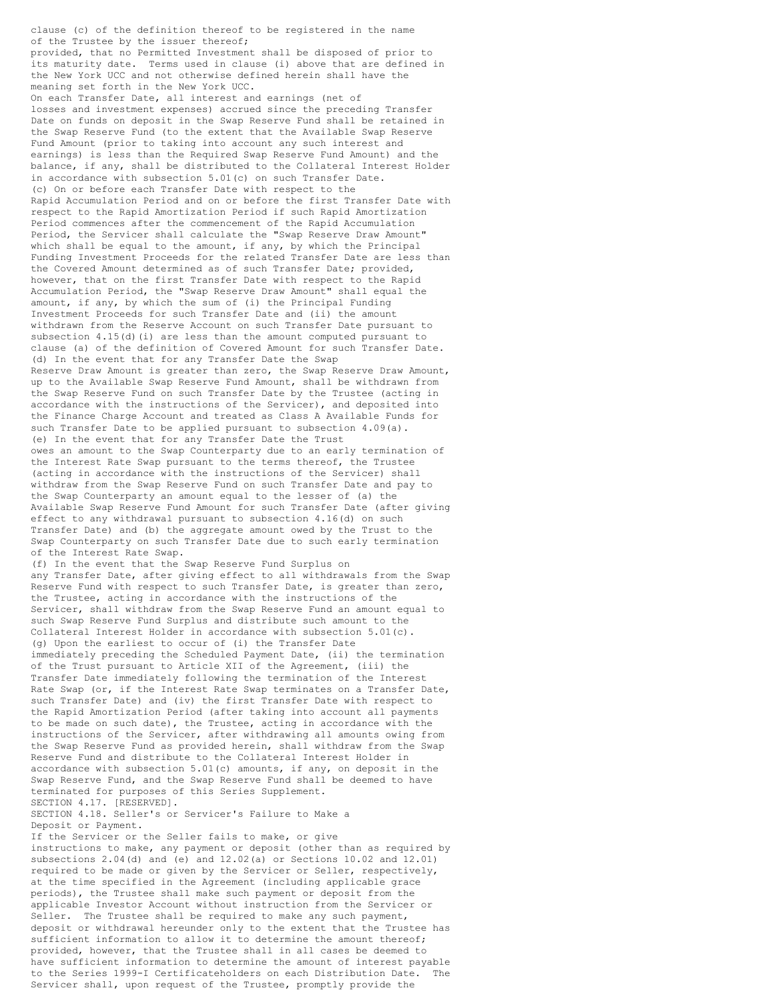clause (c) of the definition thereof to be registered in the name of the Trustee by the issuer thereof;

provided, that no Permitted Investment shall be disposed of prior to its maturity date. Terms used in clause (i) above that are defined in the New York UCC and not otherwise defined herein shall have the meaning set forth in the New York UCC.

On each Transfer Date, all interest and earnings (net of losses and investment expenses) accrued since the preceding Transfer Date on funds on deposit in the Swap Reserve Fund shall be retained in the Swap Reserve Fund (to the extent that the Available Swap Reserve Fund Amount (prior to taking into account any such interest and earnings) is less than the Required Swap Reserve Fund Amount) and the balance, if any, shall be distributed to the Collateral Interest Holder in accordance with subsection 5.01(c) on such Transfer Date. (c) On or before each Transfer Date with respect to the Rapid Accumulation Period and on or before the first Transfer Date with respect to the Rapid Amortization Period if such Rapid Amortization Period commences after the commencement of the Rapid Accumulation Period, the Servicer shall calculate the "Swap Reserve Draw Amount" which shall be equal to the amount, if any, by which the Principal Funding Investment Proceeds for the related Transfer Date are less than the Covered Amount determined as of such Transfer Date; provided, however, that on the first Transfer Date with respect to the Rapid Accumulation Period, the "Swap Reserve Draw Amount" shall equal the amount, if any, by which the sum of (i) the Principal Funding Investment Proceeds for such Transfer Date and (ii) the amount withdrawn from the Reserve Account on such Transfer Date pursuant to subsection  $4.15(d)$  (i) are less than the amount computed pursuant to clause (a) of the definition of Covered Amount for such Transfer Date. (d) In the event that for any Transfer Date the Swap Reserve Draw Amount is greater than zero, the Swap Reserve Draw Amount, up to the Available Swap Reserve Fund Amount, shall be withdrawn from the Swap Reserve Fund on such Transfer Date by the Trustee (acting in accordance with the instructions of the Servicer), and deposited into the Finance Charge Account and treated as Class A Available Funds for such Transfer Date to be applied pursuant to subsection 4.09(a). (e) In the event that for any Transfer Date the Trust owes an amount to the Swap Counterparty due to an early termination of the Interest Rate Swap pursuant to the terms thereof, the Trustee (acting in accordance with the instructions of the Servicer) shall withdraw from the Swap Reserve Fund on such Transfer Date and pay to the Swap Counterparty an amount equal to the lesser of (a) the Available Swap Reserve Fund Amount for such Transfer Date (after giving effect to any withdrawal pursuant to subsection 4.16(d) on such Transfer Date) and (b) the aggregate amount owed by the Trust to the Swap Counterparty on such Transfer Date due to such early termination of the Interest Rate Swap. (f) In the event that the Swap Reserve Fund Surplus on any Transfer Date, after giving effect to all withdrawals from the Swap Reserve Fund with respect to such Transfer Date, is greater than zero, the Trustee, acting in accordance with the instructions of the Servicer, shall withdraw from the Swap Reserve Fund an amount equal to such Swap Reserve Fund Surplus and distribute such amount to the Collateral Interest Holder in accordance with subsection 5.01(c). (g) Upon the earliest to occur of (i) the Transfer Date immediately preceding the Scheduled Payment Date, (ii) the termination of the Trust pursuant to Article XII of the Agreement, (iii) the Transfer Date immediately following the termination of the Interest Rate Swap (or, if the Interest Rate Swap terminates on a Transfer Date, such Transfer Date) and (iv) the first Transfer Date with respect to the Rapid Amortization Period (after taking into account all payments to be made on such date), the Trustee, acting in accordance with the instructions of the Servicer, after withdrawing all amounts owing from the Swap Reserve Fund as provided herein, shall withdraw from the Swap Reserve Fund and distribute to the Collateral Interest Holder in accordance with subsection  $5.01(c)$  amounts, if any, on deposit in the Swap Reserve Fund, and the Swap Reserve Fund shall be deemed to have terminated for purposes of this Series Supplement. SECTION 4.17. [RESERVED]. SECTION 4.18. Seller's or Servicer's Failure to Make a

Deposit or Payment.

If the Servicer or the Seller fails to make, or give instructions to make, any payment or deposit (other than as required by subsections 2.04(d) and (e) and 12.02(a) or Sections 10.02 and 12.01) required to be made or given by the Servicer or Seller, respectively, at the time specified in the Agreement (including applicable grace periods), the Trustee shall make such payment or deposit from the applicable Investor Account without instruction from the Servicer or Seller. The Trustee shall be required to make any such payment, deposit or withdrawal hereunder only to the extent that the Trustee has sufficient information to allow it to determine the amount thereof; provided, however, that the Trustee shall in all cases be deemed to have sufficient information to determine the amount of interest payable to the Series 1999-I Certificateholders on each Distribution Date. The Servicer shall, upon request of the Trustee, promptly provide the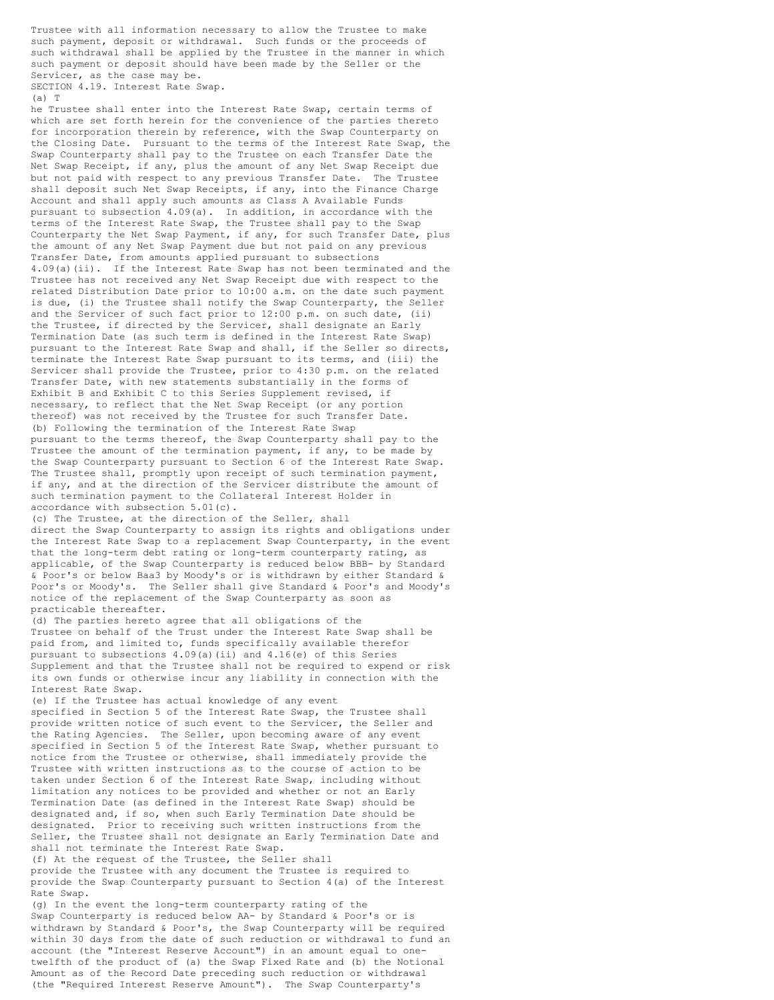Trustee with all information necessary to allow the Trustee to make such payment, deposit or withdrawal. Such funds or the proceeds of such withdrawal shall be applied by the Trustee in the manner in which such payment or deposit should have been made by the Seller or the Servicer, as the case may be. SECTION 4.19. Interest Rate Swap.

 $(A)$  T

he Trustee shall enter into the Interest Rate Swap, certain terms of which are set forth herein for the convenience of the parties thereto for incorporation therein by reference, with the Swap Counterparty on the Closing Date. Pursuant to the terms of the Interest Rate Swap, the Swap Counterparty shall pay to the Trustee on each Transfer Date the Net Swap Receipt, if any, plus the amount of any Net Swap Receipt due but not paid with respect to any previous Transfer Date. The Trustee shall deposit such Net Swap Receipts, if any, into the Finance Charge Account and shall apply such amounts as Class A Available Funds pursuant to subsection 4.09(a). In addition, in accordance with the terms of the Interest Rate Swap, the Trustee shall pay to the Swap Counterparty the Net Swap Payment, if any, for such Transfer Date, plus the amount of any Net Swap Payment due but not paid on any previous Transfer Date, from amounts applied pursuant to subsections 4.09(a)(ii). If the Interest Rate Swap has not been terminated and the Trustee has not received any Net Swap Receipt due with respect to the related Distribution Date prior to 10:00 a.m. on the date such payment is due, (i) the Trustee shall notify the Swap Counterparty, the Seller and the Servicer of such fact prior to 12:00 p.m. on such date, (ii) the Trustee, if directed by the Servicer, shall designate an Early Termination Date (as such term is defined in the Interest Rate Swap) pursuant to the Interest Rate Swap and shall, if the Seller so directs, terminate the Interest Rate Swap pursuant to its terms, and (iii) the Servicer shall provide the Trustee, prior to 4:30 p.m. on the related Transfer Date, with new statements substantially in the forms of Exhibit B and Exhibit C to this Series Supplement revised, if necessary, to reflect that the Net Swap Receipt (or any portion thereof) was not received by the Trustee for such Transfer Date. (b) Following the termination of the Interest Rate Swap pursuant to the terms thereof, the Swap Counterparty shall pay to the Trustee the amount of the termination payment, if any, to be made by the Swap Counterparty pursuant to Section 6 of the Interest Rate Swap. The Trustee shall, promptly upon receipt of such termination payment, if any, and at the direction of the Servicer distribute the amount of such termination payment to the Collateral Interest Holder in accordance with subsection 5.01(c).

(c) The Trustee, at the direction of the Seller, shall direct the Swap Counterparty to assign its rights and obligations under the Interest Rate Swap to a replacement Swap Counterparty, in the event that the long-term debt rating or long-term counterparty rating, as applicable, of the Swap Counterparty is reduced below BBB- by Standard & Poor's or below Baa3 by Moody's or is withdrawn by either Standard & Poor's or Moody's. The Seller shall give Standard & Poor's and Moody's notice of the replacement of the Swap Counterparty as soon as practicable thereafter.

(d) The parties hereto agree that all obligations of the Trustee on behalf of the Trust under the Interest Rate Swap shall be paid from, and limited to, funds specifically available therefor pursuant to subsections 4.09(a)(ii) and 4.16(e) of this Series Supplement and that the Trustee shall not be required to expend or risk its own funds or otherwise incur any liability in connection with the Interest Rate Swap.

(e) If the Trustee has actual knowledge of any event specified in Section 5 of the Interest Rate Swap, the Trustee shall provide written notice of such event to the Servicer, the Seller and the Rating Agencies. The Seller, upon becoming aware of any event specified in Section 5 of the Interest Rate Swap, whether pursuant to notice from the Trustee or otherwise, shall immediately provide the Trustee with written instructions as to the course of action to be taken under Section 6 of the Interest Rate Swap, including without limitation any notices to be provided and whether or not an Early Termination Date (as defined in the Interest Rate Swap) should be designated and, if so, when such Early Termination Date should be designated. Prior to receiving such written instructions from the Seller, the Trustee shall not designate an Early Termination Date and shall not terminate the Interest Rate Swap.

(f) At the request of the Trustee, the Seller shall provide the Trustee with any document the Trustee is required to provide the Swap Counterparty pursuant to Section 4(a) of the Interest Rate Swap.

(g) In the event the long-term counterparty rating of the Swap Counterparty is reduced below AA- by Standard & Poor's or is withdrawn by Standard & Poor's, the Swap Counterparty will be required within 30 days from the date of such reduction or withdrawal to fund an account (the "Interest Reserve Account") in an amount equal to onetwelfth of the product of (a) the Swap Fixed Rate and (b) the Notional Amount as of the Record Date preceding such reduction or withdrawal (the "Required Interest Reserve Amount"). The Swap Counterparty's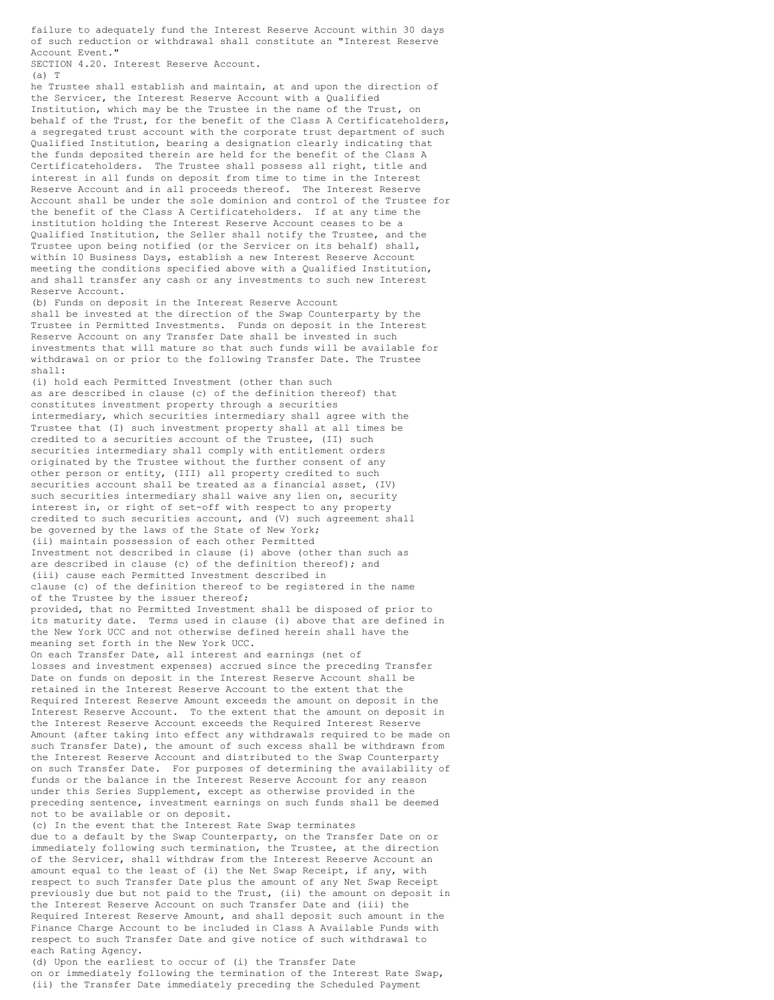failure to adequately fund the Interest Reserve Account within 30 days of such reduction or withdrawal shall constitute an "Interest Reserve Account Event."

SECTION 4.20. Interest Reserve Account.

(a) T

he Trustee shall establish and maintain, at and upon the direction of the Servicer, the Interest Reserve Account with a Qualified Institution, which may be the Trustee in the name of the Trust, on behalf of the Trust, for the benefit of the Class A Certificateholders, a segregated trust account with the corporate trust department of such Qualified Institution, bearing a designation clearly indicating that the funds deposited therein are held for the benefit of the Class A Certificateholders. The Trustee shall possess all right, title and interest in all funds on deposit from time to time in the Interest Reserve Account and in all proceeds thereof. The Interest Reserve Account shall be under the sole dominion and control of the Trustee for the benefit of the Class A Certificateholders. If at any time the institution holding the Interest Reserve Account ceases to be a Qualified Institution, the Seller shall notify the Trustee, and the Trustee upon being notified (or the Servicer on its behalf) shall, within 10 Business Days, establish a new Interest Reserve Account meeting the conditions specified above with a Qualified Institution, and shall transfer any cash or any investments to such new Interest Reserve Account.

(b) Funds on deposit in the Interest Reserve Account shall be invested at the direction of the Swap Counterparty by the Trustee in Permitted Investments. Funds on deposit in the Interest Reserve Account on any Transfer Date shall be invested in such investments that will mature so that such funds will be available for withdrawal on or prior to the following Transfer Date. The Trustee shall:

(i) hold each Permitted Investment (other than such as are described in clause (c) of the definition thereof) that constitutes investment property through a securities intermediary, which securities intermediary shall agree with the Trustee that (I) such investment property shall at all times be credited to a securities account of the Trustee, (II) such securities intermediary shall comply with entitlement orders originated by the Trustee without the further consent of any other person or entity, (III) all property credited to such securities account shall be treated as a financial asset, (IV) such securities intermediary shall waive any lien on, security interest in, or right of set-off with respect to any property credited to such securities account, and (V) such agreement shall be governed by the laws of the State of New York; (ii) maintain possession of each other Permitted Investment not described in clause (i) above (other than such as are described in clause (c) of the definition thereof); and (iii) cause each Permitted Investment described in clause (c) of the definition thereof to be registered in the name of the Trustee by the issuer thereof; provided, that no Permitted Investment shall be disposed of prior to its maturity date. Terms used in clause (i) above that are defined in the New York UCC and not otherwise defined herein shall have the meaning set forth in the New York UCC. On each Transfer Date, all interest and earnings (net of losses and investment expenses) accrued since the preceding Transfer Date on funds on deposit in the Interest Reserve Account shall be retained in the Interest Reserve Account to the extent that the Required Interest Reserve Amount exceeds the amount on deposit in the Interest Reserve Account. To the extent that the amount on deposit in the Interest Reserve Account exceeds the Required Interest Reserve Amount (after taking into effect any withdrawals required to be made on such Transfer Date), the amount of such excess shall be withdrawn from the Interest Reserve Account and distributed to the Swap Counterparty on such Transfer Date. For purposes of determining the availability of funds or the balance in the Interest Reserve Account for any reason

under this Series Supplement, except as otherwise provided in the preceding sentence, investment earnings on such funds shall be deemed not to be available or on deposit. (c) In the event that the Interest Rate Swap terminates

due to a default by the Swap Counterparty, on the Transfer Date on or immediately following such termination, the Trustee, at the direction of the Servicer, shall withdraw from the Interest Reserve Account an amount equal to the least of (i) the Net Swap Receipt, if any, with respect to such Transfer Date plus the amount of any Net Swap Receipt previously due but not paid to the Trust, (ii) the amount on deposit in the Interest Reserve Account on such Transfer Date and (iii) the Required Interest Reserve Amount, and shall deposit such amount in the Finance Charge Account to be included in Class A Available Funds with respect to such Transfer Date and give notice of such withdrawal to each Rating Agency.

(d) Upon the earliest to occur of (i) the Transfer Date on or immediately following the termination of the Interest Rate Swap, (ii) the Transfer Date immediately preceding the Scheduled Payment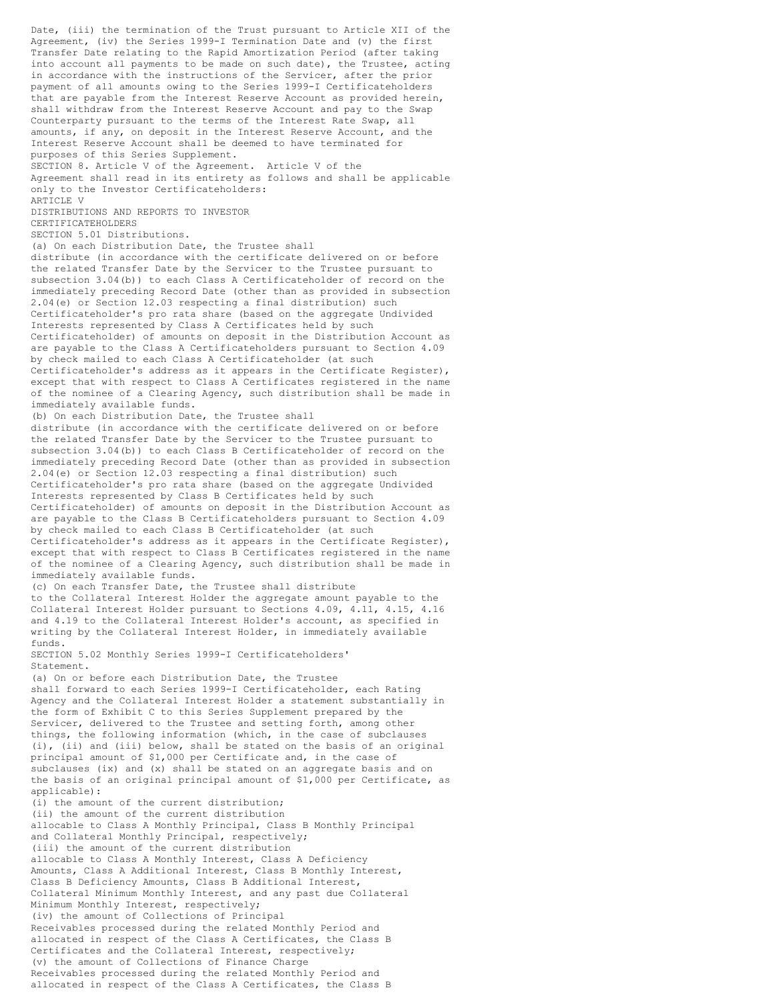Date, (iii) the termination of the Trust pursuant to Article XII of the Agreement, (iv) the Series 1999-I Termination Date and (v) the first Transfer Date relating to the Rapid Amortization Period (after taking into account all payments to be made on such date), the Trustee, acting in accordance with the instructions of the Servicer, after the prior payment of all amounts owing to the Series 1999-I Certificateholders that are payable from the Interest Reserve Account as provided herein, shall withdraw from the Interest Reserve Account and pay to the Swap Counterparty pursuant to the terms of the Interest Rate Swap, all amounts, if any, on deposit in the Interest Reserve Account, and the Interest Reserve Account shall be deemed to have terminated for purposes of this Series Supplement. SECTION 8. Article V of the Agreement. Article V of the Agreement shall read in its entirety as follows and shall be applicable only to the Investor Certificateholders: ARTICLE V DISTRIBUTIONS AND REPORTS TO INVESTOR CERTIFICATEHOLDERS SECTION 5.01 Distributions. (a) On each Distribution Date, the Trustee shall distribute (in accordance with the certificate delivered on or before the related Transfer Date by the Servicer to the Trustee pursuant to subsection 3.04(b)) to each Class A Certificateholder of record on the immediately preceding Record Date (other than as provided in subsection 2.04(e) or Section 12.03 respecting a final distribution) such Certificateholder's pro rata share (based on the aggregate Undivided Interests represented by Class A Certificates held by such Certificateholder) of amounts on deposit in the Distribution Account as are payable to the Class A Certificateholders pursuant to Section 4.09 by check mailed to each Class A Certificateholder (at such Certificateholder's address as it appears in the Certificate Register), except that with respect to Class A Certificates registered in the name of the nominee of a Clearing Agency, such distribution shall be made in immediately available funds. (b) On each Distribution Date, the Trustee shall distribute (in accordance with the certificate delivered on or before the related Transfer Date by the Servicer to the Trustee pursuant to subsection 3.04(b)) to each Class B Certificateholder of record on the immediately preceding Record Date (other than as provided in subsection 2.04(e) or Section 12.03 respecting a final distribution) such Certificateholder's pro rata share (based on the aggregate Undivided Interests represented by Class B Certificates held by such Certificateholder) of amounts on deposit in the Distribution Account as are payable to the Class B Certificateholders pursuant to Section 4.09 by check mailed to each Class B Certificateholder (at such Certificateholder's address as it appears in the Certificate Register), except that with respect to Class B Certificates registered in the name of the nominee of a Clearing Agency, such distribution shall be made in immediately available funds. (c) On each Transfer Date, the Trustee shall distribute to the Collateral Interest Holder the aggregate amount payable to the Collateral Interest Holder pursuant to Sections 4.09, 4.11, 4.15, 4.16 and 4.19 to the Collateral Interest Holder's account, as specified in writing by the Collateral Interest Holder, in immediately available funds. SECTION 5.02 Monthly Series 1999-I Certificateholders' Statement. (a) On or before each Distribution Date, the Trustee shall forward to each Series 1999-I Certificateholder, each Rating Agency and the Collateral Interest Holder a statement substantially in the form of Exhibit C to this Series Supplement prepared by the Servicer, delivered to the Trustee and setting forth, among other things, the following information (which, in the case of subclauses (i), (ii) and (iii) below, shall be stated on the basis of an original principal amount of \$1,000 per Certificate and, in the case of subclauses (ix) and (x) shall be stated on an aggregate basis and on the basis of an original principal amount of \$1,000 per Certificate, as applicable): (i) the amount of the current distribution; (ii) the amount of the current distribution allocable to Class A Monthly Principal, Class B Monthly Principal and Collateral Monthly Principal, respectively; (iii) the amount of the current distribution allocable to Class A Monthly Interest, Class A Deficiency Amounts, Class A Additional Interest, Class B Monthly Interest, Class B Deficiency Amounts, Class B Additional Interest, Collateral Minimum Monthly Interest, and any past due Collateral Minimum Monthly Interest, respectively; (iv) the amount of Collections of Principal Receivables processed during the related Monthly Period and allocated in respect of the Class A Certificates, the Class B Certificates and the Collateral Interest, respectively; (v) the amount of Collections of Finance Charge Receivables processed during the related Monthly Period and allocated in respect of the Class A Certificates, the Class B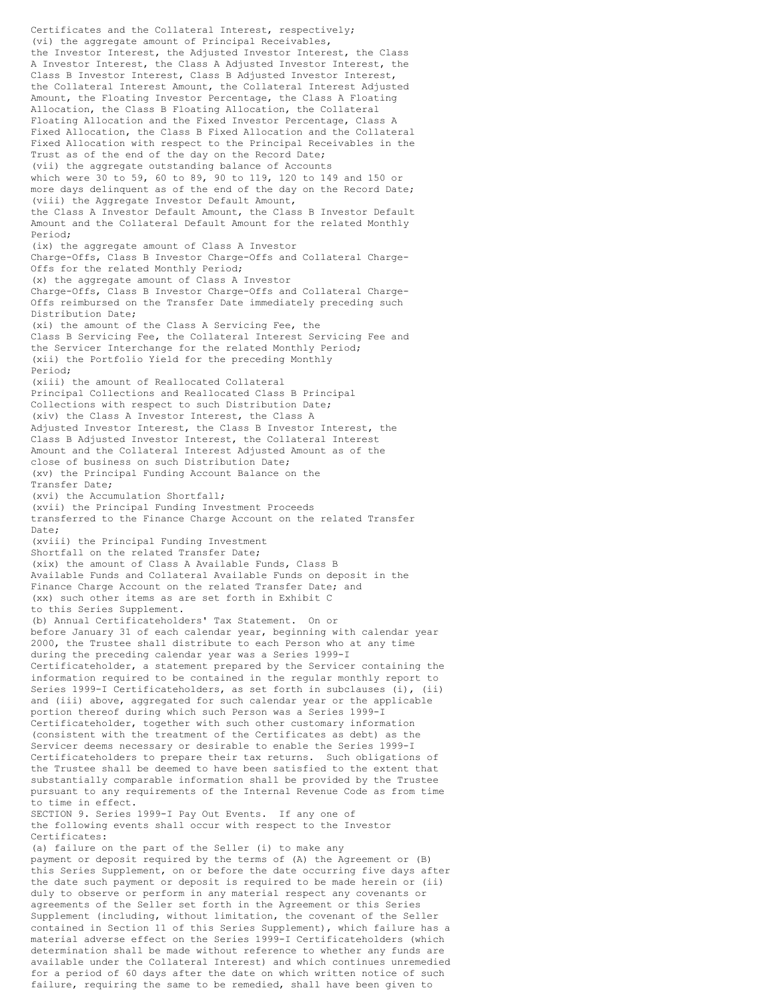Certificates and the Collateral Interest, respectively; (vi) the aggregate amount of Principal Receivables, the Investor Interest, the Adjusted Investor Interest, the Class A Investor Interest, the Class A Adjusted Investor Interest, the Class B Investor Interest, Class B Adjusted Investor Interest, the Collateral Interest Amount, the Collateral Interest Adjusted Amount, the Floating Investor Percentage, the Class A Floating Allocation, the Class B Floating Allocation, the Collateral Floating Allocation and the Fixed Investor Percentage, Class A Fixed Allocation, the Class B Fixed Allocation and the Collateral Fixed Allocation with respect to the Principal Receivables in the Trust as of the end of the day on the Record Date; (vii) the aggregate outstanding balance of Accounts which were 30 to 59, 60 to 89, 90 to 119, 120 to 149 and 150 or more days delinquent as of the end of the day on the Record Date; (viii) the Aggregate Investor Default Amount, the Class A Investor Default Amount, the Class B Investor Default Amount and the Collateral Default Amount for the related Monthly Period; (ix) the aggregate amount of Class A Investor Charge-Offs, Class B Investor Charge-Offs and Collateral Charge-Offs for the related Monthly Period; (x) the aggregate amount of Class A Investor Charge-Offs, Class B Investor Charge-Offs and Collateral Charge-Offs reimbursed on the Transfer Date immediately preceding such Distribution Date; (xi) the amount of the Class A Servicing Fee, the Class B Servicing Fee, the Collateral Interest Servicing Fee and the Servicer Interchange for the related Monthly Period; (xii) the Portfolio Yield for the preceding Monthly Period; (xiii) the amount of Reallocated Collateral Principal Collections and Reallocated Class B Principal Collections with respect to such Distribution Date; (xiv) the Class A Investor Interest, the Class A Adjusted Investor Interest, the Class B Investor Interest, the Class B Adjusted Investor Interest, the Collateral Interest Amount and the Collateral Interest Adjusted Amount as of the close of business on such Distribution Date; (xv) the Principal Funding Account Balance on the Transfer Date; (xvi) the Accumulation Shortfall; (xvii) the Principal Funding Investment Proceeds transferred to the Finance Charge Account on the related Transfer Date; (xviii) the Principal Funding Investment Shortfall on the related Transfer Date; (xix) the amount of Class A Available Funds, Class B Available Funds and Collateral Available Funds on deposit in the Finance Charge Account on the related Transfer Date; and (xx) such other items as are set forth in Exhibit C to this Series Supplement. (b) Annual Certificateholders' Tax Statement. On or before January 31 of each calendar year, beginning with calendar year 2000, the Trustee shall distribute to each Person who at any time during the preceding calendar year was a Series 1999-I Certificateholder, a statement prepared by the Servicer containing the information required to be contained in the regular monthly report to Series 1999-I Certificateholders, as set forth in subclauses (i), (ii) and (iii) above, aggregated for such calendar year or the applicable portion thereof during which such Person was a Series 1999-I Certificateholder, together with such other customary information (consistent with the treatment of the Certificates as debt) as the Servicer deems necessary or desirable to enable the Series 1999-I Certificateholders to prepare their tax returns. Such obligations of the Trustee shall be deemed to have been satisfied to the extent that substantially comparable information shall be provided by the Trustee pursuant to any requirements of the Internal Revenue Code as from time to time in effect. SECTION 9. Series 1999-I Pay Out Events. If any one of the following events shall occur with respect to the Investor Certificates: (a) failure on the part of the Seller (i) to make any payment or deposit required by the terms of (A) the Agreement or (B) this Series Supplement, on or before the date occurring five days after the date such payment or deposit is required to be made herein or (ii) duly to observe or perform in any material respect any covenants or agreements of the Seller set forth in the Agreement or this Series Supplement (including, without limitation, the covenant of the Seller contained in Section 11 of this Series Supplement), which failure has a material adverse effect on the Series 1999-I Certificateholders (which determination shall be made without reference to whether any funds are

available under the Collateral Interest) and which continues unremedied for a period of 60 days after the date on which written notice of such failure, requiring the same to be remedied, shall have been given to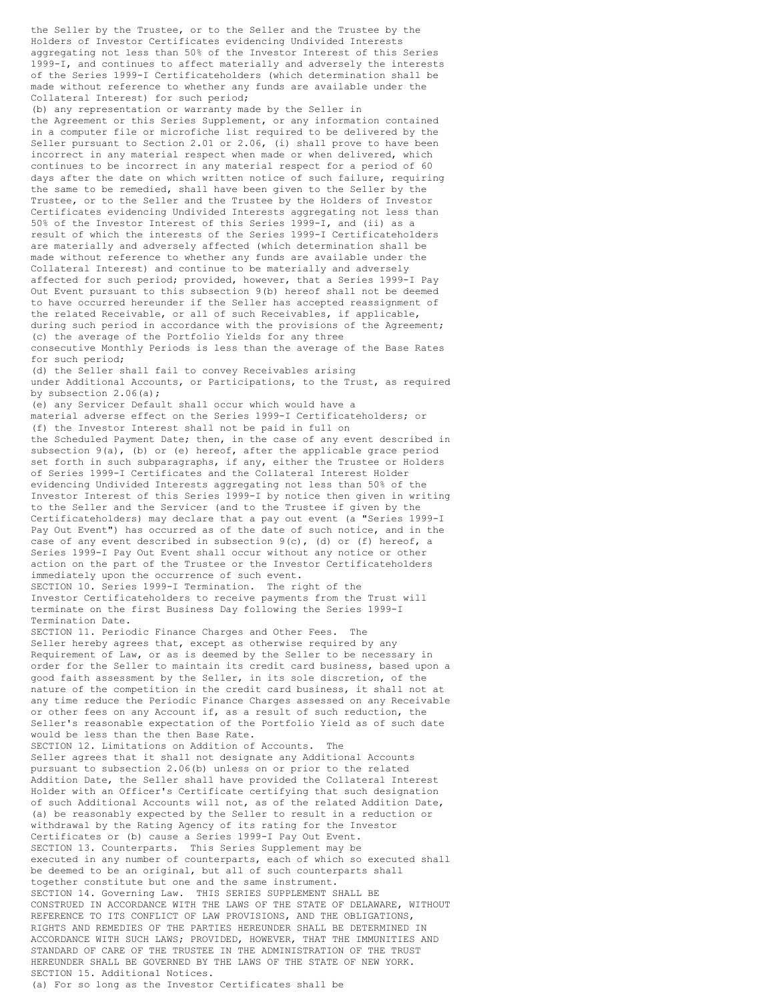the Seller by the Trustee, or to the Seller and the Trustee by the Holders of Investor Certificates evidencing Undivided Interests aggregating not less than 50% of the Investor Interest of this Series 1999-I, and continues to affect materially and adversely the interests of the Series 1999-I Certificateholders (which determination shall be made without reference to whether any funds are available under the Collateral Interest) for such period;

(b) any representation or warranty made by the Seller in the Agreement or this Series Supplement, or any information contained in a computer file or microfiche list required to be delivered by the Seller pursuant to Section 2.01 or 2.06, (i) shall prove to have been incorrect in any material respect when made or when delivered, which continues to be incorrect in any material respect for a period of 60 days after the date on which written notice of such failure, requiring the same to be remedied, shall have been given to the Seller by the Trustee, or to the Seller and the Trustee by the Holders of Investor Certificates evidencing Undivided Interests aggregating not less than 50% of the Investor Interest of this Series 1999-I, and (ii) as a result of which the interests of the Series 1999-I Certificateholders are materially and adversely affected (which determination shall be made without reference to whether any funds are available under the Collateral Interest) and continue to be materially and adversely affected for such period; provided, however, that a Series 1999-I Pay Out Event pursuant to this subsection 9(b) hereof shall not be deemed to have occurred hereunder if the Seller has accepted reassignment of the related Receivable, or all of such Receivables, if applicable, during such period in accordance with the provisions of the Agreement; (c) the average of the Portfolio Yields for any three consecutive Monthly Periods is less than the average of the Base Rates for such period;

(d) the Seller shall fail to convey Receivables arising under Additional Accounts, or Participations, to the Trust, as required by subsection  $2.06(a)$ ;

(e) any Servicer Default shall occur which would have a material adverse effect on the Series 1999-I Certificateholders; or (f) the Investor Interest shall not be paid in full on the Scheduled Payment Date; then, in the case of any event described in subsection  $9(a)$ , (b) or (e) hereof, after the applicable grace period set forth in such subparagraphs, if any, either the Trustee or Holders of Series 1999-I Certificates and the Collateral Interest Holder evidencing Undivided Interests aggregating not less than 50% of the Investor Interest of this Series 1999-I by notice then given in writing to the Seller and the Servicer (and to the Trustee if given by the Certificateholders) may declare that a pay out event (a "Series 1999-I Pay Out Event") has occurred as of the date of such notice, and in the case of any event described in subsection 9(c), (d) or (f) hereof, a Series 1999-I Pay Out Event shall occur without any notice or other action on the part of the Trustee or the Investor Certificateholders immediately upon the occurrence of such event. SECTION 10. Series 1999-I Termination. The right of the

Investor Certificateholders to receive payments from the Trust will terminate on the first Business Day following the Series 1999-I Termination Date.

SECTION 11. Periodic Finance Charges and Other Fees. The Seller hereby agrees that, except as otherwise required by any Requirement of Law, or as is deemed by the Seller to be necessary in order for the Seller to maintain its credit card business, based upon a good faith assessment by the Seller, in its sole discretion, of the nature of the competition in the credit card business, it shall not at any time reduce the Periodic Finance Charges assessed on any Receivable or other fees on any Account if, as a result of such reduction, the Seller's reasonable expectation of the Portfolio Yield as of such date would be less than the then Base Rate.

SECTION 12. Limitations on Addition of Accounts. The Seller agrees that it shall not designate any Additional Accounts pursuant to subsection 2.06(b) unless on or prior to the related Addition Date, the Seller shall have provided the Collateral Interest Holder with an Officer's Certificate certifying that such designation of such Additional Accounts will not, as of the related Addition Date, (a) be reasonably expected by the Seller to result in a reduction or withdrawal by the Rating Agency of its rating for the Investor Certificates or (b) cause a Series 1999-I Pay Out Event. SECTION 13. Counterparts. This Series Supplement may be executed in any number of counterparts, each of which so executed shall be deemed to be an original, but all of such counterparts shall together constitute but one and the same instrument. SECTION 14. Governing Law. THIS SERIES SUPPLEMENT SHALL BE CONSTRUED IN ACCORDANCE WITH THE LAWS OF THE STATE OF DELAWARE, WITHOUT REFERENCE TO ITS CONFLICT OF LAW PROVISIONS, AND THE OBLIGATIONS, RIGHTS AND REMEDIES OF THE PARTIES HEREUNDER SHALL BE DETERMINED IN ACCORDANCE WITH SUCH LAWS; PROVIDED, HOWEVER, THAT THE IMMUNITIES AND STANDARD OF CARE OF THE TRUSTEE IN THE ADMINISTRATION OF THE TRUST HEREUNDER SHALL BE GOVERNED BY THE LAWS OF THE STATE OF NEW YORK. SECTION 15. Additional Notices. (a) For so long as the Investor Certificates shall be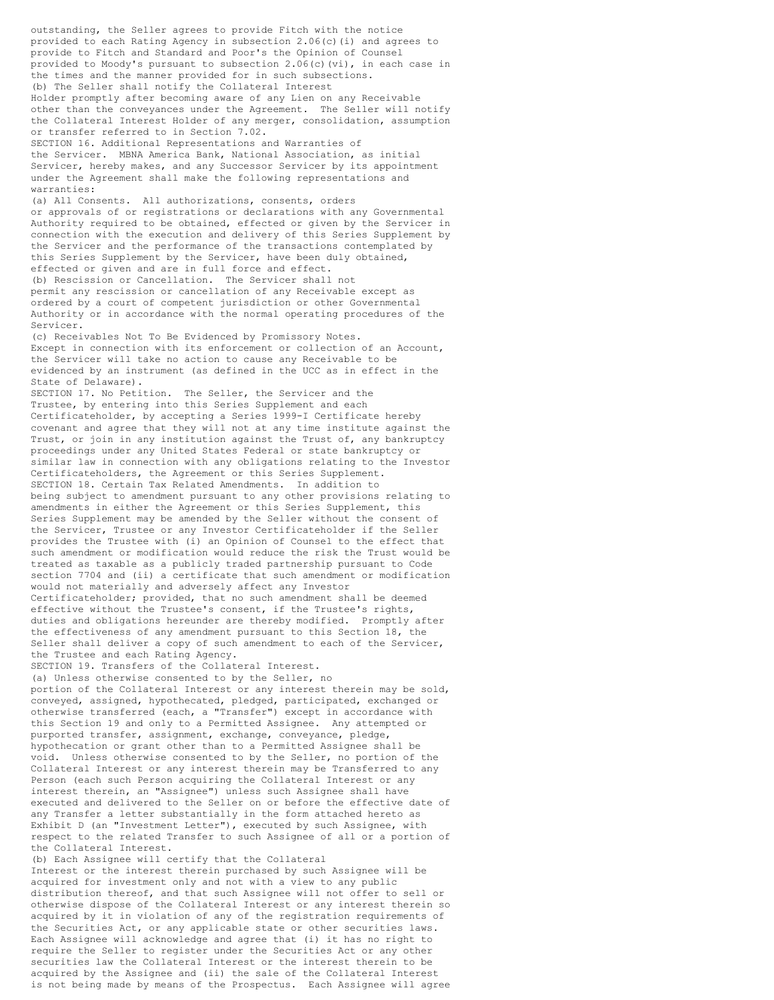outstanding, the Seller agrees to provide Fitch with the notice provided to each Rating Agency in subsection 2.06(c)(i) and agrees to provide to Fitch and Standard and Poor's the Opinion of Counsel provided to Moody's pursuant to subsection 2.06(c)(vi), in each case in the times and the manner provided for in such subsections. (b) The Seller shall notify the Collateral Interest Holder promptly after becoming aware of any Lien on any Receivable other than the conveyances under the Agreement. The Seller will notify the Collateral Interest Holder of any merger, consolidation, assumption or transfer referred to in Section 7.02. SECTION 16. Additional Representations and Warranties of the Servicer. MBNA America Bank, National Association, as initial Servicer, hereby makes, and any Successor Servicer by its appointment under the Agreement shall make the following representations and warranties: (a) All Consents. All authorizations, consents, orders or approvals of or registrations or declarations with any Governmental Authority required to be obtained, effected or given by the Servicer in connection with the execution and delivery of this Series Supplement by the Servicer and the performance of the transactions contemplated by this Series Supplement by the Servicer, have been duly obtained, effected or given and are in full force and effect. (b) Rescission or Cancellation. The Servicer shall not permit any rescission or cancellation of any Receivable except as ordered by a court of competent jurisdiction or other Governmental Authority or in accordance with the normal operating procedures of the Servicer. (c) Receivables Not To Be Evidenced by Promissory Notes. Except in connection with its enforcement or collection of an Account, the Servicer will take no action to cause any Receivable to be evidenced by an instrument (as defined in the UCC as in effect in the State of Delaware). SECTION 17. No Petition. The Seller, the Servicer and the Trustee, by entering into this Series Supplement and each Certificateholder, by accepting a Series 1999-I Certificate hereby covenant and agree that they will not at any time institute against the Trust, or join in any institution against the Trust of, any bankruptcy proceedings under any United States Federal or state bankruptcy or similar law in connection with any obligations relating to the Investor Certificateholders, the Agreement or this Series Supplement. SECTION 18. Certain Tax Related Amendments. In addition to being subject to amendment pursuant to any other provisions relating to amendments in either the Agreement or this Series Supplement, this Series Supplement may be amended by the Seller without the consent of the Servicer, Trustee or any Investor Certificateholder if the Seller provides the Trustee with (i) an Opinion of Counsel to the effect that such amendment or modification would reduce the risk the Trust would be treated as taxable as a publicly traded partnership pursuant to Code section 7704 and (ii) a certificate that such amendment or modification would not materially and adversely affect any Investor Certificateholder; provided, that no such amendment shall be deemed effective without the Trustee's consent, if the Trustee's rights, duties and obligations hereunder are thereby modified. Promptly after the effectiveness of any amendment pursuant to this Section 18, the Seller shall deliver a copy of such amendment to each of the Servicer, the Trustee and each Rating Agency. SECTION 19. Transfers of the Collateral Interest. (a) Unless otherwise consented to by the Seller, no portion of the Collateral Interest or any interest therein may be sold, conveyed, assigned, hypothecated, pledged, participated, exchanged or otherwise transferred (each, a "Transfer") except in accordance with this Section 19 and only to a Permitted Assignee. Any attempted or purported transfer, assignment, exchange, conveyance, pledge, hypothecation or grant other than to a Permitted Assignee shall be void. Unless otherwise consented to by the Seller, no portion of the Collateral Interest or any interest therein may be Transferred to any Person (each such Person acquiring the Collateral Interest or any interest therein, an "Assignee") unless such Assignee shall have executed and delivered to the Seller on or before the effective date of any Transfer a letter substantially in the form attached hereto as Exhibit D (an "Investment Letter"), executed by such Assignee, with respect to the related Transfer to such Assignee of all or a portion of the Collateral Interest. (b) Each Assignee will certify that the Collateral Interest or the interest therein purchased by such Assignee will be acquired for investment only and not with a view to any public distribution thereof, and that such Assignee will not offer to sell or otherwise dispose of the Collateral Interest or any interest therein so

acquired by it in violation of any of the registration requirements of the Securities Act, or any applicable state or other securities laws. Each Assignee will acknowledge and agree that (i) it has no right to require the Seller to register under the Securities Act or any other securities law the Collateral Interest or the interest therein to be acquired by the Assignee and (ii) the sale of the Collateral Interest is not being made by means of the Prospectus. Each Assignee will agree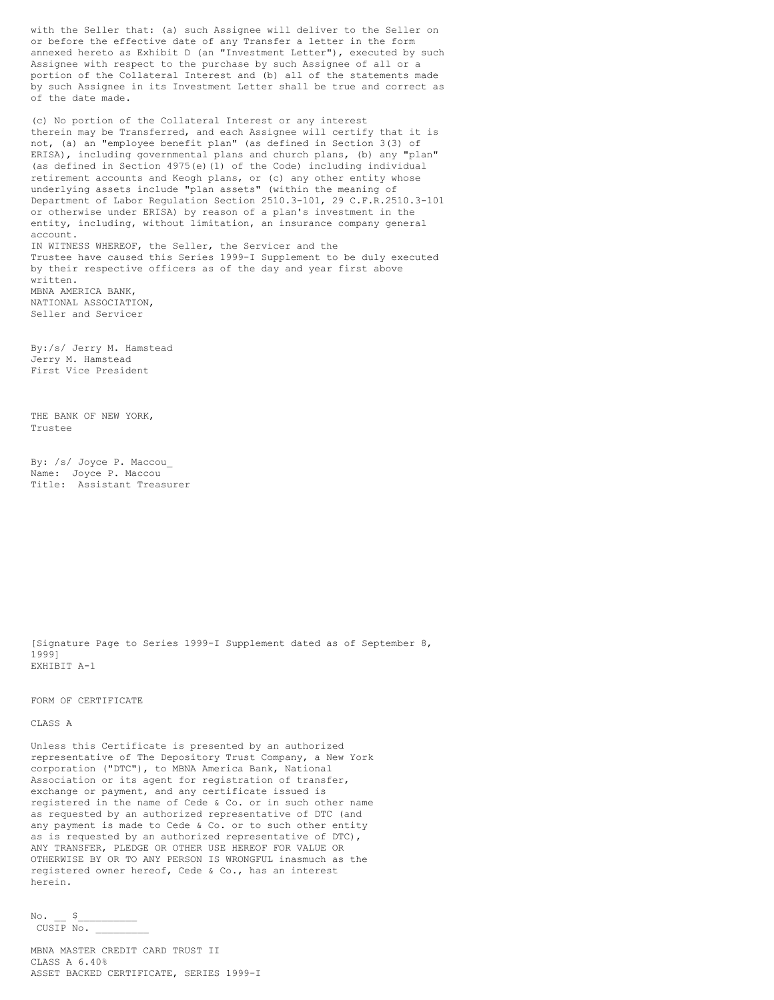with the Seller that: (a) such Assignee will deliver to the Seller on or before the effective date of any Transfer a letter in the form annexed hereto as Exhibit D (an "Investment Letter"), executed by such Assignee with respect to the purchase by such Assignee of all or a portion of the Collateral Interest and (b) all of the statements made by such Assignee in its Investment Letter shall be true and correct as of the date made.

(c) No portion of the Collateral Interest or any interest therein may be Transferred, and each Assignee will certify that it is not, (a) an "employee benefit plan" (as defined in Section 3(3) of ERISA), including governmental plans and church plans, (b) any "plan" (as defined in Section 4975(e)(1) of the Code) including individual retirement accounts and Keogh plans, or (c) any other entity whose underlying assets include "plan assets" (within the meaning of Department of Labor Regulation Section 2510.3-101, 29 C.F.R.2510.3-101 or otherwise under ERISA) by reason of a plan's investment in the entity, including, without limitation, an insurance company general account. IN WITNESS WHEREOF, the Seller, the Servicer and the Trustee have caused this Series 1999-I Supplement to be duly executed by their respective officers as of the day and year first above written. MBNA AMERICA BANK, NATIONAL ASSOCIATION,

Seller and Servicer

By:/s/ Jerry M. Hamstead Jerry M. Hamstead First Vice President

THE BANK OF NEW YORK, Trustee

By: /s/ Joyce P. Maccou\_ Name: Joyce P. Maccou Title: Assistant Treasurer

[Signature Page to Series 1999-I Supplement dated as of September 8, 1999] EXHIBIT A-1

FORM OF CERTIFICATE

### CLASS A

Unless this Certificate is presented by an authorized representative of The Depository Trust Company, a New York corporation ("DTC"), to MBNA America Bank, National Association or its agent for registration of transfer, exchange or payment, and any certificate issued is registered in the name of Cede & Co. or in such other name as requested by an authorized representative of DTC (and any payment is made to Cede & Co. or to such other entity as is requested by an authorized representative of DTC), ANY TRANSFER, PLEDGE OR OTHER USE HEREOF FOR VALUE OR OTHERWISE BY OR TO ANY PERSON IS WRONGFUL inasmuch as the registered owner hereof, Cede & Co., has an interest herein.

 $No.$   $S$  $CUS\overline{IP}$  No.

MBNA MASTER CREDIT CARD TRUST II CLASS A 6.40% ASSET BACKED CERTIFICATE, SERIES 1999-I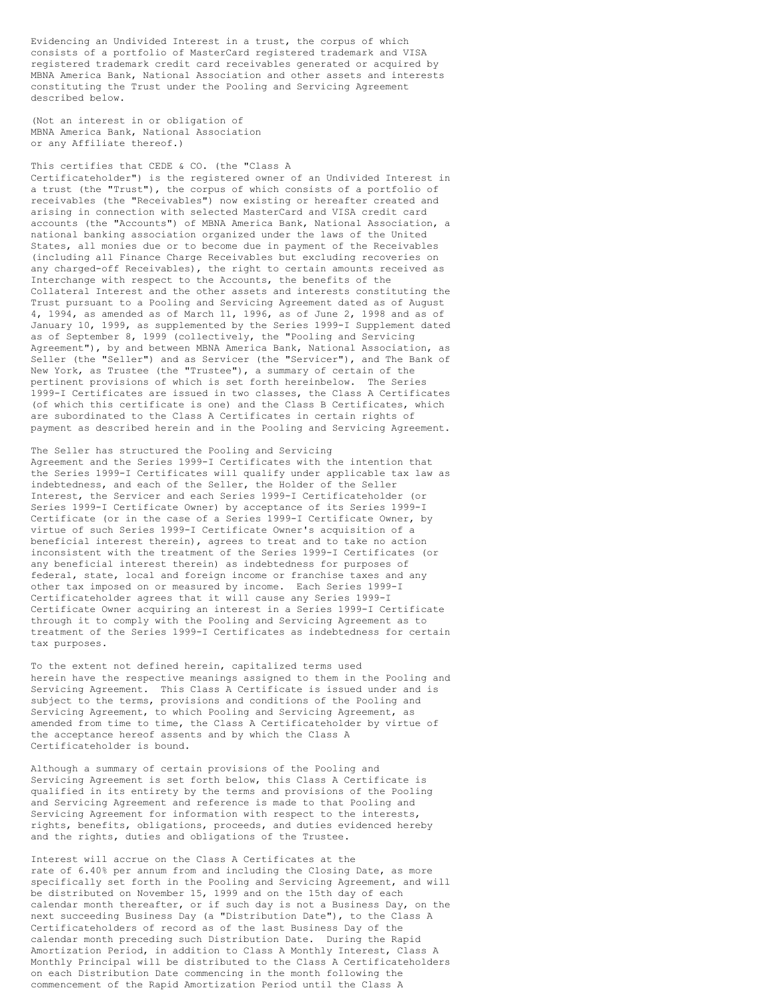Evidencing an Undivided Interest in a trust, the corpus of which consists of a portfolio of MasterCard registered trademark and VISA registered trademark credit card receivables generated or acquired by MBNA America Bank, National Association and other assets and interests constituting the Trust under the Pooling and Servicing Agreement described below.

(Not an interest in or obligation of MBNA America Bank, National Association or any Affiliate thereof.)

### This certifies that CEDE & CO. (the "Class A

Certificateholder") is the registered owner of an Undivided Interest in a trust (the "Trust"), the corpus of which consists of a portfolio of receivables (the "Receivables") now existing or hereafter created and arising in connection with selected MasterCard and VISA credit card accounts (the "Accounts") of MBNA America Bank, National Association, a national banking association organized under the laws of the United States, all monies due or to become due in payment of the Receivables (including all Finance Charge Receivables but excluding recoveries on any charged-off Receivables), the right to certain amounts received as Interchange with respect to the Accounts, the benefits of the Collateral Interest and the other assets and interests constituting the Trust pursuant to a Pooling and Servicing Agreement dated as of August 4, 1994, as amended as of March 11, 1996, as of June 2, 1998 and as of January 10, 1999, as supplemented by the Series 1999-I Supplement dated as of September 8, 1999 (collectively, the "Pooling and Servicing Agreement"), by and between MBNA America Bank, National Association, as Seller (the "Seller") and as Servicer (the "Servicer"), and The Bank of New York, as Trustee (the "Trustee"), a summary of certain of the pertinent provisions of which is set forth hereinbelow. The Series 1999-I Certificates are issued in two classes, the Class A Certificates (of which this certificate is one) and the Class B Certificates, which are subordinated to the Class A Certificates in certain rights of payment as described herein and in the Pooling and Servicing Agreement.

The Seller has structured the Pooling and Servicing Agreement and the Series 1999-I Certificates with the intention that the Series 1999-I Certificates will qualify under applicable tax law as indebtedness, and each of the Seller, the Holder of the Seller Interest, the Servicer and each Series 1999-I Certificateholder (or Series 1999-I Certificate Owner) by acceptance of its Series 1999-I Certificate (or in the case of a Series 1999-I Certificate Owner, by virtue of such Series 1999-I Certificate Owner's acquisition of a beneficial interest therein), agrees to treat and to take no action inconsistent with the treatment of the Series 1999-I Certificates (or any beneficial interest therein) as indebtedness for purposes of federal, state, local and foreign income or franchise taxes and any other tax imposed on or measured by income. Each Series 1999-I Certificateholder agrees that it will cause any Series 1999-I Certificate Owner acquiring an interest in a Series 1999-I Certificate through it to comply with the Pooling and Servicing Agreement as to treatment of the Series 1999-I Certificates as indebtedness for certain tax purposes.

To the extent not defined herein, capitalized terms used herein have the respective meanings assigned to them in the Pooling and Servicing Agreement. This Class A Certificate is issued under and is subject to the terms, provisions and conditions of the Pooling and Servicing Agreement, to which Pooling and Servicing Agreement, as amended from time to time, the Class A Certificateholder by virtue of the acceptance hereof assents and by which the Class A Certificateholder is bound.

Although a summary of certain provisions of the Pooling and Servicing Agreement is set forth below, this Class A Certificate is qualified in its entirety by the terms and provisions of the Pooling and Servicing Agreement and reference is made to that Pooling and Servicing Agreement for information with respect to the interests, rights, benefits, obligations, proceeds, and duties evidenced hereby and the rights, duties and obligations of the Trustee.

Interest will accrue on the Class A Certificates at the rate of 6.40% per annum from and including the Closing Date, as more specifically set forth in the Pooling and Servicing Agreement, and will be distributed on November 15, 1999 and on the 15th day of each calendar month thereafter, or if such day is not a Business Day, on the next succeeding Business Day (a "Distribution Date"), to the Class A Certificateholders of record as of the last Business Day of the calendar month preceding such Distribution Date. During the Rapid Amortization Period, in addition to Class A Monthly Interest, Class A Monthly Principal will be distributed to the Class A Certificateholders on each Distribution Date commencing in the month following the commencement of the Rapid Amortization Period until the Class A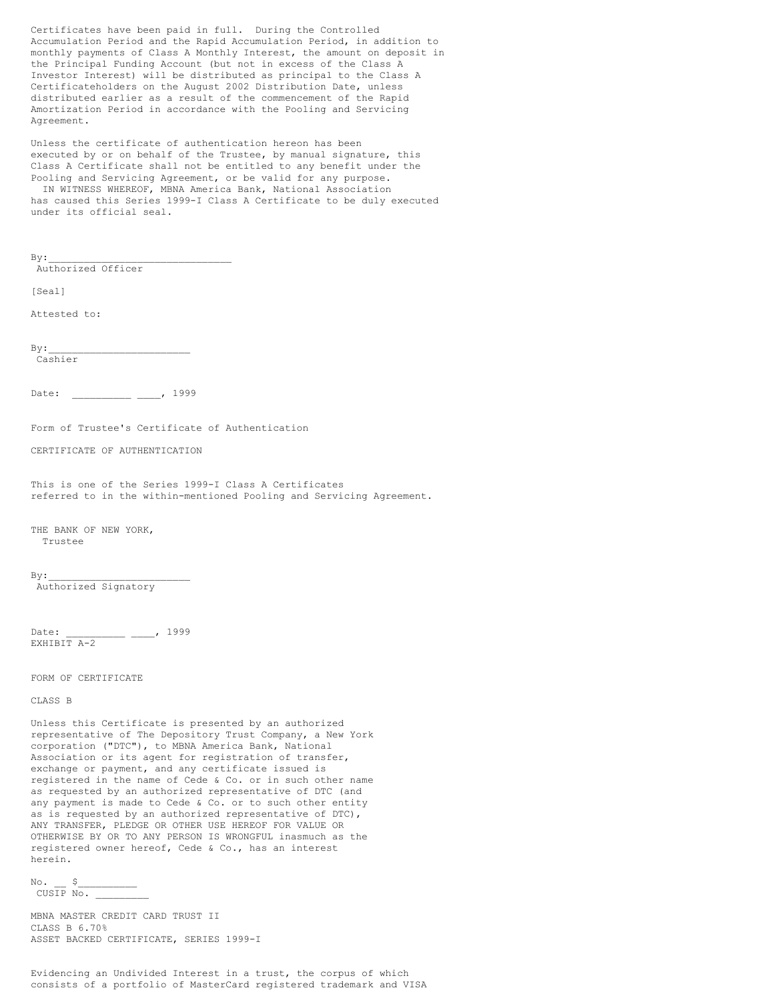Certificates have been paid in full. During the Controlled Accumulation Period and the Rapid Accumulation Period, in addition to monthly payments of Class A Monthly Interest, the amount on deposit in the Principal Funding Account (but not in excess of the Class A Investor Interest) will be distributed as principal to the Class A Certificateholders on the August 2002 Distribution Date, unless distributed earlier as a result of the commencement of the Rapid Amortization Period in accordance with the Pooling and Servicing Agreement.

Unless the certificate of authentication hereon has been executed by or on behalf of the Trustee, by manual signature, this Class A Certificate shall not be entitled to any benefit under the Pooling and Servicing Agreement, or be valid for any purpose. IN WITNESS WHEREOF, MBNA America Bank, National Association has caused this Series 1999-I Class A Certificate to be duly executed under its official seal.

| By:                                                                                                                                                                                                                                                                                                                                                                                                                                                                                                                                           |
|-----------------------------------------------------------------------------------------------------------------------------------------------------------------------------------------------------------------------------------------------------------------------------------------------------------------------------------------------------------------------------------------------------------------------------------------------------------------------------------------------------------------------------------------------|
| Authorized Officer                                                                                                                                                                                                                                                                                                                                                                                                                                                                                                                            |
| [Seal]                                                                                                                                                                                                                                                                                                                                                                                                                                                                                                                                        |
| Attested to:                                                                                                                                                                                                                                                                                                                                                                                                                                                                                                                                  |
| By:<br>Cashier                                                                                                                                                                                                                                                                                                                                                                                                                                                                                                                                |
| $\frac{1999}{1900}$<br>Date:                                                                                                                                                                                                                                                                                                                                                                                                                                                                                                                  |
| Form of Trustee's Certificate of Authentication                                                                                                                                                                                                                                                                                                                                                                                                                                                                                               |
| CERTIFICATE OF AUTHENTICATION                                                                                                                                                                                                                                                                                                                                                                                                                                                                                                                 |
| This is one of the Series 1999-I Class A Certificates<br>referred to in the within-mentioned Pooling and Servicing Agreement.                                                                                                                                                                                                                                                                                                                                                                                                                 |
| THE BANK OF NEW YORK,<br>Trustee                                                                                                                                                                                                                                                                                                                                                                                                                                                                                                              |
| ву:<br>Authorized Signatory                                                                                                                                                                                                                                                                                                                                                                                                                                                                                                                   |
| Date:<br>—— —— <sup>1999</sup><br>EXHIBIT A-2                                                                                                                                                                                                                                                                                                                                                                                                                                                                                                 |
| FORM OF CERTIFICATE                                                                                                                                                                                                                                                                                                                                                                                                                                                                                                                           |
| CLASS B                                                                                                                                                                                                                                                                                                                                                                                                                                                                                                                                       |
| Unless this Certificate is presented by an authorized<br>representative of The Depository Trust Company, a New York<br>corporation ("DTC"), to MBNA America Bank, National<br>Association or its agent for registration of transfer,<br>exchange or payment, and any certificate issued is<br>registered in the name of Cede & Co. or in such other name<br>as requested by an authorized representative of DTC (and<br>any payment is made to Cede & Co. or to such other entity<br>as is requested by an authorized representative of DTC), |

Evidencing an Undivided Interest in a trust, the corpus of which consists of a portfolio of MasterCard registered trademark and VISA

ANY TRANSFER, PLEDGE OR OTHER USE HEREOF FOR VALUE OR OTHERWISE BY OR TO ANY PERSON IS WRONGFUL inasmuch as the registered owner hereof, Cede & Co., has an interest

MBNA MASTER CREDIT CARD TRUST II

ASSET BACKED CERTIFICATE, SERIES 1999-I

herein.  $No.$   $$$  $CUS\overline{IP}$  No.

CLASS B 6.70%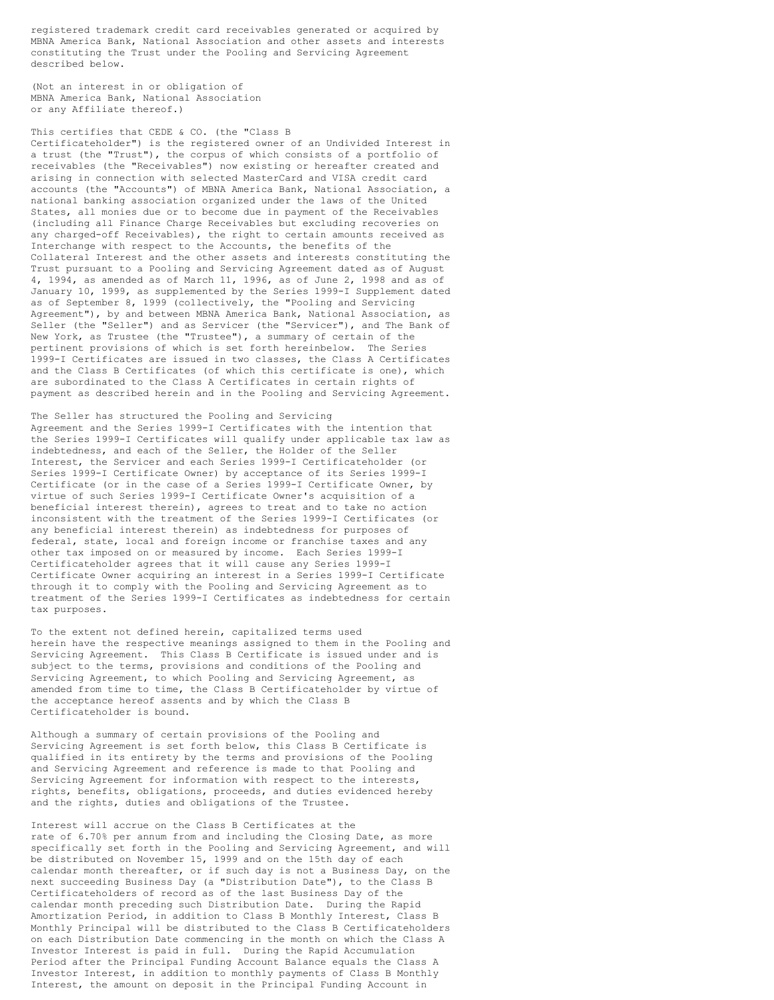registered trademark credit card receivables generated or acquired by MBNA America Bank, National Association and other assets and interests constituting the Trust under the Pooling and Servicing Agreement described below.

(Not an interest in or obligation of MBNA America Bank, National Association or any Affiliate thereof.)

# This certifies that CEDE & CO. (the "Class B

Certificateholder") is the registered owner of an Undivided Interest in a trust (the "Trust"), the corpus of which consists of a portfolio of receivables (the "Receivables") now existing or hereafter created and arising in connection with selected MasterCard and VISA credit card accounts (the "Accounts") of MBNA America Bank, National Association, a national banking association organized under the laws of the United States, all monies due or to become due in payment of the Receivables (including all Finance Charge Receivables but excluding recoveries on any charged-off Receivables), the right to certain amounts received as Interchange with respect to the Accounts, the benefits of the Collateral Interest and the other assets and interests constituting the Trust pursuant to a Pooling and Servicing Agreement dated as of August 4, 1994, as amended as of March 11, 1996, as of June 2, 1998 and as of January 10, 1999, as supplemented by the Series 1999-I Supplement dated as of September 8, 1999 (collectively, the "Pooling and Servicing Agreement"), by and between MBNA America Bank, National Association, as Seller (the "Seller") and as Servicer (the "Servicer"), and The Bank of New York, as Trustee (the "Trustee"), a summary of certain of the pertinent provisions of which is set forth hereinbelow. The Series 1999-I Certificates are issued in two classes, the Class A Certificates and the Class B Certificates (of which this certificate is one), which are subordinated to the Class A Certificates in certain rights of payment as described herein and in the Pooling and Servicing Agreement.

The Seller has structured the Pooling and Servicing Agreement and the Series 1999-I Certificates with the intention that the Series 1999-I Certificates will qualify under applicable tax law as indebtedness, and each of the Seller, the Holder of the Seller Interest, the Servicer and each Series 1999-I Certificateholder (or Series 1999-I Certificate Owner) by acceptance of its Series 1999-I Certificate (or in the case of a Series 1999-I Certificate Owner, by virtue of such Series 1999-I Certificate Owner's acquisition of a beneficial interest therein), agrees to treat and to take no action inconsistent with the treatment of the Series 1999-I Certificates (or any beneficial interest therein) as indebtedness for purposes of federal, state, local and foreign income or franchise taxes and any other tax imposed on or measured by income. Each Series 1999-I Certificateholder agrees that it will cause any Series 1999-I Certificate Owner acquiring an interest in a Series 1999-I Certificate through it to comply with the Pooling and Servicing Agreement as to treatment of the Series 1999-I Certificates as indebtedness for certain tax purposes.

To the extent not defined herein, capitalized terms used herein have the respective meanings assigned to them in the Pooling and Servicing Agreement. This Class B Certificate is issued under and is subject to the terms, provisions and conditions of the Pooling and Servicing Agreement, to which Pooling and Servicing Agreement, as amended from time to time, the Class B Certificateholder by virtue of the acceptance hereof assents and by which the Class B Certificateholder is bound.

Although a summary of certain provisions of the Pooling and Servicing Agreement is set forth below, this Class B Certificate is qualified in its entirety by the terms and provisions of the Pooling and Servicing Agreement and reference is made to that Pooling and Servicing Agreement for information with respect to the interests, rights, benefits, obligations, proceeds, and duties evidenced hereby and the rights, duties and obligations of the Trustee.

Interest will accrue on the Class B Certificates at the rate of 6.70% per annum from and including the Closing Date, as more specifically set forth in the Pooling and Servicing Agreement, and will be distributed on November 15, 1999 and on the 15th day of each calendar month thereafter, or if such day is not a Business Day, on the next succeeding Business Day (a "Distribution Date"), to the Class B Certificateholders of record as of the last Business Day of the calendar month preceding such Distribution Date. During the Rapid Amortization Period, in addition to Class B Monthly Interest, Class B Monthly Principal will be distributed to the Class B Certificateholders on each Distribution Date commencing in the month on which the Class A Investor Interest is paid in full. During the Rapid Accumulation Period after the Principal Funding Account Balance equals the Class A Investor Interest, in addition to monthly payments of Class B Monthly Interest, the amount on deposit in the Principal Funding Account in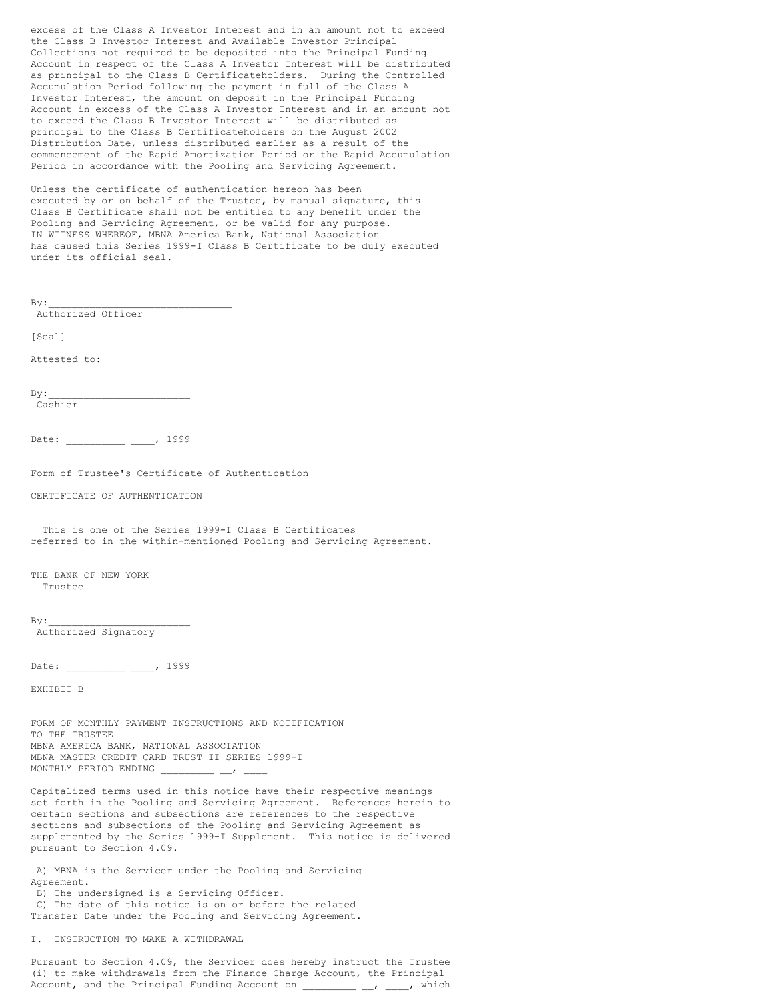excess of the Class A Investor Interest and in an amount not to exceed the Class B Investor Interest and Available Investor Principal Collections not required to be deposited into the Principal Funding Account in respect of the Class A Investor Interest will be distributed as principal to the Class B Certificateholders. During the Controlled Accumulation Period following the payment in full of the Class A Investor Interest, the amount on deposit in the Principal Funding Account in excess of the Class A Investor Interest and in an amount not to exceed the Class B Investor Interest will be distributed as principal to the Class B Certificateholders on the August 2002 Distribution Date, unless distributed earlier as a result of the commencement of the Rapid Amortization Period or the Rapid Accumulation Period in accordance with the Pooling and Servicing Agreement.

Unless the certificate of authentication hereon has been executed by or on behalf of the Trustee, by manual signature, this Class B Certificate shall not be entitled to any benefit under the Pooling and Servicing Agreement, or be valid for any purpose. IN WITNESS WHEREOF, MBNA America Bank, National Association has caused this Series 1999-I Class B Certificate to be duly executed under its official seal.

 $By:$ 

Authorized Officer

[Seal]

Attested to:

 $Bv:$ Cashier

Date: \_\_\_\_\_\_\_\_\_\_ \_\_\_, 1999

Form of Trustee's Certificate of Authentication

CERTIFICATE OF AUTHENTICATION

This is one of the Series 1999-I Class B Certificates referred to in the within-mentioned Pooling and Servicing Agreement.

THE BANK OF NEW YORK Trustee

 $By:$ 

Authorized Signatory

Date: \_\_\_\_\_\_\_\_\_ \_\_\_, 1999

EXHIBIT B

FORM OF MONTHLY PAYMENT INSTRUCTIONS AND NOTIFICATION TO THE TRUSTEE MBNA AMERICA BANK, NATIONAL ASSOCIATION MBNA MASTER CREDIT CARD TRUST II SERIES 1999-I MONTHLY PERIOD ENDING

Capitalized terms used in this notice have their respective meanings set forth in the Pooling and Servicing Agreement. References herein to certain sections and subsections are references to the respective sections and subsections of the Pooling and Servicing Agreement as supplemented by the Series 1999-I Supplement. This notice is delivered pursuant to Section 4.09.

A) MBNA is the Servicer under the Pooling and Servicing Agreement.

B) The undersigned is a Servicing Officer. C) The date of this notice is on or before the related Transfer Date under the Pooling and Servicing Agreement.

I. INSTRUCTION TO MAKE A WITHDRAWAL

Pursuant to Section 4.09, the Servicer does hereby instruct the Trustee (i) to make withdrawals from the Finance Charge Account, the Principal Account, and the Principal Funding Account on  $\frac{1}{\sqrt{2}}$ ,  $\frac{1}{\sqrt{2}}$ , which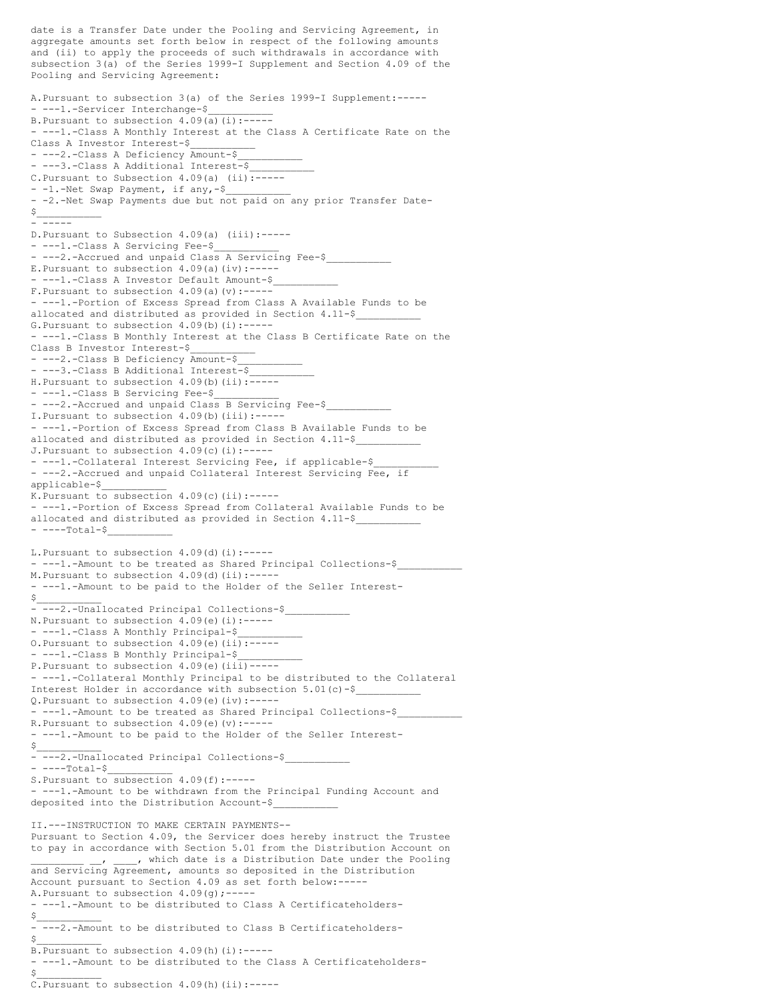date is a Transfer Date under the Pooling and Servicing Agreement, in aggregate amounts set forth below in respect of the following amounts and (ii) to apply the proceeds of such withdrawals in accordance with subsection 3(a) of the Series 1999-I Supplement and Section 4.09 of the Pooling and Servicing Agreement: A.Pursuant to subsection 3(a) of the Series 1999-I Supplement:----- - ---1.-Servicer Interchange-\$ B. Pursuant to subsection  $4.09(a)(i):$ ------ ---1.-Class A Monthly Interest at the Class A Certificate Rate on the Class A Investor Interest-\$ - ---2.-Class A Deficiency Amount-\$ - ---3.-Class A Additional Interest-\$ C.Pursuant to Subsection 4.09(a) (ii):----- - -1.-Net Swap Payment, if any,-\$ - -2.-Net Swap Payments due but not paid on any prior Transfer Date- $S_{\perp}$ - <del>- - - - -</del> D.Pursuant to Subsection 4.09(a) (iii):----- - ---1.-Class A Servicing Fee-\$ - ---2.-Accrued and unpaid Class A Servicing Fee-\$ E. Pursuant to subsection  $4.09(a)(iv):---$ ---1.-Class A Investor Default Amount-\$ F. Pursuant to subsection  $4.09(a)(v)$ :------ ---1.-Portion of Excess Spread from Class A Available Funds to be allocated and distributed as provided in Section 4.11-\$ G. Pursuant to subsection  $4.09(b)(i):---$ - ---1.-Class B Monthly Interest at the Class B Certificate Rate on the Class B Investor Interest-\$ - ---2.-Class B Deficiency Amount-\$ - ---3.-Class B Additional Interest-\$ H.Pursuant to subsection 4.09(b)(ii):----- - ---1.-Class B Servicing Fee-\$ - ---2.-Accrued and unpaid Class B Servicing Fee-\$ I.Pursuant to subsection 4.09(b)(iii):----- - ---1.-Portion of Excess Spread from Class B Available Funds to be allocated and distributed as provided in Section 4.11-\$ J. Pursuant to subsection  $4.09(c)(i):---$ - ---1.-Collateral Interest Servicing Fee, if applicable-\$ - ---2.-Accrued and unpaid Collateral Interest Servicing Fee, if applicable-\$\_\_\_\_\_\_\_\_\_\_\_ K. Pursuant to subsection  $4.09(c)$  (ii):------ ---1.-Portion of Excess Spread from Collateral Available Funds to be allocated and distributed as provided in Section 4.11-\$ ----Total-\$ L. Pursuant to subsection  $4.09$ (d)(i):------ ---1.-Amount to be treated as Shared Principal Collections-\$ M.Pursuant to subsection 4.09(d)(ii):----- - ---1.-Amount to be paid to the Holder of the Seller Interest-  $S_\perp$ - ---2.-Unallocated Principal Collections-\$ N. Pursuant to subsection  $4.09(e)$  (i):------ ---1.-Class A Monthly Principal-\$\_\_\_\_\_\_\_\_\_\_\_ O. Pursuant to subsection  $4.09(e)$  (ii):------ ---1.-Class B Monthly Principal-\$ P. Pursuant to subsection  $4.09(e)$  (iii)------ ---1.-Collateral Monthly Principal to be distributed to the Collateral Interest Holder in accordance with subsection 5.01(c)-\$\_\_\_\_\_\_\_\_\_\_\_ Q.Pursuant to subsection 4.09(e)(iv):----- - ---1.-Amount to be treated as Shared Principal Collections-\$ R. Pursuant to subsection  $4.09(e)$  (v):------ ---1.-Amount to be paid to the Holder of the Seller Interest-  $\sharp$ - ---2.-Unallocated Principal Collections-\$  $----Total-S$ S.Pursuant to subsection 4.09(f):----- - ---1.-Amount to be withdrawn from the Principal Funding Account and deposited into the Distribution Account-\$\_\_\_\_\_\_\_\_\_\_\_ II.---INSTRUCTION TO MAKE CERTAIN PAYMENTS-- Pursuant to Section 4.09, the Servicer does hereby instruct the Trustee to pay in accordance with Section 5.01 from the Distribution Account on . \_\_\_\_, which date is a Distribution Date under the Pooling and Servicing Agreement, amounts so deposited in the Distribution Account pursuant to Section 4.09 as set forth below:----- A. Pursuant to subsection  $4.09(q)$ ;---- ---1.-Amount to be distributed to Class A Certificateholders-  $\frac{1}{2}$ - ---2.-Amount to be distributed to Class B Certificateholders-  $\sharp$  $B.Pursuant$  to subsection 4.09(h)(i):------ ---1.-Amount to be distributed to the Class A Certificateholders-  $\sharp$ C.Pursuant to subsection 4.09(h)(ii):-----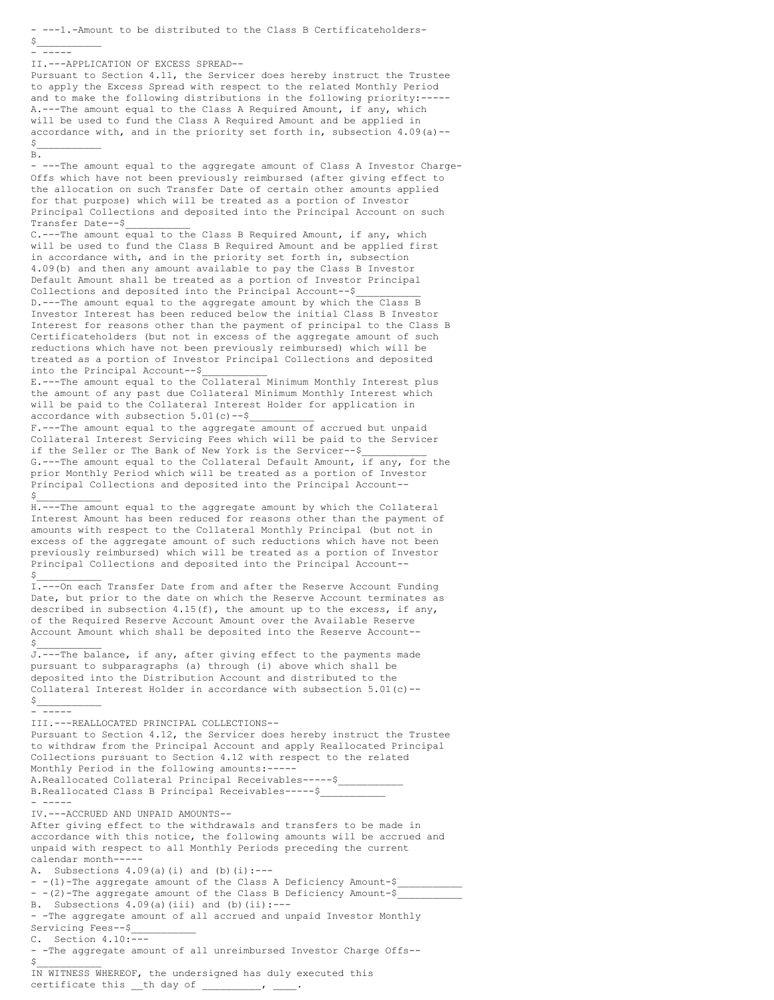- ---1.-Amount to be distributed to the Class B Certificateholders-  $\frac{1}{2}$ - ----- II.---APPLICATION OF EXCESS SPREAD-- Pursuant to Section 4.11, the Servicer does hereby instruct the Trustee to apply the Excess Spread with respect to the related Monthly Period and to make the following distributions in the following priority:----- A.---The amount equal to the Class A Required Amount, if any, which will be used to fund the Class A Required Amount and be applied in accordance with, and in the priority set forth in, subsection 4.09(a)--  $\sharp$ B. - ---The amount equal to the aggregate amount of Class A Investor Charge-Offs which have not been previously reimbursed (after giving effect to the allocation on such Transfer Date of certain other amounts applied for that purpose) which will be treated as a portion of Investor Principal Collections and deposited into the Principal Account on such Transfer Date--\$\_\_\_\_\_\_\_\_\_\_\_ C.---The amount equal to the Class B Required Amount, if any, which will be used to fund the Class B Required Amount and be applied first in accordance with, and in the priority set forth in, subsection 4.09(b) and then any amount available to pay the Class B Investor Default Amount shall be treated as a portion of Investor Principal Collections and deposited into the Principal Account--\$ D.---The amount equal to the aggregate amount by which the Class B Investor Interest has been reduced below the initial Class B Investor Interest for reasons other than the payment of principal to the Class B Certificateholders (but not in excess of the aggregate amount of such reductions which have not been previously reimbursed) which will be treated as a portion of Investor Principal Collections and deposited into the Principal Account--\$\_\_\_\_\_\_\_\_\_\_\_ E.---The amount equal to the Collateral Minimum Monthly Interest plus the amount of any past due Collateral Minimum Monthly Interest which will be paid to the Collateral Interest Holder for application in accordance with subsection  $5.01(c)$  --\$ F.---The amount equal to the aggregate amount of accrued but unpaid Collateral Interest Servicing Fees which will be paid to the Servicer if the Seller or The Bank of New York is the Servicer--\$ G.---The amount equal to the Collateral Default Amount, if any, for the prior Monthly Period which will be treated as a portion of Investor Principal Collections and deposited into the Principal Account--  $\sharp$ H.---The amount equal to the aggregate amount by which the Collateral Interest Amount has been reduced for reasons other than the payment of amounts with respect to the Collateral Monthly Principal (but not in excess of the aggregate amount of such reductions which have not been previously reimbursed) which will be treated as a portion of Investor Principal Collections and deposited into the Principal Account--  $\sharp$ I.---On each Transfer Date from and after the Reserve Account Funding Date, but prior to the date on which the Reserve Account terminates as described in subsection  $4.15(f)$ , the amount up to the excess, if any, of the Required Reserve Account Amount over the Available Reserve Account Amount which shall be deposited into the Reserve Account--  $\sharp$ J.---The balance, if any, after giving effect to the payments made pursuant to subparagraphs (a) through (i) above which shall be deposited into the Distribution Account and distributed to the Collateral Interest Holder in accordance with subsection  $5.01(c)$  -- $\circ$ - ----- III.---REALLOCATED PRINCIPAL COLLECTIONS-- Pursuant to Section 4.12, the Servicer does hereby instruct the Trustee to withdraw from the Principal Account and apply Reallocated Principal Collections pursuant to Section 4.12 with respect to the related Monthly Period in the following amounts:----- A.Reallocated Collateral Principal Receivables-----\$ B.Reallocated Class B Principal Receivables-----\$ - ----- IV.---ACCRUED AND UNPAID AMOUNTS-- After giving effect to the withdrawals and transfers to be made in accordance with this notice, the following amounts will be accrued and unpaid with respect to all Monthly Periods preceding the current calendar month----- A. Subsections  $4.09(a)(i)$  and (b)(i):---- -(1)-The aggregate amount of the Class A Deficiency Amount-\$ - -(2)-The aggregate amount of the Class B Deficiency Amount- $\hat{s}$ B. Subsections  $4.09(a)$  (iii) and (b)(ii):---- -The aggregate amount of all accrued and unpaid Investor Monthly Servicing Fees--\$ C. Section 4.10:--- - -The aggregate amount of all unreimbursed Investor Charge Offs--  $\sharp$ IN WITNESS WHEREOF, the undersigned has duly executed this

certificate this \_\_th day of \_\_\_\_\_\_\_\_\_, \_\_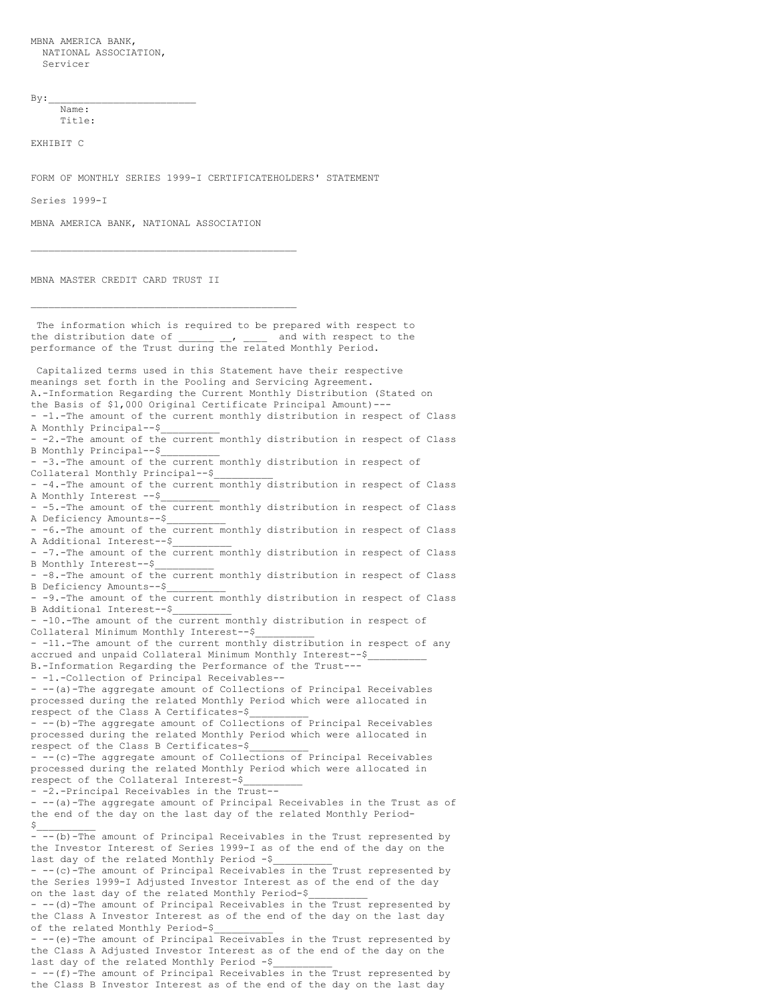MBNA AMERICA BANK, NATIONAL ASSOCIATION, Servicer

 $By:$ 

Name: Title:

EXHIBIT C

FORM OF MONTHLY SERIES 1999-I CERTIFICATEHOLDERS' STATEMENT

Series 1999-I

MBNA AMERICA BANK, NATIONAL ASSOCIATION

\_\_\_\_\_\_\_\_\_\_\_\_\_\_\_\_\_\_\_\_\_\_\_\_\_\_\_\_\_\_\_\_\_\_\_\_\_\_\_\_\_\_\_\_\_

\_\_\_\_\_\_\_\_\_\_\_\_\_\_\_\_\_\_\_\_\_\_\_\_\_\_\_\_\_\_\_\_\_\_\_\_\_\_\_\_\_\_\_\_\_

MBNA MASTER CREDIT CARD TRUST II

The information which is required to be prepared with respect to the distribution date of  $\frac{1}{2}$ ,  $\frac{1}{2}$  and with respect to the performance of the Trust during the related Monthly Period. Capitalized terms used in this Statement have their respective meanings set forth in the Pooling and Servicing Agreement. A.-Information Regarding the Current Monthly Distribution (Stated on the Basis of \$1,000 Original Certificate Principal Amount)--- - -1.-The amount of the current monthly distribution in respect of Class A Monthly Principal--\$\_\_\_\_\_\_\_\_\_\_ -2.-The amount of the current monthly distribution in respect of Class B Monthly Principal--\$\_\_\_\_\_\_\_\_\_\_ - -3.-The amount of the current monthly distribution in respect of Collateral Monthly Principal--\$\_\_\_\_\_\_\_\_\_\_ - -4.-The amount of the current monthly distribution in respect of Class A Monthly Interest --\$\_\_\_\_\_\_\_\_\_\_ - -5.-The amount of the current monthly distribution in respect of Class A Deficiency Amounts--\$\_\_\_\_\_\_\_\_\_\_ - -6.-The amount of the current monthly distribution in respect of Class A Additional Interest--\$ - -7.-The amount of the current monthly distribution in respect of Class B Monthly Interest--\$\_\_\_\_\_\_\_\_\_\_ - -8.-The amount of the current monthly distribution in respect of Class B Deficiency Amounts--\$\_\_\_\_\_\_\_\_\_\_ - -9.-The amount of the current monthly distribution in respect of Class B Additional Interest--\$\_\_\_\_\_\_\_\_\_\_ - -10.-The amount of the current monthly distribution in respect of Collateral Minimum Monthly Interest--\$  $-$  -11.-The amount of the current monthly distribution in respect of any accrued and unpaid Collateral Minimum Monthly Interest--\$\_\_\_\_\_\_\_\_\_\_ B.-Information Regarding the Performance of the Trust--- - -1.-Collection of Principal Receivables-- - --(a)-The aggregate amount of Collections of Principal Receivables processed during the related Monthly Period which were allocated in respect of the Class A Certificates-\$\_\_\_\_\_\_\_\_\_\_ - --(b)-The aggregate amount of Collections of Principal Receivables processed during the related Monthly Period which were allocated in respect of the Class B Certificates-\$\_\_\_\_\_\_\_\_\_\_ - --(c)-The aggregate amount of Collections of Principal Receivables processed during the related Monthly Period which were allocated in respect of the Collateral Interest-\$\_\_\_\_\_\_\_\_\_\_ - -2.-Principal Receivables in the Trust-- - --(a)-The aggregate amount of Principal Receivables in the Trust as of the end of the day on the last day of the related Monthly Period-  $\ddot{\varsigma}$ - --(b)-The amount of Principal Receivables in the Trust represented by the Investor Interest of Series 1999-I as of the end of the day on the last day of the related Monthly Period -\$ - -- (c)-The amount of Principal Receivables in the Trust represented by the Series 1999-I Adjusted Investor Interest as of the end of the day on the last day of the related Monthly Period-\$ - -- (d)-The amount of Principal Receivables in the Trust represented by the Class A Investor Interest as of the end of the day on the last day of the related Monthly Period-\$\_\_\_\_\_\_\_\_\_\_ - --(e)-The amount of Principal Receivables in the Trust represented by the Class A Adjusted Investor Interest as of the end of the day on the last day of the related Monthly Period -\$ - --(f)-The amount of Principal Receivables in the Trust represented by

the Class B Investor Interest as of the end of the day on the last day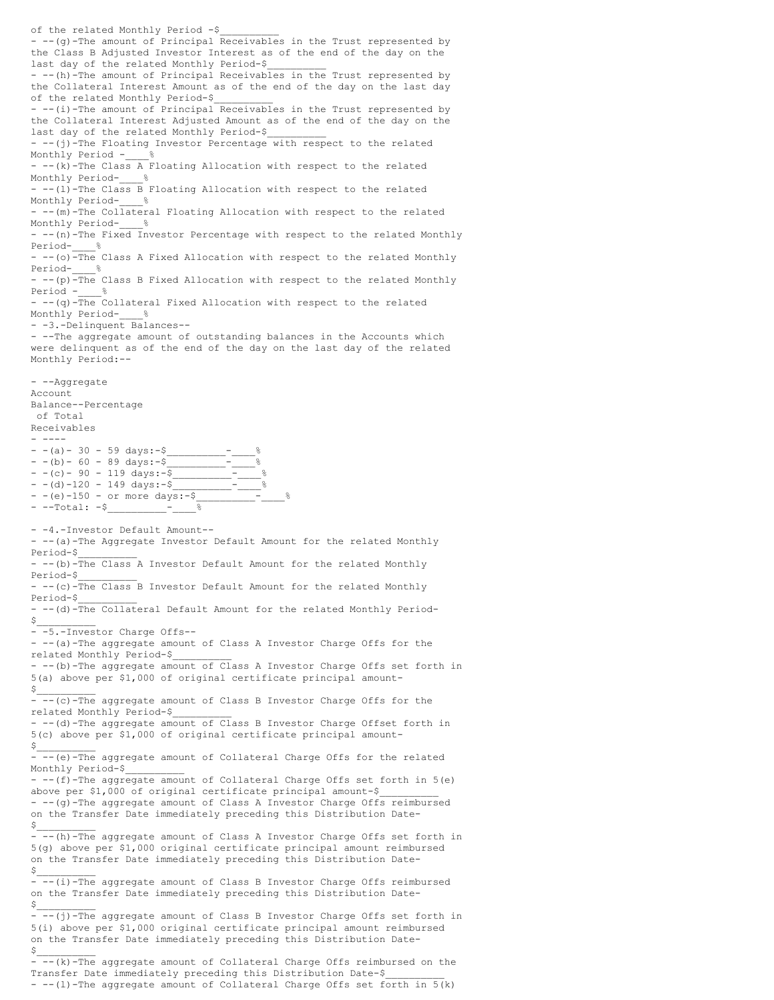of the related Monthly Period -\$\_\_\_\_\_\_\_\_\_\_ - -- (g)-The amount of Principal Receivables in the Trust represented by the Class B Adjusted Investor Interest as of the end of the day on the last day of the related Monthly Period-\$\_\_\_\_\_\_\_\_\_\_ - --(h)-The amount of Principal Receivables in the Trust represented by the Collateral Interest Amount as of the end of the day on the last day of the related Monthly Period-\$ - --(i)-The amount of Principal Receivables in the Trust represented by the Collateral Interest Adjusted Amount as of the end of the day on the last day of the related Monthly Period-\$ - --(j)-The Floating Investor Percentage with respect to the related Monthly Period - %  $-$  --(k)-The Class A Floating Allocation with respect to the related Monthly Period- % - --(l)-The Class B Floating Allocation with respect to the related Monthly Period- % - --(m)-The Collateral Floating Allocation with respect to the related Monthly Period-- --(n)-The Fixed Investor Percentage with respect to the related Monthly Period- % - --(o)<sup>-The</sup> Class A Fixed Allocation with respect to the related Monthly Period- % - --(p)-The Class B Fixed Allocation with respect to the related Monthly Period - % - --(q)-The Collateral Fixed Allocation with respect to the related Monthly Period-- -3.-Delinquent Balances-- - --The aggregate amount of outstanding balances in the Accounts which were delinquent as of the end of the day on the last day of the related Monthly Period:-- - --Aggregate Account Balance--Percentage of Total Receivables - ----  $- - (a) - 30 - 59 \text{ days:} - $$  $- - (b) - 60 - 89 \text{ days:} - $$  $- - (c) - 90 - 119 \text{ days:} - $$  $- - (d) - 120 - 149 \text{ days:} - - (e) - 150 - or more days: -\$$ - --Total: -\$ - -4.-Investor Default Amount-- - -- (a)-The Aggregate Investor Default Amount for the related Monthly Period-\$\_\_\_\_\_\_\_\_\_\_ - --(b)-The Class A Investor Default Amount for the related Monthly Period-\$\_\_\_\_\_\_\_\_\_\_  $-$  --(c)-The Class B Investor Default Amount for the related Monthly Period-\$\_\_\_\_\_\_\_\_\_\_ - --(d)-The Collateral Default Amount for the related Monthly Period-  $S_{\perp}$ - -5.-Investor Charge Offs-- - --(a)-The aggregate amount of Class A Investor Charge Offs for the related Monthly Period-\$\_\_\_\_\_\_\_\_\_\_ - --(b)-The aggregate amount of Class A Investor Charge Offs set forth in 5(a) above per \$1,000 of original certificate principal amount-  $$$ - -- (c)-The aggregate amount of Class B Investor Charge Offs for the related Monthly Period-\$\_\_\_\_\_\_\_\_\_\_ - -- (d)-The aggregate amount of Class B Investor Charge Offset forth in 5(c) above per \$1,000 of original certificate principal amount-  $$$ - --(e)-The aggregate amount of Collateral Charge Offs for the related Monthly Period-\$\_\_\_\_\_\_\_\_\_\_ - --(f)-The aggregate amount of Collateral Charge Offs set forth in 5(e) above per \$1,000 of original certificate principal amount-\$ - -- (g)-The aggregate amount of Class A Investor Charge Offs reimbursed on the Transfer Date immediately preceding this Distribution Date-  $S_\_$ - --(h)-The aggregate amount of Class A Investor Charge Offs set forth in 5(g) above per \$1,000 original certificate principal amount reimbursed on the Transfer Date immediately preceding this Distribution Date-  $$$ - --(i)-The aggregate amount of Class B Investor Charge Offs reimbursed on the Transfer Date immediately preceding this Distribution Date-  $$$  $-\overline{-(j)}$ -The aggregate amount of Class B Investor Charge Offs set forth in 5(i) above per \$1,000 original certificate principal amount reimbursed on the Transfer Date immediately preceding this Distribution Date-  $$$ - --(k)-The aggregate amount of Collateral Charge Offs reimbursed on the Transfer Date immediately preceding this Distribution Date-\$ - --(l)-The aggregate amount of Collateral Charge Offs set forth in 5(k)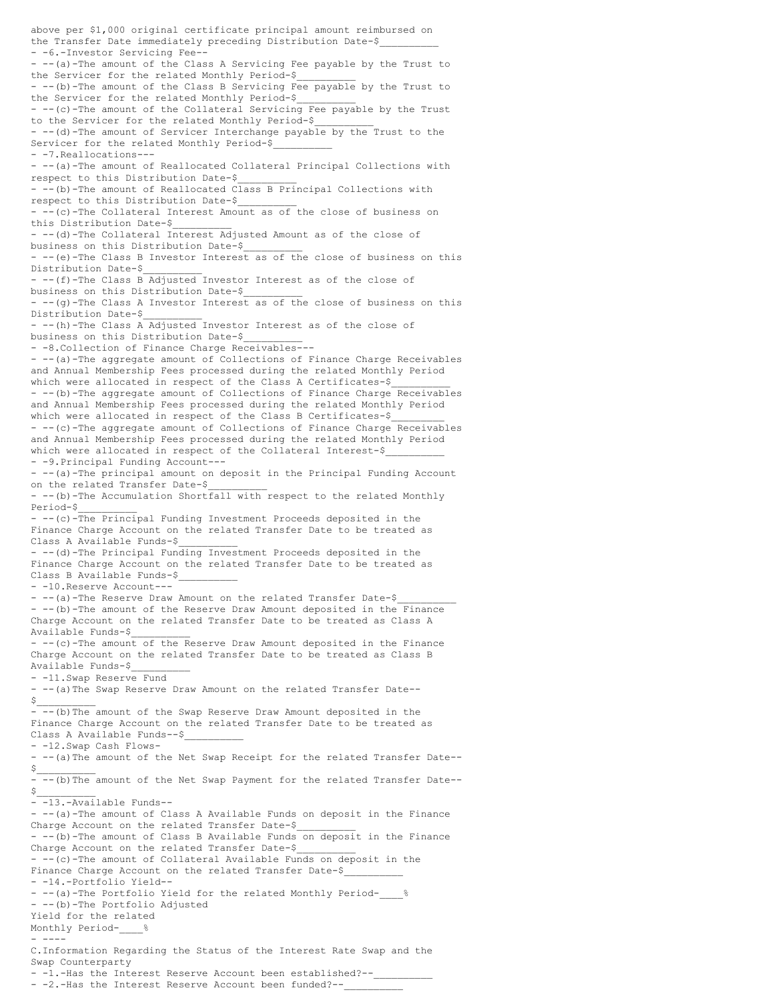above per \$1,000 original certificate principal amount reimbursed on the Transfer Date immediately preceding Distribution Date-\$ - -6.-Investor Servicing Fee-- --(a)-The amount of the Class A Servicing Fee payable by the Trust to the Servicer for the related Monthly Period-\$\_\_\_\_\_\_\_\_\_\_ - --(b)-The amount of the Class B Servicing Fee payable by the Trust to the Servicer for the related Monthly Period-\$  $-$  --(c)-The amount of the Collateral Servicing Fee payable by the Trust to the Servicer for the related Monthly Period-\$\_\_\_\_\_\_\_\_\_\_ - --(d)-The amount of Servicer Interchange payable by the Trust to the Servicer for the related Monthly Period-\$ - -7.Reallocations--- - --(a)-The amount of Reallocated Collateral Principal Collections with respect to this Distribution Date-\$\_\_\_\_\_\_\_\_\_\_ - --(b)-The amount of Reallocated Class B Principal Collections with respect to this Distribution Date-\$\_\_\_\_\_\_\_\_\_\_ -- (c)-The Collateral Interest Amount as of the close of business on this Distribution Date-\$\_\_\_\_\_\_\_\_\_\_ - --(d)-The Collateral Interest Adjusted Amount as of the close of business on this Distribution Date-\$\_\_\_\_\_\_\_\_\_\_ - --(e)-The Class B Investor Interest as of the close of business on this Distribution Date-\$ - --(f)-The Class B Adjusted Investor Interest as of the close of business on this Distribution Date-\$\_\_\_\_\_\_\_\_\_\_ - --(g)-The Class A Investor Interest as of the close of business on this Distribution Date-\$\_\_\_\_\_\_\_\_\_\_ - --(h)-The Class A Adjusted Investor Interest as of the close of business on this Distribution Date-\$\_\_\_\_\_\_\_\_\_\_ - -8.Collection of Finance Charge Receivables--- - -- (a)-The aggregate amount of Collections of Finance Charge Receivables and Annual Membership Fees processed during the related Monthly Period which were allocated in respect of the Class A Certificates-\$ - --(b)-The aggregate amount of Collections of Finance Charge Receivables and Annual Membership Fees processed during the related Monthly Period which were allocated in respect of the Class B Certificates-\$ - --(c)-The aggregate amount of Collections of Finance Charge Receivables and Annual Membership Fees processed during the related Monthly Period which were allocated in respect of the Collateral Interest-\$ - -9.Principal Funding Account--- - --(a)-The principal amount on deposit in the Principal Funding Account on the related Transfer Date-\$ - --(b)-The Accumulation Shortfall with respect to the related Monthly Period-\$\_\_\_\_\_\_\_\_\_\_ - --(c)-The Principal Funding Investment Proceeds deposited in the Finance Charge Account on the related Transfer Date to be treated as Class A Available Funds-\$\_\_\_\_\_\_\_\_\_\_ - --(d)-The Principal Funding Investment Proceeds deposited in the Finance Charge Account on the related Transfer Date to be treated as Class B Available Funds-\$\_\_\_\_\_\_\_\_\_\_ - -10.Reserve Account--- - -- (a)-The Reserve Draw Amount on the related Transfer Date-\$ - -- (b) -The amount of the Reserve Draw Amount deposited in the Finance Charge Account on the related Transfer Date to be treated as Class A Available Funds-\$\_\_\_\_\_\_\_\_\_\_  $-$  --(c)-The amount of the Reserve Draw Amount deposited in the Finance Charge Account on the related Transfer Date to be treated as Class B Available Funds-\$\_\_\_\_\_\_\_\_\_\_ - -11.Swap Reserve Fund - --(a)The Swap Reserve Draw Amount on the related Transfer Date--  $\frac{1}{2}$ - --(b)The amount of the Swap Reserve Draw Amount deposited in the Finance Charge Account on the related Transfer Date to be treated as Class A Available Funds--\$\_\_\_\_\_\_\_\_\_\_ - -12.Swap Cash Flows- - --(a)The amount of the Net Swap Receipt for the related Transfer Date--  $\mathsf{s}_-$ - --(b)The amount of the Net Swap Payment for the related Transfer Date--  $$$ - -13.-Available Funds-- - --(a)-The amount of Class A Available Funds on deposit in the Finance Charge Account on the related Transfer Date-\$ - --(b)-The amount of Class B Available Funds on deposit in the Finance Charge Account on the related Transfer Date-\$ - -- (c)-The amount of Collateral Available Funds on deposit in the Finance Charge Account on the related Transfer Date-\$ - -14.-Portfolio Yield-- - --(a)-The Portfolio Yield for the related Monthly Period-- --(b)-The Portfolio Adjusted Yield for the related Monthly Period-- ---- C.Information Regarding the Status of the Interest Rate Swap and the Swap Counterparty - -1.-Has the Interest Reserve Account been established?--- -2.-Has the Interest Reserve Account been funded?--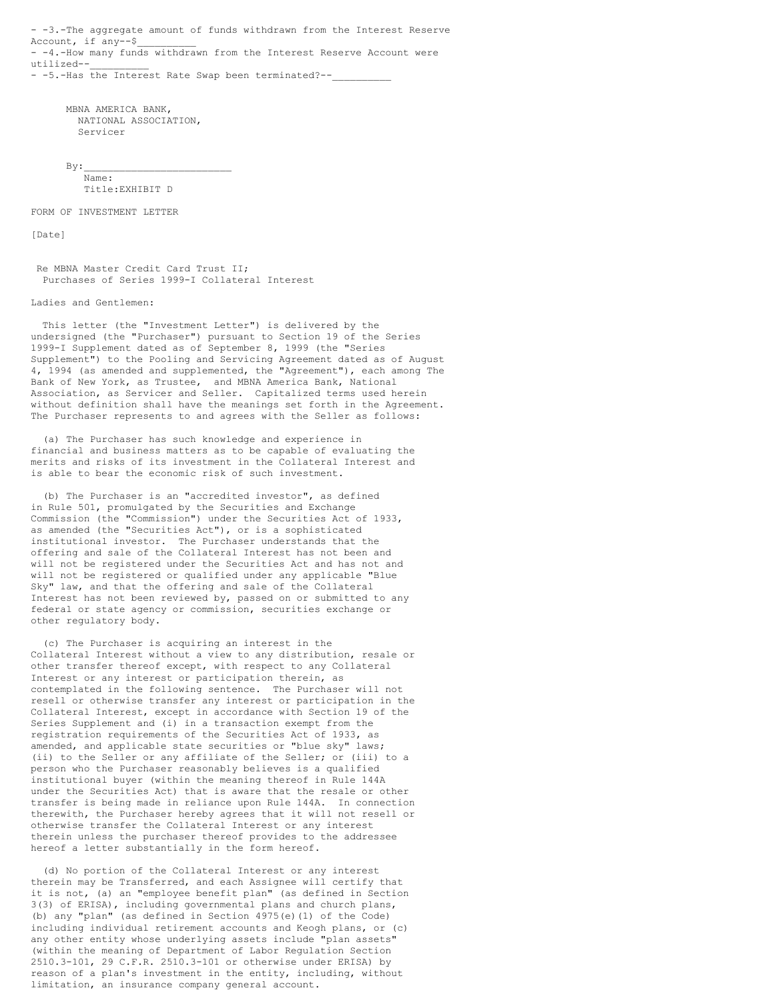- -3.-The aggregate amount of funds withdrawn from the Interest Reserve Account, if any--\$ - -4.-How many funds withdrawn from the Interest Reserve Account were utilized--\_\_\_\_\_\_\_\_\_\_ - -5.-Has the Interest Rate Swap been terminated?--

MBNA AMERICA BANK, NATIONAL ASSOCIATION, Servicer

 $By:$ Name: Title:EXHIBIT D

FORM OF INVESTMENT LETTER

[Date]

Re MBNA Master Credit Card Trust II; Purchases of Series 1999-I Collateral Interest

Ladies and Gentlemen:

This letter (the "Investment Letter") is delivered by the undersigned (the "Purchaser") pursuant to Section 19 of the Series 1999-I Supplement dated as of September 8, 1999 (the "Series Supplement") to the Pooling and Servicing Agreement dated as of August 4, 1994 (as amended and supplemented, the "Agreement"), each among The Bank of New York, as Trustee, and MBNA America Bank, National Association, as Servicer and Seller. Capitalized terms used herein without definition shall have the meanings set forth in the Agreement. The Purchaser represents to and agrees with the Seller as follows:

(a) The Purchaser has such knowledge and experience in financial and business matters as to be capable of evaluating the merits and risks of its investment in the Collateral Interest and is able to bear the economic risk of such investment.

(b) The Purchaser is an "accredited investor", as defined in Rule 501, promulgated by the Securities and Exchange Commission (the "Commission") under the Securities Act of 1933, as amended (the "Securities Act"), or is a sophisticated institutional investor. The Purchaser understands that the offering and sale of the Collateral Interest has not been and will not be registered under the Securities Act and has not and will not be registered or qualified under any applicable "Blue Sky" law, and that the offering and sale of the Collateral Interest has not been reviewed by, passed on or submitted to any federal or state agency or commission, securities exchange or other regulatory body.

(c) The Purchaser is acquiring an interest in the Collateral Interest without a view to any distribution, resale or other transfer thereof except, with respect to any Collateral Interest or any interest or participation therein, as contemplated in the following sentence. The Purchaser will not resell or otherwise transfer any interest or participation in the Collateral Interest, except in accordance with Section 19 of the Series Supplement and (i) in a transaction exempt from the registration requirements of the Securities Act of 1933, as amended, and applicable state securities or "blue sky" laws; (ii) to the Seller or any affiliate of the Seller; or (iii) to a person who the Purchaser reasonably believes is a qualified institutional buyer (within the meaning thereof in Rule 144A under the Securities Act) that is aware that the resale or other transfer is being made in reliance upon Rule 144A. In connection therewith, the Purchaser hereby agrees that it will not resell or otherwise transfer the Collateral Interest or any interest therein unless the purchaser thereof provides to the addressee hereof a letter substantially in the form hereof.

(d) No portion of the Collateral Interest or any interest therein may be Transferred, and each Assignee will certify that it is not, (a) an "employee benefit plan" (as defined in Section 3(3) of ERISA), including governmental plans and church plans, (b) any "plan" (as defined in Section 4975(e)(1) of the Code) including individual retirement accounts and Keogh plans, or (c) any other entity whose underlying assets include "plan assets" (within the meaning of Department of Labor Regulation Section 2510.3-101, 29 C.F.R. 2510.3-101 or otherwise under ERISA) by reason of a plan's investment in the entity, including, without limitation, an insurance company general account.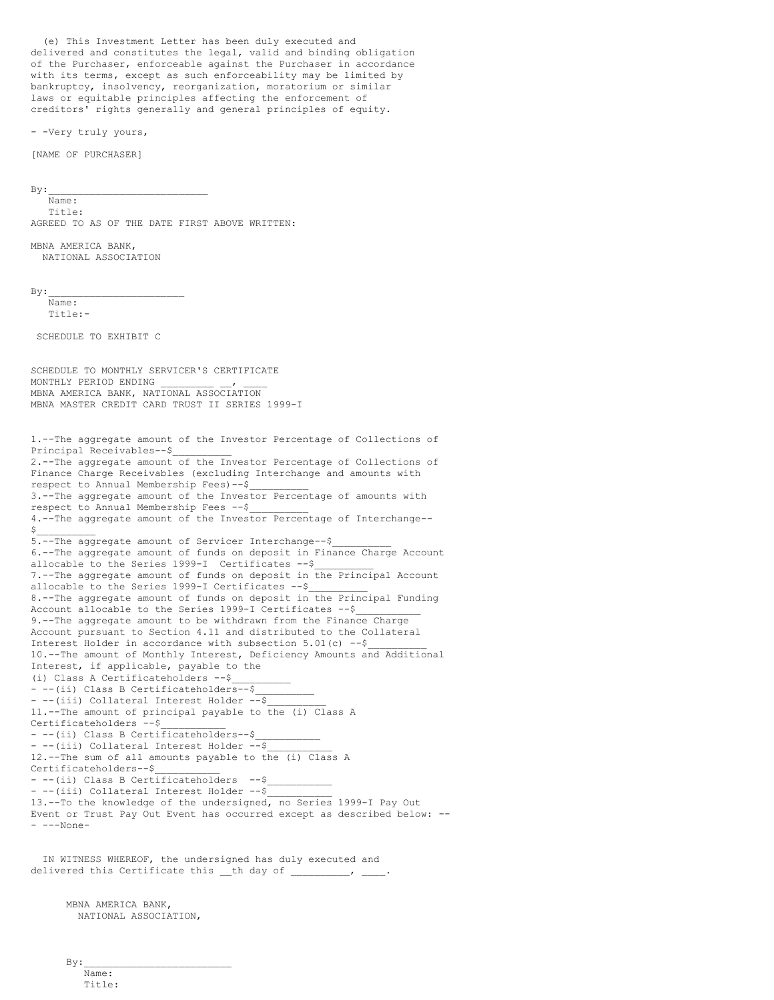(e) This Investment Letter has been duly executed and delivered and constitutes the legal, valid and binding obligation of the Purchaser, enforceable against the Purchaser in accordance with its terms, except as such enforceability may be limited by bankruptcy, insolvency, reorganization, moratorium or similar laws or equitable principles affecting the enforcement of creditors' rights generally and general principles of equity.

- -Very truly yours,

[NAME OF PURCHASER]

 $By:$ 

Name: Title: AGREED TO AS OF THE DATE FIRST ABOVE WRITTEN:

MBNA AMERICA BANK, NATIONAL ASSOCIATION

 $By:$ 

Name: Title:-

SCHEDULE TO EXHIBIT C

SCHEDULE TO MONTHLY SERVICER'S CERTIFICATE MONTHLY PERIOD ENDING MBNA AMERICA BANK, NATIONAL ASSOCIATION MBNA MASTER CREDIT CARD TRUST II SERIES 1999-I

1.--The aggregate amount of the Investor Percentage of Collections of Principal Receivables--\$\_\_\_\_\_\_\_\_\_\_ 2.--The aggregate amount of the Investor Percentage of Collections of Finance Charge Receivables (excluding Interchange and amounts with respect to Annual Membership Fees)--\$\_\_\_\_\_\_\_\_\_\_ 3.--The aggregate amount of the Investor Percentage of amounts with respect to Annual Membership Fees --\$\_\_\_\_\_\_\_\_\_\_ 4.--The aggregate amount of the Investor Percentage of Interchange--  $$$ 5.--The aggregate amount of Servicer Interchange--\$ 6.--The aggregate amount of funds on deposit in Finance Charge Account allocable to the Series 1999-I Certificates --\$\_\_\_\_\_\_\_\_\_\_ 7.--The aggregate amount of funds on deposit in the Principal Account allocable to the Series 1999-I Certificates --\$ 8.--The aggregate amount of funds on deposit in the Principal Funding Account allocable to the Series 1999-I Certificates --\$ 9.--The aggregate amount to be withdrawn from the Finance Charge Account pursuant to Section 4.11 and distributed to the Collateral Interest Holder in accordance with subsection  $5.01(c)$  --\$ 10.--The amount of Monthly Interest, Deficiency Amounts and Additional Interest, if applicable, payable to the (i) Class A Certificateholders --\$\_\_\_\_\_\_\_\_\_\_ - --(ii) Class B Certificateholders--\$ - --(iii) Collateral Interest Holder --\$ 11.--The amount of principal payable to the (i) Class A Certificateholders --\$\_\_\_\_\_\_\_\_\_\_\_ - --(ii) Class B Certificateholders--\$ - --(iii) Collateral Interest Holder --\$ 12.--The sum of all amounts payable to the (i) Class A Certificateholders--\$ - --(ii) Class B Certificateholders --\$\_\_\_\_\_\_\_\_\_\_\_ - --(iii) Collateral Interest Holder -- \$ 13.--To the knowledge of the undersigned, no Series 1999-I Pay Out Event or Trust Pay Out Event has occurred except as described below: -- - ---None-

IN WITNESS WHEREOF, the undersigned has duly executed and delivered this Certificate this \_\_th day of \_\_\_\_\_\_\_\_\_\_, \_

MBNA AMERICA BANK, NATIONAL ASSOCIATION,

 $By:$ Name: Title: